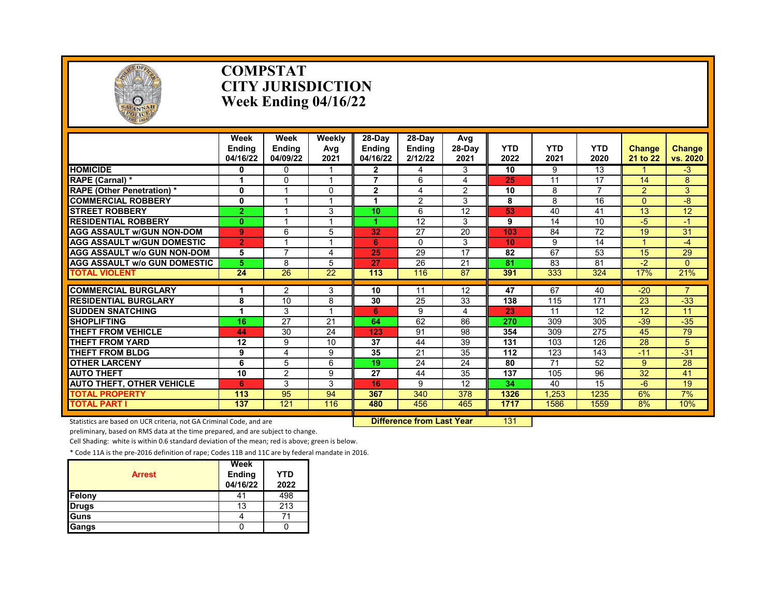

#### **COMPSTAT CITY JURISDICTION Week Ending 04/16/22**

|                                     | Week<br><b>Endina</b><br>04/16/22 | Week<br><b>Endina</b><br>04/09/22 | Weekly<br>Avg<br>2021 | $28-Dav$<br><b>Endina</b><br>04/16/22 | 28-Dav<br><b>Endina</b><br>2/12/22 | Avg<br>28-Day<br>2021 | YTD<br>2022 | <b>YTD</b><br>2021 | <b>YTD</b><br>2020 | <b>Change</b><br>21 to 22 | <b>Change</b><br>vs. 2020 |
|-------------------------------------|-----------------------------------|-----------------------------------|-----------------------|---------------------------------------|------------------------------------|-----------------------|-------------|--------------------|--------------------|---------------------------|---------------------------|
| <b>HOMICIDE</b>                     | 0                                 | <sup>0</sup>                      |                       | $\mathbf{2}$                          | 4                                  | 3                     | 10          | 9                  | 13                 |                           | $-3$                      |
| RAPE (Carnal) *                     |                                   | $\Omega$                          | 4                     | 7                                     | 6                                  | 4                     | 25          | 11                 | 17                 | 14                        | 8                         |
| <b>RAPE (Other Penetration) *</b>   | $\mathbf{0}$                      |                                   | $\Omega$              | $\overline{2}$                        | 4                                  | $\overline{2}$        | 10          | 8                  | 7                  | $\overline{2}$            | 3                         |
| <b>COMMERCIAL ROBBERY</b>           | $\mathbf 0$                       |                                   | 4                     |                                       | $\overline{2}$                     | 3                     | 8           | 8                  | 16                 | $\Omega$                  | -8                        |
| <b>STREET ROBBERY</b>               | $\overline{2}$                    |                                   | 3                     | 10                                    | 6                                  | 12                    | 53          | 40                 | 41                 | 13                        | 12                        |
| <b>RESIDENTIAL ROBBERY</b>          | $\bf{0}$                          |                                   | 4                     |                                       | 12                                 | 3                     | 9           | 14                 | 10                 | -5                        | -1                        |
| <b>AGG ASSAULT w/GUN NON-DOM</b>    | 9                                 | 6                                 | 5                     | 32                                    | 27                                 | 20                    | 103         | 84                 | 72                 | 19                        | 31                        |
| <b>AGG ASSAULT W/GUN DOMESTIC</b>   | $\overline{2}$                    |                                   | 4                     | 6                                     | $\Omega$                           | 3                     | 10          | 9                  | 14                 |                           | $-4$                      |
| <b>AGG ASSAULT w/o GUN NON-DOM</b>  | 5                                 | 7                                 | 4                     | 25                                    | 29                                 | 17                    | 82          | 67                 | 53                 | 15                        | 29                        |
| <b>AGG ASSAULT W/o GUN DOMESTIC</b> | 5                                 | 8                                 | 5                     | 27                                    | $\overline{26}$                    | $\overline{21}$       | 81          | $\overline{83}$    | 81                 | $-2$                      | $\Omega$                  |
| TOTAL VIOLENT                       | $\overline{24}$                   | $\overline{26}$                   | $\overline{22}$       | 113                                   | 116                                | 87                    | 391         | 333                | 324                | 17%                       | 21%                       |
|                                     |                                   |                                   |                       |                                       |                                    |                       |             |                    |                    |                           | $\overline{7}$            |
| <b>COMMERCIAL BURGLARY</b>          | 1                                 | $\overline{2}$                    | 3                     | 10                                    | 11                                 | 12                    | 47          | 67                 | 40                 | $-20$                     |                           |
| <b>RESIDENTIAL BURGLARY</b>         | 8                                 | 10                                | 8                     | 30                                    | 25                                 | 33                    | 138         | 115                | 171                | 23                        | $-33$                     |
| <b>SUDDEN SNATCHING</b>             |                                   | 3                                 |                       | 6                                     | 9                                  | 4                     | 23          | 11                 | 12                 | 12                        | 11                        |
| <b>SHOPLIFTING</b>                  | 16                                | 27                                | 21                    | 64                                    | 62                                 | 86                    | 270         | 309                | 305                | $-39$                     | $-35$                     |
| <b>THEFT FROM VEHICLE</b>           | 44                                | 30                                | 24                    | 123                                   | 91                                 | 98                    | 354         | 309                | 275                | 45                        | 79                        |
| <b>THEFT FROM YARD</b>              | 12                                | 9                                 | 10                    | 37                                    | 44                                 | 39                    | 131         | 103                | 126                | 28                        | 5                         |
| <b>THEFT FROM BLDG</b>              | 9                                 | 4                                 | 9                     | $\overline{35}$                       | $\overline{21}$                    | 35                    | 112         | 123                | 143                | $-11$                     | $-31$                     |
| <b>OTHER LARCENY</b>                | 6                                 | 5                                 | 6                     | 19                                    | 24                                 | 24                    | 80          | 71                 | 52                 | 9                         | 28                        |
| <b>AUTO THEFT</b>                   | 10                                | 2                                 | 9                     | 27                                    | 44                                 | 35                    | 137         | 105                | $\overline{96}$    | 32                        | 41                        |
| <b>AUTO THEFT, OTHER VEHICLE</b>    | 6                                 | 3                                 | 3                     | 16                                    | 9                                  | 12                    | 34          | 40                 | 15                 | $-6$                      | 19                        |
| <b>TOTAL PROPERTY</b>               | 113                               | 95                                | 94                    | 367                                   | 340                                | 378                   | 1326        | .253               | 1235               | 6%                        | 7%                        |
| <b>TOTAL PART I</b>                 | 137                               | 121                               | 116                   | 480                                   | 456                                | 465                   | 1717        | 1586               | 1559               | 8%                        | 10%                       |

Statistics are based on UCR criteria, not GA Criminal Code, and are **Difference from Last Year** 131

preliminary, based on RMS data at the time prepared, and are subject to change.

Cell Shading: white is within 0.6 standard deviation of the mean; red is above; green is below.

| <b>Arrest</b> | Week<br><b>Ending</b><br>04/16/22 | <b>YTD</b><br>2022 |
|---------------|-----------------------------------|--------------------|
| Felony        | 41                                | 498                |
| <b>Drugs</b>  | 13                                | 213                |
| Guns          |                                   |                    |
| Gangs         |                                   |                    |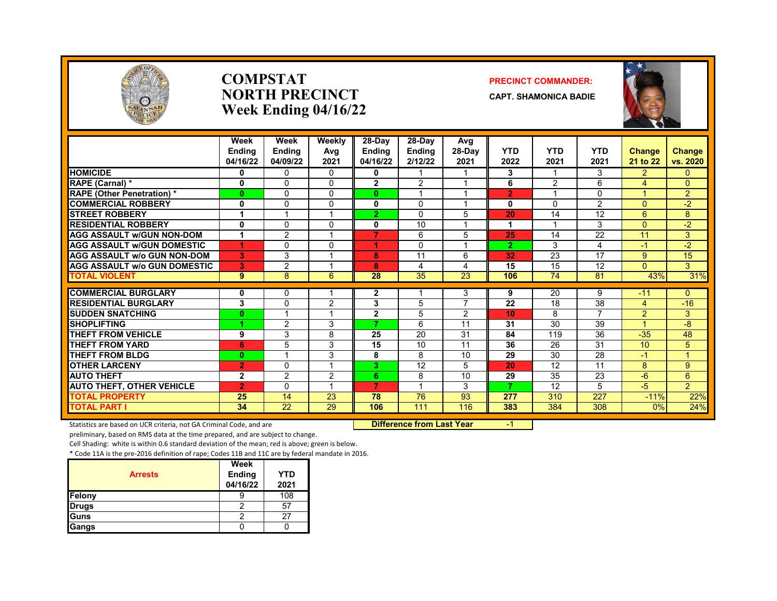

#### **COMPSTAT PRECINCT COMMANDER: NORTH PRECINCT CAPT. SHAMONICA BADIE Week Ending 04/16/22**



|                                     | Week           | Week          | Weekly          | 28-Day         | 28-Dav          | Avg                     |                 |                 |                          |                      |                |
|-------------------------------------|----------------|---------------|-----------------|----------------|-----------------|-------------------------|-----------------|-----------------|--------------------------|----------------------|----------------|
|                                     | <b>Endina</b>  | <b>Endina</b> | Avg             | <b>Endina</b>  | <b>Ending</b>   | 28-Day                  | <b>YTD</b>      | <b>YTD</b>      | <b>YTD</b>               | <b>Change</b>        | Change         |
|                                     | 04/16/22       | 04/09/22      | 2021            | 04/16/22       | 2/12/22         | 2021                    | 2022            | 2021            | 2021                     | 21 to 22             | vs. 2020       |
| <b>HOMICIDE</b>                     | 0              | 0             | 0               | 0              |                 |                         | 3               |                 | 3                        | $\overline{2}$       | 0              |
| RAPE (Carnal) *                     | $\bf{0}$       | $\Omega$      | $\Omega$        | $\overline{2}$ | $\overline{2}$  | $\overline{\mathbf{A}}$ | 6               | 2               | 6                        | 4                    | $\Omega$       |
| <b>RAPE (Other Penetration) *</b>   | $\bf{0}$       | $\Omega$      | $\Omega$        | $\mathbf{0}$   |                 |                         | $\overline{2}$  |                 | $\Omega$                 |                      | $\overline{2}$ |
| <b>COMMERCIAL ROBBERY</b>           | 0              | $\Omega$      | $\Omega$        | $\mathbf{0}$   | $\Omega$        | $\overline{ }$          | 0               | $\Omega$        | $\overline{2}$           | $\Omega$             | $-2$           |
| <b>STREET ROBBERY</b>               | 1              |               |                 | $\overline{2}$ | $\Omega$        | 5                       | 20              | 14              | 12                       | 6                    | 8              |
| <b>RESIDENTIAL ROBBERY</b>          | 0              | $\Omega$      | $\Omega$        | 0              | 10              | $\overline{ }$          | 1               |                 | 3                        | $\Omega$             | $-2$           |
| <b>AGG ASSAULT w/GUN NON-DOM</b>    | 1              | 2             |                 | $\overline{7}$ | 6               | 5                       | 25              | 14              | $\overline{22}$          | 11                   | 3              |
| <b>AGG ASSAULT w/GUN DOMESTIC</b>   | 4              | $\Omega$      | $\Omega$        | 4              | $\Omega$        | $\overline{ }$          | $\overline{2}$  | 3               | 4                        | $-1$                 | $-2$           |
| <b>AGG ASSAULT w/o GUN NON-DOM</b>  | 3              | 3             |                 | 8              | 11              | 6                       | 32              | 23              | 17                       | 9                    | 15             |
| <b>AGG ASSAULT w/o GUN DOMESTIC</b> | 3              | 2             |                 | 8              | 4               | 4                       | 15              | 15              | $\overline{12}$          | $\Omega$             | $\overline{3}$ |
| <b>TOTAL VIOLENT</b>                | 9              | 8             | 6               | 28             | $\overline{35}$ | $\overline{23}$         | 106             | $\overline{74}$ | 81                       | 43%                  | 31%            |
| <b>COMMERCIAL BURGLARY</b>          | 0              | 0             |                 | 2              |                 | 3                       | 9               | 20              | 9                        | $-11$                | 0              |
| <b>RESIDENTIAL BURGLARY</b>         | 3              | $\Omega$      | 2               | 3              | 5               | $\overline{ }$          | $\overline{22}$ | 18              | $\overline{38}$          | $\overline{4}$       | $-16$          |
| <b>SUDDEN SNATCHING</b>             | $\bf{0}$       |               |                 | $\overline{2}$ | 5               | $\overline{2}$          | 10              | 8               | $\overline{\phantom{a}}$ | $\overline{2}$       | 3              |
| <b>SHOPLIFTING</b>                  |                | 2             | 3               | 7              | 6               | 11                      | 31              | 30              | 39                       | $\blacktriangleleft$ | $-8$           |
| <b>THEFT FROM VEHICLE</b>           | 9              | 3             | 8               | 25             | 20              | 31                      | 84              | 119             | 36                       | $-35$                | 48             |
| <b>THEFT FROM YARD</b>              | 6              | 5             | 3               | 15             | 10              | 11                      | 36              | 26              | $\overline{31}$          | 10 <sup>°</sup>      | 5              |
| <b>THEFT FROM BLDG</b>              | $\bf{0}$       | ×,            | 3               | 8              | 8               | 10                      | 29              | 30              | $\overline{28}$          | $-1$                 | $\mathbf{1}$   |
| <b>OTHER LARCENY</b>                | $\overline{2}$ | $\Omega$      |                 | 3.             | 12              | 5                       | 20              | 12              | 11                       | 8                    | 9              |
| <b>AUTO THEFT</b>                   | $\mathbf{2}$   | 2             | 2               | 6              | 8               | 10                      | 29              | 35              | 23                       | $-6$                 | 6              |
| <b>AUTO THEFT, OTHER VEHICLE</b>    | $\overline{2}$ | $\Omega$      |                 | 7              |                 | 3                       | 7               | 12              | 5                        | -5                   | $\overline{2}$ |
| <b>TOTAL PROPERTY</b>               | 25             | 14            | 23              | 78             | 76              | 93                      | 277             | 310             | 227                      | $-11%$               | 22%            |
| <b>TOTAL PART I</b>                 | 34             | 22            | $\overline{29}$ | 106            | 111             | 116                     | 383             | 384             | 308                      | 0%                   | 24%            |

Statistics are based on UCR criteria, not GA Criminal Code, and are **Difference from Last Year** -1

preliminary, based on RMS data at the time prepared, and are subject to change.

Cell Shading: white is within 0.6 standard deviation of the mean; red is above; green is below.

| <b>Arrests</b> | Week<br><b>Ending</b><br>04/16/22 | <b>YTD</b><br>2021 |
|----------------|-----------------------------------|--------------------|
| Felony         |                                   | 108                |
| <b>Drugs</b>   |                                   | 5 <sup>7</sup>     |
| Guns           |                                   |                    |
| Gangs          |                                   |                    |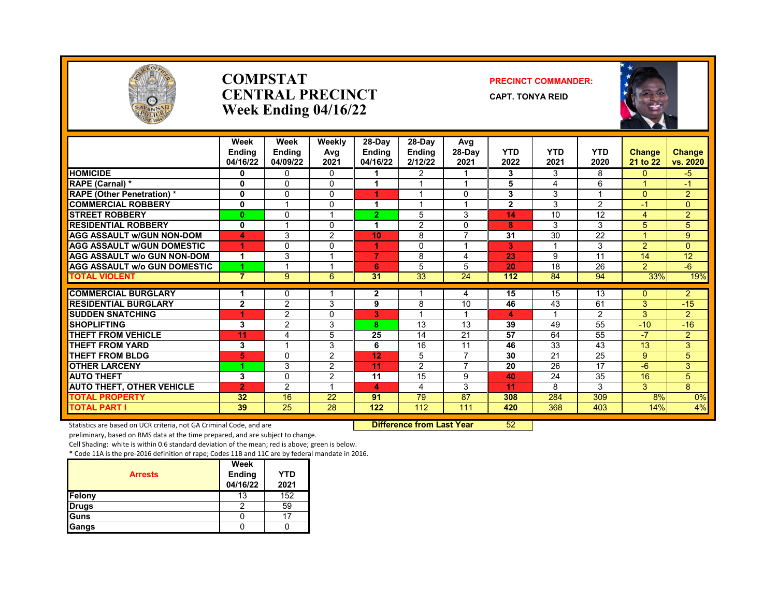

#### **COMPSTAT PRECINCT COMMANDER: CENTRAL PRECINCT** CAPT. TONYA REID **Week Ending 04/16/22**





|                                     | Week<br>Endina<br>04/16/22 | Week<br><b>Ending</b><br>04/09/22 | Weekly<br>Avg<br>2021 | 28-Day<br><b>Endina</b><br>04/16/22 | 28-Day<br><b>Ending</b><br>2/12/22 | Avg<br>28-Dav<br>2021 | <b>YTD</b><br>2022 | <b>YTD</b><br>2021 | <b>YTD</b><br>2020 | <b>Change</b><br>21 to 22 | <b>Change</b><br>vs. 2020 |
|-------------------------------------|----------------------------|-----------------------------------|-----------------------|-------------------------------------|------------------------------------|-----------------------|--------------------|--------------------|--------------------|---------------------------|---------------------------|
| <b>HOMICIDE</b>                     | 0                          | $\Omega$                          | 0                     |                                     | $\overline{2}$                     |                       | 3                  | 3                  | 8                  | $\mathbf{0}$              | -5                        |
| RAPE (Carnal) *                     | 0                          | 0                                 | 0                     |                                     |                                    |                       | 5                  | 4                  | 6                  |                           | $-1$                      |
| <b>RAPE (Other Penetration) *</b>   | 0                          | $\Omega$                          | 0                     | 1                                   |                                    | $\Omega$              | 3                  | 3                  |                    | $\Omega$                  | 2                         |
| <b>COMMERCIAL ROBBERY</b>           | $\mathbf{0}$               |                                   | 0                     | 4                                   |                                    |                       | $\overline{2}$     | 3                  | 2                  | $-1$                      | $\mathbf{0}$              |
| <b>STREET ROBBERY</b>               | $\bf{0}$                   | $\Omega$                          |                       | $\overline{2}$                      | 5                                  | 3                     | 14                 | 10                 | 12                 | 4                         | 2                         |
| <b>RESIDENTIAL ROBBERY</b>          | $\mathbf{0}$               |                                   | 0                     | 4                                   | $\overline{2}$                     | $\Omega$              | 8                  | 3                  | 3                  | 5                         | 5                         |
| <b>AGG ASSAULT w/GUN NON-DOM</b>    |                            |                                   |                       |                                     |                                    | $\overline{7}$        | 31                 | 30                 | 22                 |                           | 9                         |
|                                     | 4                          | 3                                 | $\overline{2}$        | 10                                  | 8                                  |                       |                    |                    |                    |                           |                           |
| <b>AGG ASSAULT W/GUN DOMESTIC</b>   | 1                          | $\Omega$                          | 0                     | 1                                   | $\mathbf{0}$                       |                       | 3                  |                    | 3                  | 2                         | $\mathbf{0}$              |
| <b>AGG ASSAULT w/o GUN NON-DOM</b>  | 1                          | 3                                 |                       | 7                                   | 8                                  | 4                     | 23                 | 9                  | 11                 | 14                        | 12                        |
| <b>AGG ASSAULT W/o GUN DOMESTIC</b> |                            |                                   |                       | 6                                   | 5                                  | 5                     | 20                 | 18                 | 26                 | 2                         | $-6$                      |
| <b>TOTAL VIOLENT</b>                | $\overline{7}$             | 9                                 | 6                     | 31                                  | $\overline{33}$                    | $\overline{24}$       | 112                | 84                 | 94                 | 33%                       | 19%                       |
| <b>COMMERCIAL BURGLARY</b>          | 1                          | $\Omega$                          |                       | $\mathbf{2}$                        | 1                                  | 4                     | 15                 | 15                 | 13                 | $\Omega$                  | 2                         |
| <b>RESIDENTIAL BURGLARY</b>         | $\mathbf{2}$               | 2                                 | 3                     | 9                                   | 8                                  | 10                    | 46                 | 43                 | 61                 | 3                         | $-15$                     |
| <b>SUDDEN SNATCHING</b>             | 1                          | 2                                 | 0                     | 3                                   |                                    |                       | 4                  |                    | 2                  | 3                         | 2                         |
| <b>SHOPLIFTING</b>                  | 3                          | $\overline{2}$                    | 3                     | 8                                   | 13                                 | 13                    | 39                 | 49                 | 55                 | $-10$                     | $-16$                     |
| <b>THEFT FROM VEHICLE</b>           | 11                         | 4                                 | 5                     | 25                                  | 14                                 | 21                    | 57                 | 64                 | 55                 | -7                        | 2                         |
| <b>THEFT FROM YARD</b>              | 3                          |                                   | 3                     | 6                                   | 16                                 | 11                    | 46                 | 33                 | 43                 | 13                        | 3                         |
| <b>THEFT FROM BLDG</b>              | 5                          | $\Omega$                          | $\overline{2}$        | 12                                  | 5                                  | $\overline{7}$        | 30                 | 21                 | 25                 | 9                         | 5                         |
| <b>OTHER LARCENY</b>                |                            | 3                                 | $\overline{2}$        | 11                                  | $\overline{2}$                     | $\overline{7}$        | 20                 | 26                 | 17                 | $-6$                      | 3                         |
| <b>AUTO THEFT</b>                   | 3                          | 0                                 | 2                     | 11                                  | 15                                 | 9                     | 40                 | 24                 | 35                 | 16                        | 5                         |
| <b>AUTO THEFT, OTHER VEHICLE</b>    | $\overline{2}$             | 2                                 |                       | 4                                   | 4                                  | 3                     | 11                 | 8                  | 3                  | 3                         | 8                         |
| <b>TOTAL PROPERTY</b>               | 32                         | 16                                | 22                    | 91                                  | 79                                 | 87                    | 308                | 284                | 309                | 8%                        | 0%                        |
| <b>TOTAL PART I</b>                 | 39                         | 25                                | 28                    | 122                                 | 112                                | 111                   | 420                | 368                | 403                | 14%                       | 4%                        |

Statistics are based on UCR criteria, not GA Criminal Code, and are **Difference from Last Year** 52

preliminary, based on RMS data at the time prepared, and are subject to change.

Cell Shading: white is within 0.6 standard deviation of the mean; red is above; green is below.

| <b>Arrests</b> | Week<br><b>Ending</b><br>04/16/22 | <b>YTD</b><br>2021 |
|----------------|-----------------------------------|--------------------|
| Felony         | 13                                | 152                |
| Drugs          |                                   | 59                 |
| Guns           |                                   | 17                 |
| Gangs          |                                   |                    |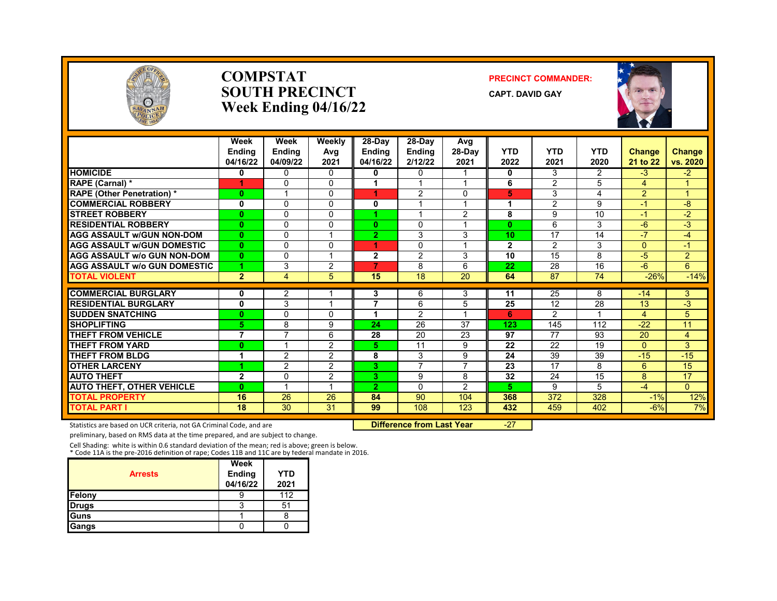

#### **COMPSTAT PRECINCT COMMANDER: SOUTH PRECINCT** CAPT. DAVID GAY **Week Ending 04/16/22**



|                                     | Week<br><b>Endina</b><br>04/16/22 | Week<br><b>Ending</b><br>04/09/22 | Weeklv<br>Avg<br>2021 | 28-Day<br>Endina<br>04/16/22 | 28-Day<br><b>Ending</b><br>2/12/22 | Avg<br>28-Day<br>2021   | <b>YTD</b><br>2022 | <b>YTD</b><br>2021 | <b>YTD</b><br>2020 | <b>Change</b><br>21 to 22 | Change<br>vs. 2020 |
|-------------------------------------|-----------------------------------|-----------------------------------|-----------------------|------------------------------|------------------------------------|-------------------------|--------------------|--------------------|--------------------|---------------------------|--------------------|
| <b>HOMICIDE</b>                     | 0                                 | $\Omega$                          | 0                     | 0                            | $\mathbf{0}$                       |                         | 0                  | 3                  | $\overline{2}$     | $-3$                      | $-2$               |
| RAPE (Carnal) *                     |                                   | $\Omega$                          | $\Omega$              | 1                            |                                    |                         | 6                  | 2                  | 5                  | 4                         |                    |
| <b>RAPE (Other Penetration) *</b>   | $\bf{0}$                          |                                   | $\Omega$              | 4                            | 2                                  | $\mathbf{0}$            | 5                  | 3                  | 4                  | $\overline{2}$            | и                  |
| <b>COMMERCIAL ROBBERY</b>           | 0                                 | $\Omega$                          | $\Omega$              | 0                            | 4                                  | $\overline{\mathbf{A}}$ | 1                  | 2                  | 9                  | $-1$                      | -8                 |
| <b>STREET ROBBERY</b>               | $\bf{0}$                          | $\Omega$                          | $\Omega$              |                              |                                    | 2                       | 8                  | 9                  | 10                 | $-1$                      | $-2$               |
| <b>RESIDENTIAL ROBBERY</b>          | $\bf{0}$                          | $\Omega$                          | $\Omega$              | $\mathbf{0}$                 | $\mathbf{0}$                       |                         | $\mathbf{0}$       | 6                  | 3                  | $-6$                      | $-3$               |
| <b>AGG ASSAULT W/GUN NON-DOM</b>    | $\mathbf{0}$                      | $\Omega$                          |                       | 2                            | 3                                  | 3                       | 10                 | 17                 | 14                 | $-7$                      | $-4$               |
| <b>AGG ASSAULT W/GUN DOMESTIC</b>   | $\bf{0}$                          | $\Omega$                          | $\Omega$              | 4                            | $\Omega$                           |                         | $\overline{2}$     | 2                  | 3                  | $\Omega$                  | $-1$               |
| <b>AGG ASSAULT w/o GUN NON-DOM</b>  | $\bf{0}$                          | $\Omega$                          |                       | $\mathbf{2}$                 | 2                                  | 3                       | 10                 | 15                 | 8                  | $-5$                      | $\overline{2}$     |
| <b>AGG ASSAULT W/o GUN DOMESTIC</b> |                                   | 3                                 | 2                     | 7                            | 8                                  | 6                       | 22                 | 28                 | 16                 | $-6$                      | 6                  |
| <b>TOTAL VIOLENT</b>                | $\overline{2}$                    | 4                                 | 5                     | 15                           | $\overline{18}$                    | $\overline{20}$         | 64                 | 87                 | $\overline{74}$    | $-26%$                    | $-14%$             |
| <b>COMMERCIAL BURGLARY</b>          | 0                                 | 2                                 |                       | 3                            | 6                                  | 3                       | 11                 | 25                 | 8                  | $-14$                     | 3                  |
| <b>RESIDENTIAL BURGLARY</b>         | 0                                 | 3                                 |                       | 7                            | 6                                  | 5                       | 25                 | 12                 | 28                 | 13                        | $-3$               |
| <b>SUDDEN SNATCHING</b>             | $\bf{0}$                          | $\Omega$                          | $\Omega$              | 1                            | 2                                  |                         | 6                  | 2                  |                    | 4                         | 5                  |
| <b>SHOPLIFTING</b>                  | 5                                 | 8                                 | 9                     | 24                           | 26                                 | 37                      | 123                | 145                | 112                | $-22$                     | 11                 |
| <b>THEFT FROM VEHICLE</b>           | 7                                 | 7                                 | 6                     | 28                           | 20                                 | 23                      | 97                 | 77                 | 93                 | 20                        | 4                  |
| <b>THEFT FROM YARD</b>              | $\bf{0}$                          |                                   | 2                     | 5.                           | 11                                 | 9                       | 22                 | 22                 | 19                 | $\Omega$                  | 3                  |
| <b>THEFT FROM BLDG</b>              | 1                                 | 2                                 | 2                     | 8                            | 3                                  | 9                       | 24                 | 39                 | 39                 | $-15$                     | $-15$              |
| <b>OTHER LARCENY</b>                |                                   | $\overline{2}$                    | 2                     | 3.                           | 7                                  | 7                       | 23                 | 17                 | 8                  | 6                         | 15                 |
| <b>AUTO THEFT</b>                   | $\mathbf{2}$                      | $\Omega$                          | 2                     | 3.                           | 9                                  | 8                       | 32                 | 24                 | 15                 | 8                         | 17                 |
| <b>AUTO THEFT, OTHER VEHICLE</b>    | $\bf{0}$                          |                                   |                       | $\overline{2}$               | $\mathbf{0}$                       | $\overline{2}$          | 5                  | 9                  | 5                  | $-4$                      | $\Omega$           |
| <b>TOTAL PROPERTY</b>               | 16                                | 26                                | 26                    | 84                           | 90                                 | 104                     | 368                | 372                | 328                | $-1%$                     | 12%                |
| <b>TOTAL PART I</b>                 | 18                                | $\overline{30}$                   | $\overline{31}$       | 99                           | 108                                | 123                     | 432                | 459                | 402                | $-6%$                     | 7%                 |

Statistics are based on UCR criteria, not GA Criminal Code, and are **Difference from Last Year** -27

preliminary, based on RMS data at the time prepared, and are subject to change.

Cell Shading: white is within 0.6 standard deviation of the mean; red is above; green is below. \* Code 11A is the pre-2016 definition of rape; Codes 11B and 11C are by federal mandate in 2016.

|                | Week          |      |
|----------------|---------------|------|
| <b>Arrests</b> | <b>Ending</b> | YTD  |
|                | 04/16/22      | 2021 |
| Felony         |               | 112  |
| <b>Drugs</b>   | 3             | 51   |
| Guns           |               | ŏ    |
| Gangs          |               |      |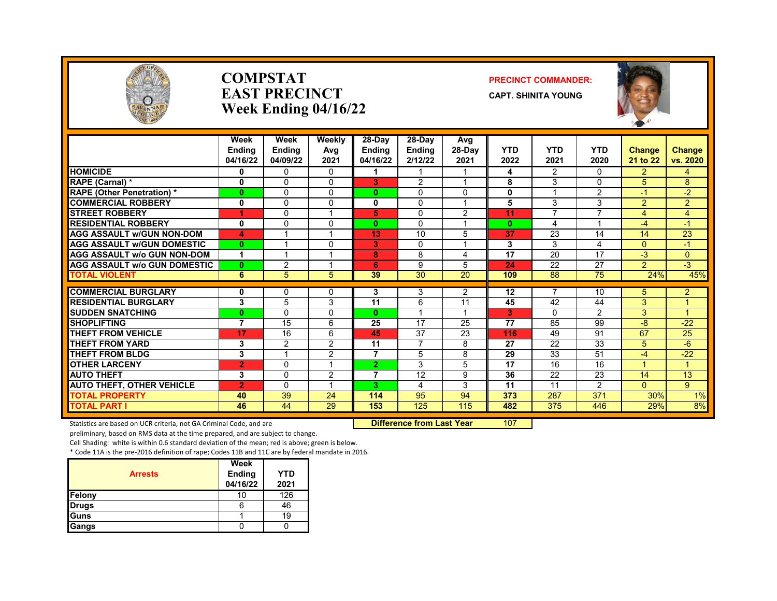

#### **COMPSTAT PRECINCT COMMANDER: EAST PRECINCT CAPT.** SHINITA YOUNG **Week Ending 04/16/22**



|                                     | Week<br><b>Endina</b><br>04/16/22 | Week<br><b>Endina</b><br>04/09/22 | Weekly<br>Avg<br>2021   | 28-Day<br>Endina<br>04/16/22 | 28-Dav<br><b>Endina</b><br>2/12/22 | Avg<br>$28-Dav$<br>2021 | <b>YTD</b><br>2022 | <b>YTD</b><br>2021 | <b>YTD</b><br>2020 | <b>Change</b><br>21 to 22 | <b>Change</b><br>vs. 2020 |
|-------------------------------------|-----------------------------------|-----------------------------------|-------------------------|------------------------------|------------------------------------|-------------------------|--------------------|--------------------|--------------------|---------------------------|---------------------------|
| <b>HOMICIDE</b>                     | 0                                 | $\Omega$                          | $\mathbf{0}$            |                              |                                    | 1                       | 4                  | 2                  | $\Omega$           | $\overline{2}$            | 4                         |
| RAPE (Carnal) *                     | $\mathbf{0}$                      | $\Omega$                          | $\Omega$                | 3                            | $\mathcal{P}$                      | 1                       | 8                  | 3                  | $\Omega$           | 5                         | 8                         |
| <b>RAPE</b> (Other Penetration) *   | $\mathbf{0}$                      | $\Omega$                          | $\Omega$                | 0                            | $\Omega$                           | 0                       | $\bf{0}$           |                    | $\overline{2}$     | $-1$                      | $-2$                      |
| <b>COMMERCIAL ROBBERY</b>           | $\mathbf{0}$                      | $\Omega$                          | $\Omega$                | 0                            | $\Omega$                           | 1                       | 5                  | 3                  | 3                  | 2                         | $\overline{2}$            |
| <b>STREET ROBBERY</b>               | 4                                 | $\Omega$                          | $\overline{\mathbf{A}}$ | 5                            | $\Omega$                           | 2                       | 11                 | $\overline{ }$     | $\overline{ }$     | 4                         | 4                         |
| <b>RESIDENTIAL ROBBERY</b>          | 0                                 | $\Omega$                          | 0                       | 0                            | $\Omega$                           | 1                       | $\mathbf{0}$       | 4                  |                    | -4                        | $-1$                      |
| <b>AGG ASSAULT w/GUN NON-DOM</b>    | 4                                 |                                   |                         | 13                           | 10                                 | 5                       | 37                 | 23                 | 14                 | 14                        | 23                        |
| <b>AGG ASSAULT w/GUN DOMESTIC</b>   | $\mathbf{0}$                      |                                   | $\Omega$                | 3                            | 0                                  | 1                       | 3                  | 3                  | 4                  | $\Omega$                  | $-1$                      |
| <b>AGG ASSAULT w/o GUN NON-DOM</b>  | 1                                 |                                   |                         | 8                            | 8                                  | 4                       | 17                 | 20                 | 17                 | $-3$                      | 0                         |
| <b>AGG ASSAULT w/o GUN DOMESTIC</b> | $\mathbf{0}$                      | $\overline{2}$                    |                         | 6                            | 9                                  | 5                       | 24                 | 22                 | 27                 | $\overline{2}$            | $-3$                      |
| <b>TOTAL VIOLENT</b>                | 6                                 | 5                                 | 5                       | 39                           | 30                                 | 20                      | 109                | 88                 | 75                 | 24%                       | 45%                       |
| <b>COMMERCIAL BURGLARY</b>          | 0                                 | $\Omega$                          | $\Omega$                | 3                            | 3                                  | 2                       | 12                 | 7                  | 10                 | 5                         | $\overline{2}$            |
| <b>RESIDENTIAL BURGLARY</b>         | 3                                 | 5                                 | 3                       | 11                           | 6                                  | 11                      | 45                 | 42                 | 44                 | 3                         |                           |
| <b>SUDDEN SNATCHING</b>             | $\bf{0}$                          | $\mathbf{0}$                      | $\Omega$                | 0                            |                                    | 1                       | 3                  | $\mathbf{0}$       | $\overline{2}$     | 3                         |                           |
| <b>SHOPLIFTING</b>                  | 7                                 | 15                                | 6                       | 25                           | 17                                 | 25                      | 77                 | 85                 | 99                 | -8                        | $-22$                     |
| <b>THEFT FROM VEHICLE</b>           | 17                                | 16                                | 6                       | 45                           | 37                                 | 23                      | 116                | 49                 | 91                 | 67                        | 25                        |
| <b>THEFT FROM YARD</b>              | 3                                 | $\overline{2}$                    | $\overline{2}$          | 11                           | $\overline{7}$                     | 8                       | 27                 | 22                 | 33                 | 5                         | $-6$                      |
| <b>THEFT FROM BLDG</b>              | 3                                 | $\overline{A}$                    | 2                       | 7                            | 5                                  | 8                       | 29                 | 33                 | 51                 | $-4$                      | $-22$                     |
| <b>OTHER LARCENY</b>                | $\overline{2}$                    | $\Omega$                          | 1                       | $\mathbf{2}$                 | 3                                  | 5                       | 17                 | 16                 | 16                 |                           |                           |
| <b>AUTO THEFT</b>                   | 3                                 | $\Omega$                          | 2                       | 7                            | 12                                 | 9                       | 36                 | 22                 | 23                 | 14                        | 13                        |
| <b>AUTO THEFT, OTHER VEHICLE</b>    | $\overline{2}$                    | $\mathbf{0}$                      |                         | 3                            | 4                                  | 3                       | 11                 | 11                 | $\overline{2}$     | $\Omega$                  | 9                         |
| <b>TOTAL PROPERTY</b>               | 40                                | 39                                | 24                      | 114                          | 95                                 | 94                      | 373                | 287                | 371                | 30%                       | 1%                        |
| <b>TOTAL PART I</b>                 | 46                                | 44                                | 29                      | 153                          | 125                                | 115                     | 482                | 375                | 446                | 29%                       | 8%                        |

Statistics are based on UCR criteria, not GA Criminal Code, and are **Difference from Last Year** 107

preliminary, based on RMS data at the time prepared, and are subject to change.

Cell Shading: white is within 0.6 standard deviation of the mean; red is above; green is below.

| <b>Arrests</b> | Week<br><b>Ending</b><br>04/16/22 | <b>YTD</b><br>2021 |
|----------------|-----------------------------------|--------------------|
| Felony         | ш                                 | 126                |
| <b>Drugs</b>   |                                   | 46                 |
| <b>I</b> Guns  |                                   | 19                 |
| Gangs          |                                   |                    |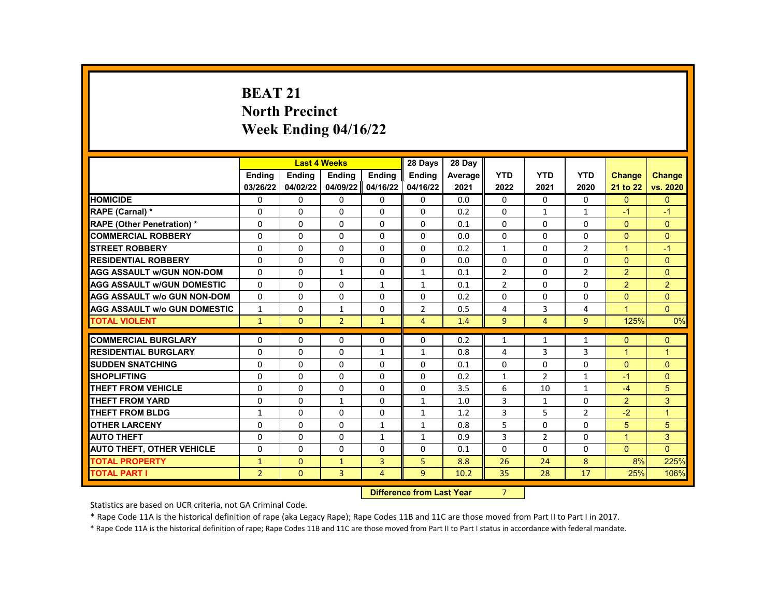# **BEAT 21 North Precinct Week Ending 04/16/22**

|                                     |                    | <b>Last 4 Weeks</b>              |                |               | 28 Days        | 28 Day  |                |                |                |                |                |
|-------------------------------------|--------------------|----------------------------------|----------------|---------------|----------------|---------|----------------|----------------|----------------|----------------|----------------|
|                                     | <b>Endina</b>      | <b>Endina</b>                    | <b>Endina</b>  | <b>Endina</b> | <b>Endina</b>  | Average | <b>YTD</b>     | <b>YTD</b>     | <b>YTD</b>     | <b>Change</b>  | <b>Change</b>  |
|                                     | 03/26/22           | 04/02/22                         | 04/09/22       | 04/16/22      | 04/16/22       | 2021    | 2022           | 2021           | 2020           | 21 to 22       | vs. 2020       |
| <b>HOMICIDE</b>                     | 0                  | 0                                | 0              | 0             | 0              | 0.0     | $\mathbf{0}$   | 0              | 0              | $\mathbf{0}$   | $\mathbf{0}$   |
| RAPE (Carnal) *                     | $\Omega$           | $\Omega$                         | $\Omega$       | 0             | $\Omega$       | 0.2     | $\Omega$       | $\mathbf{1}$   | $\mathbf{1}$   | $-1$           | $-1$           |
| <b>RAPE (Other Penetration) *</b>   | 0                  | $\Omega$                         | $\Omega$       | $\Omega$      | $\Omega$       | 0.1     | $\Omega$       | $\Omega$       | $\Omega$       | $\mathbf{0}$   | $\Omega$       |
| <b>COMMERCIAL ROBBERY</b>           | 0                  | $\Omega$                         | $\Omega$       | $\Omega$      | $\Omega$       | 0.0     | $\Omega$       | $\Omega$       | $\Omega$       | $\Omega$       | $\Omega$       |
| <b>STREET ROBBERY</b>               | 0                  | 0                                | $\Omega$       | 0             | 0              | 0.2     | $\mathbf{1}$   | $\Omega$       | $\overline{2}$ | 1              | $-1$           |
| <b>RESIDENTIAL ROBBERY</b>          | $\Omega$           | $\Omega$                         | $\Omega$       | $\Omega$      | $\Omega$       | 0.0     | $\Omega$       | $\Omega$       | $\Omega$       | $\Omega$       | $\Omega$       |
| <b>AGG ASSAULT w/GUN NON-DOM</b>    | $\Omega$           | $\Omega$                         | $\mathbf{1}$   | 0             | $\mathbf{1}$   | 0.1     | $\overline{2}$ | 0              | $\overline{2}$ | $\overline{2}$ | $\Omega$       |
| <b>AGG ASSAULT w/GUN DOMESTIC</b>   | 0                  | $\Omega$                         | 0              | $\mathbf{1}$  | $\mathbf{1}$   | 0.1     | $\overline{2}$ | $\Omega$       | $\Omega$       | $\overline{2}$ | $\overline{2}$ |
| <b>AGG ASSAULT w/o GUN NON-DOM</b>  | $\Omega$           | $\Omega$                         | $\Omega$       | $\Omega$      | $\Omega$       | 0.2     | $\Omega$       | $\Omega$       | $\Omega$       | $\Omega$       | $\Omega$       |
| <b>AGG ASSAULT w/o GUN DOMESTIC</b> | $\mathbf{1}$       | $\Omega$                         | $\mathbf{1}$   | 0             | $\overline{2}$ | 0.5     | 4              | 3              | 4              | $\mathbf{1}$   | $\Omega$       |
| <b>TOTAL VIOLENT</b>                | $\mathbf{1}$       | $\mathbf{0}$                     | $\overline{2}$ | $\mathbf{1}$  | 4              | 1.4     | 9              | 4              | 9              | 125%           | 0%             |
|                                     |                    |                                  |                |               |                |         |                |                |                |                |                |
| <b>COMMERCIAL BURGLARY</b>          | 0                  | 0                                | 0              | 0             | $\Omega$       | 0.2     | $\mathbf{1}$   | $\mathbf{1}$   | $\mathbf{1}$   | $\Omega$       | $\mathbf{0}$   |
| <b>RESIDENTIAL BURGLARY</b>         | $\Omega$           | $\Omega$                         | $\Omega$       | $\mathbf{1}$  | $\mathbf{1}$   | 0.8     | 4              | 3              | 3              | $\mathbf{1}$   | $\mathbf{1}$   |
| <b>SUDDEN SNATCHING</b>             | 0                  | $\Omega$                         | $\Omega$       | $\Omega$      | $\Omega$       | 0.1     | $\Omega$       | $\Omega$       | $\Omega$       | $\Omega$       | $\Omega$       |
| <b>SHOPLIFTING</b>                  | 0                  | 0                                | $\Omega$       | 0             | 0              | 0.2     | $\mathbf{1}$   | $\overline{2}$ | 1              | $-1$           | $\Omega$       |
| <b>THEFT FROM VEHICLE</b>           | 0                  | 0                                | 0              | 0             | $\Omega$       | 3.5     | 6              | 10             | 1              | $-4$           | 5              |
| <b>THEFT FROM YARD</b>              | 0                  | $\Omega$                         | $\mathbf{1}$   | $\Omega$      | $\mathbf{1}$   | 1.0     | 3              | $\mathbf{1}$   | $\Omega$       | $\overline{2}$ | 3              |
| <b>THEFT FROM BLDG</b>              | $\mathbf{1}$       | $\Omega$                         | $\Omega$       | $\Omega$      | $\mathbf{1}$   | 1.2     | 3              | 5              | $\overline{2}$ | $-2$           | $\overline{1}$ |
| <b>OTHER LARCENY</b>                | 0                  | $\Omega$                         | $\Omega$       | $\mathbf{1}$  | $\mathbf{1}$   | 0.8     | 5              | $\Omega$       | $\Omega$       | 5              | 5              |
| <b>AUTO THEFT</b>                   | $\Omega$           | $\Omega$                         | $\Omega$       | $\mathbf{1}$  | $\mathbf{1}$   | 0.9     | 3              | $\overline{2}$ | $\Omega$       | $\mathbf{1}$   | 3              |
| <b>AUTO THEFT, OTHER VEHICLE</b>    | 0                  | 0                                | 0              | 0             | 0              | 0.1     | 0              | 0              | 0              | $\mathbf{0}$   | $\Omega$       |
| <b>TOTAL PROPERTY</b>               | $\mathbf{1}$       | $\mathbf{0}$                     | $\mathbf{1}$   | 3             | 5              | 8.8     | 26             | 24             | 8              | 8%             | 225%           |
| <b>TOTAL PART I</b>                 | $\overline{2}$     | $\mathbf{0}$                     | 3              | 4             | 9              | 10.2    | 35             | 28             | 17             | 25%            | 106%           |
|                                     | <b>CARLO CARDS</b> | the Company of the search of the |                | $\sim$        |                |         |                |                |                |                |                |

**Difference from Last Year** 7

Statistics are based on UCR criteria, not GA Criminal Code.

\* Rape Code 11A is the historical definition of rape (aka Legacy Rape); Rape Codes 11B and 11C are those moved from Part II to Part I in 2017.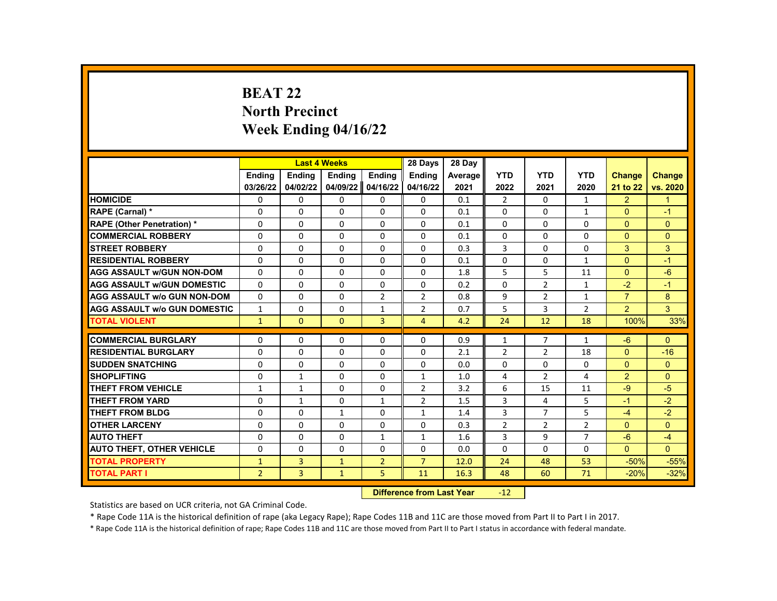# **BEAT 22 North Precinct Week Ending 04/16/22**

|                                     |                | <b>Last 4 Weeks</b> |               |                  | 28 Days                   | 28 Day  |                |                |                |                |               |
|-------------------------------------|----------------|---------------------|---------------|------------------|---------------------------|---------|----------------|----------------|----------------|----------------|---------------|
|                                     | <b>Endina</b>  | <b>Ending</b>       | <b>Ending</b> | Ending           | <b>Endina</b>             | Average | <b>YTD</b>     | <b>YTD</b>     | <b>YTD</b>     | <b>Change</b>  | <b>Change</b> |
|                                     | 03/26/22       | 04/02/22            | 04/09/22      | 04/16/22         | 04/16/22                  | 2021    | 2022           | 2021           | 2020           | 21 to 22       | vs. 2020      |
| <b>HOMICIDE</b>                     | 0              | 0                   | $\mathbf{0}$  | $\mathbf{0}$     | 0                         | 0.1     | 2              | $\mathbf{0}$   | $\mathbf{1}$   | $\overline{2}$ | $\mathbf{1}$  |
| RAPE (Carnal) *                     | 0              | 0                   | 0             | $\Omega$         | $\Omega$                  | 0.1     | $\Omega$       | 0              | $\mathbf{1}$   | $\Omega$       | $-1$          |
| <b>RAPE (Other Penetration) *</b>   | $\Omega$       | $\Omega$            | $\Omega$      | $\Omega$         | $\Omega$                  | 0.1     | $\Omega$       | $\Omega$       | $\Omega$       | $\Omega$       | $\Omega$      |
| <b>COMMERCIAL ROBBERY</b>           | 0              | 0                   | $\mathbf{0}$  | 0                | 0                         | 0.1     | 0              | 0              | 0              | $\mathbf{0}$   | $\mathbf{0}$  |
| <b>STREET ROBBERY</b>               | $\Omega$       | $\Omega$            | $\Omega$      | $\Omega$         | $\Omega$                  | 0.3     | 3              | $\Omega$       | $\Omega$       | 3              | 3             |
| <b>RESIDENTIAL ROBBERY</b>          | $\Omega$       | $\Omega$            | $\Omega$      | $\Omega$         | $\Omega$                  | 0.1     | $\Omega$       | $\Omega$       | $\mathbf{1}$   | $\Omega$       | $-1$          |
| <b>AGG ASSAULT w/GUN NON-DOM</b>    | $\Omega$       | $\Omega$            | 0             | $\Omega$         | $\Omega$                  | 1.8     | 5              | 5              | 11             | $\Omega$       | $-6$          |
| <b>AGG ASSAULT W/GUN DOMESTIC</b>   | $\Omega$       | $\Omega$            | $\Omega$      | $\Omega$         | $\Omega$                  | 0.2     | $\Omega$       | $\overline{2}$ | $\mathbf{1}$   | $-2$           | $-1$          |
| AGG ASSAULT w/o GUN NON-DOM         | $\Omega$       | $\Omega$            | $\Omega$      | $\overline{2}$   | $\overline{2}$            | 0.8     | 9              | $\overline{2}$ | $\mathbf{1}$   | $\overline{7}$ | 8             |
| <b>AGG ASSAULT w/o GUN DOMESTIC</b> | $\mathbf{1}$   | 0                   | 0             | $\mathbf{1}$     | 2                         | 0.7     | 5              | 3              | 2              | $\overline{2}$ | 3             |
| <b>TOTAL VIOLENT</b>                | $\mathbf{1}$   | $\Omega$            | $\Omega$      | $\overline{3}$   | $\overline{4}$            | 4.2     | 24             | 12             | 18             | 100%           | 33%           |
| <b>COMMERCIAL BURGLARY</b>          |                |                     |               |                  |                           |         |                | 7              |                | $-6$           |               |
|                                     | 0              | 0                   | 0             | 0                | 0                         | 0.9     | $\mathbf{1}$   |                | $\mathbf{1}$   |                | $\mathbf{0}$  |
| <b>RESIDENTIAL BURGLARY</b>         | 0              | 0                   | 0             | 0                | 0                         | 2.1     | $\overline{2}$ | $\overline{2}$ | 18             | $\mathbf{0}$   | $-16$         |
| <b>SUDDEN SNATCHING</b>             | $\Omega$       | $\Omega$            | $\Omega$      | $\Omega$         | $\Omega$                  | 0.0     | $\Omega$       | $\Omega$       | $\Omega$       | $\Omega$       | $\Omega$      |
| <b>SHOPLIFTING</b>                  | $\Omega$       | $\mathbf{1}$        | 0             | $\Omega$         | 1                         | 1.0     | 4              | $\overline{2}$ | 4              | $\overline{2}$ | $\Omega$      |
| <b>THEFT FROM VEHICLE</b>           | $\mathbf{1}$   | $\mathbf{1}$        | $\Omega$      | $\Omega$         | $\overline{2}$            | 3.2     | 6              | 15             | 11             | $-9$           | $-5$          |
| <b>THEFT FROM YARD</b>              | $\Omega$       | $\mathbf{1}$        | $\Omega$      | $\mathbf{1}$     | $\overline{2}$            | 1.5     | 3              | 4              | 5              | $-1$           | $-2$          |
| THEFT FROM BLDG                     | $\Omega$       | $\Omega$            | $\mathbf{1}$  | $\Omega$         | $\mathbf{1}$              | 1.4     | 3              | $\overline{7}$ | 5              | $-4$           | $-2$          |
| <b>OTHER LARCENY</b>                | $\Omega$       | $\Omega$            | $\Omega$      | $\Omega$         | $\Omega$                  | 0.3     | $\overline{2}$ | $\overline{2}$ | $\overline{2}$ | $\Omega$       | $\Omega$      |
| <b>AUTO THEFT</b>                   | $\Omega$       | $\Omega$            | $\Omega$      | $\mathbf{1}$     | $\mathbf{1}$              | 1.6     | 3              | 9              | $\overline{7}$ | $-6$           | $-4$          |
| <b>AUTO THEFT, OTHER VEHICLE</b>    | 0              | $\Omega$            | 0             | $\Omega$         | $\Omega$                  | 0.0     | 0              | 0              | 0              | $\mathbf{0}$   | $\Omega$      |
| <b>TOTAL PROPERTY</b>               | $\mathbf{1}$   | 3                   | $\mathbf{1}$  | $\overline{2}$   | $\overline{7}$            | 12.0    | 24             | 48             | 53             | $-50%$         | $-55%$        |
| <b>TOTAL PART I</b>                 | $\overline{2}$ | 3                   | $\mathbf{1}$  | 5                | 11                        | 16.3    | 48             | 60             | 71             | $-20%$         | $-32%$        |
|                                     |                |                     |               | <b>INSECTION</b> | a a Balance I a a t-Malan |         | $\sim$         |                |                |                |               |

**Difference from Last Year** -12

Statistics are based on UCR criteria, not GA Criminal Code.

\* Rape Code 11A is the historical definition of rape (aka Legacy Rape); Rape Codes 11B and 11C are those moved from Part II to Part I in 2017.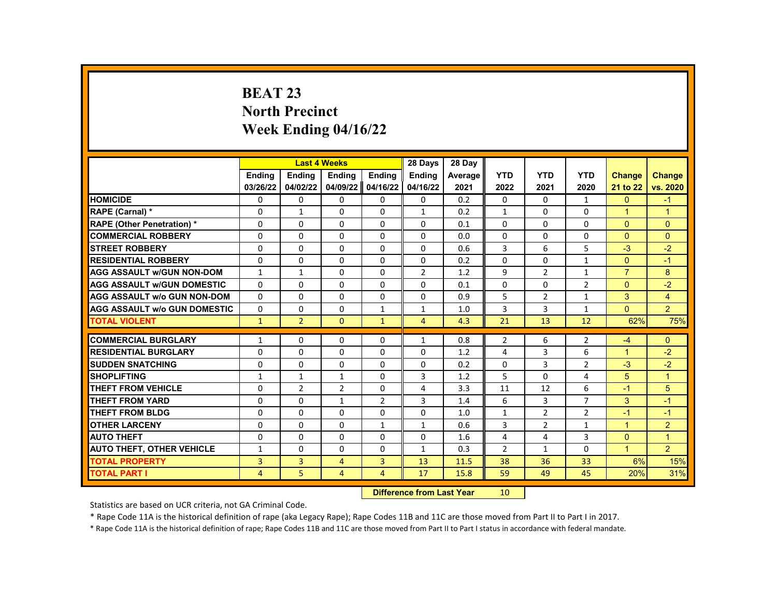# **BEAT 23 North Precinct Week Ending 04/16/22**

|                                     |                |                | <b>Last 4 Weeks</b> |                | 28 Days                   | 28 Day  |                 |                |                |                |                |
|-------------------------------------|----------------|----------------|---------------------|----------------|---------------------------|---------|-----------------|----------------|----------------|----------------|----------------|
|                                     | <b>Endina</b>  | <b>Ending</b>  | Ending              | Ending         | <b>Ending</b>             | Average | <b>YTD</b>      | <b>YTD</b>     | <b>YTD</b>     | <b>Change</b>  | <b>Change</b>  |
|                                     | 03/26/22       | 04/02/22       | 04/09/22            | 04/16/22       | 04/16/22                  | 2021    | 2022            | 2021           | 2020           | 21 to 22       | vs. 2020       |
| <b>HOMICIDE</b>                     | 0              | 0              | 0                   | 0              | 0                         | 0.2     | 0               | $\Omega$       | $\mathbf{1}$   | $\mathbf{0}$   | $-1$           |
| RAPE (Carnal) *                     | $\Omega$       | $\mathbf{1}$   | $\Omega$            | $\Omega$       | $\mathbf{1}$              | 0.2     | $\mathbf{1}$    | $\Omega$       | $\Omega$       | $\mathbf{1}$   | $\mathbf{1}$   |
| <b>RAPE (Other Penetration) *</b>   | $\Omega$       | $\Omega$       | $\Omega$            | $\Omega$       | $\Omega$                  | 0.1     | $\Omega$        | $\Omega$       | $\Omega$       | $\Omega$       | $\Omega$       |
| <b>COMMERCIAL ROBBERY</b>           | 0              | 0              | $\mathbf{0}$        | 0              | 0                         | 0.0     | $\mathbf{0}$    | 0              | 0              | $\Omega$       | $\mathbf{0}$   |
| <b>STREET ROBBERY</b>               | $\Omega$       | $\Omega$       | $\Omega$            | $\Omega$       | $\Omega$                  | 0.6     | 3               | 6              | 5              | $-3$           | $-2$           |
| <b>RESIDENTIAL ROBBERY</b>          | $\Omega$       | $\Omega$       | 0                   | $\Omega$       | $\Omega$                  | 0.2     | $\Omega$        | $\Omega$       | $\mathbf{1}$   | $\Omega$       | $-1$           |
| <b>AGG ASSAULT w/GUN NON-DOM</b>    | $\mathbf{1}$   | $\mathbf{1}$   | 0                   | 0              | $\overline{2}$            | 1.2     | 9               | $\overline{2}$ | $\mathbf{1}$   | $\overline{7}$ | 8              |
| <b>AGG ASSAULT W/GUN DOMESTIC</b>   | $\Omega$       | $\Omega$       | 0                   | $\Omega$       | $\Omega$                  | 0.1     | 0               | $\Omega$       | $\overline{2}$ | $\Omega$       | $-2$           |
| <b>AGG ASSAULT w/o GUN NON-DOM</b>  | $\Omega$       | $\Omega$       | 0                   | $\Omega$       | $\Omega$                  | 0.9     | 5               | $\overline{2}$ | $\mathbf{1}$   | 3              | $\overline{4}$ |
| <b>AGG ASSAULT W/o GUN DOMESTIC</b> | 0              | 0              | 0                   | $\mathbf{1}$   | 1                         | 1.0     | 3               | 3              | 1              | $\Omega$       | $\overline{2}$ |
| <b>TOTAL VIOLENT</b>                | $\mathbf{1}$   | $\overline{2}$ | $\mathbf{0}$        | $\mathbf{1}$   | $\overline{4}$            | 4.3     | 21              | 13             | 12             | 62%            | 75%            |
| <b>COMMERCIAL BURGLARY</b>          |                |                |                     |                |                           |         |                 |                |                |                |                |
| <b>RESIDENTIAL BURGLARY</b>         | 1              | 0              | 0                   | 0              | 1                         | 0.8     | $\overline{2}$  | 6              | 2<br>6         | $-4$           | $\Omega$       |
|                                     | 0              | $\Omega$       | $\Omega$            | $\Omega$       | $\Omega$                  | 1.2     | 4               | 3              |                | $\mathbf{1}$   | $-2$           |
| <b>SUDDEN SNATCHING</b>             | 0              | 0              | $\Omega$            | 0              | $\Omega$                  | 0.2     | $\Omega$        | 3              | $\overline{2}$ | $-3$           | $-2$           |
| <b>SHOPLIFTING</b>                  | $\mathbf{1}$   | $\mathbf{1}$   | $\mathbf{1}$        | $\Omega$       | 3                         | 1.2     | 5               | $\Omega$       | 4              | 5              | $\overline{1}$ |
| <b>THEFT FROM VEHICLE</b>           | $\Omega$       | $\overline{2}$ | $\overline{2}$      | $\Omega$       | 4                         | 3.3     | 11              | 12             | 6              | $-1$           | 5              |
| <b>THEFT FROM YARD</b>              | 0              | $\Omega$       | $\mathbf{1}$        | $\overline{2}$ | 3                         | 1.4     | 6               | 3              | $\overline{7}$ | 3              | $-1$           |
| <b>THEFT FROM BLDG</b>              | 0              | $\Omega$       | $\Omega$            | $\Omega$       | $\Omega$                  | 1.0     | $\mathbf{1}$    | $\overline{2}$ | $\overline{2}$ | $-1$           | $-1$           |
| <b>OTHER LARCENY</b>                | $\Omega$       | $\Omega$       | $\Omega$            | $\mathbf{1}$   | $\mathbf{1}$              | 0.6     | 3               | $\overline{2}$ | $\mathbf{1}$   | $\mathbf{1}$   | 2              |
| <b>AUTO THEFT</b>                   | 0              | 0              | $\Omega$            | $\Omega$       | $\Omega$                  | 1.6     | 4               | 4              | 3              | $\Omega$       | $\mathbf{1}$   |
| <b>AUTO THEFT, OTHER VEHICLE</b>    | $\mathbf{1}$   | $\Omega$       | $\Omega$            | $\Omega$       | $\mathbf{1}$              | 0.3     | $\overline{2}$  | $\mathbf{1}$   | $\Omega$       | $\overline{1}$ | $\overline{2}$ |
| <b>TOTAL PROPERTY</b>               | $\overline{3}$ | 3              | $\overline{4}$      | 3              | 13                        | 11.5    | 38              | 36             | 33             | 6%             | 15%            |
| <b>TOTAL PART I</b>                 | $\overline{4}$ | 5              | $\overline{4}$      | $\overline{4}$ | 17                        | 15.8    | 59              | 49             | 45             | 20%            | 31%            |
|                                     |                |                |                     |                | Difference from Lost Voor |         | 10 <sub>1</sub> |                |                |                |                |

**Difference from Last Year** 10

Statistics are based on UCR criteria, not GA Criminal Code.

\* Rape Code 11A is the historical definition of rape (aka Legacy Rape); Rape Codes 11B and 11C are those moved from Part II to Part I in 2017.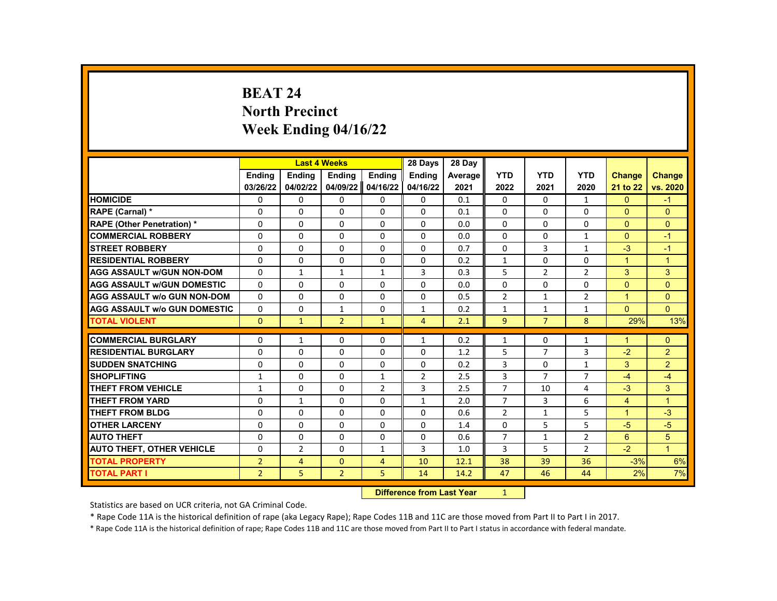# **BEAT 24 North Precinct Week Ending 04/16/22**

|                                     |                | <b>Last 4 Weeks</b> |                |                | 28 Days        | 28 Day                            |                |                |                |                |                |
|-------------------------------------|----------------|---------------------|----------------|----------------|----------------|-----------------------------------|----------------|----------------|----------------|----------------|----------------|
|                                     | <b>Endina</b>  | <b>Ending</b>       | Ending         | Ending         | <b>Ending</b>  | Average                           | <b>YTD</b>     | <b>YTD</b>     | <b>YTD</b>     | <b>Change</b>  | <b>Change</b>  |
|                                     | 03/26/22       | 04/02/22            | 04/09/22       | 04/16/22       | 04/16/22       | 2021                              | 2022           | 2021           | 2020           | 21 to 22       | vs. 2020       |
| <b>HOMICIDE</b>                     | 0              | 0                   | $\mathbf{0}$   | $\mathbf{0}$   | 0              | 0.1                               | $\mathbf{0}$   | $\Omega$       | $\mathbf{1}$   | $\mathbf{0}$   | $-1$           |
| RAPE (Carnal) *                     | 0              | $\Omega$            | 0              | $\Omega$       | $\Omega$       | 0.1                               | $\Omega$       | $\Omega$       | $\Omega$       | $\Omega$       | $\Omega$       |
| <b>RAPE (Other Penetration) *</b>   | $\Omega$       | $\Omega$            | $\Omega$       | $\Omega$       | $\Omega$       | 0.0                               | $\Omega$       | $\Omega$       | $\Omega$       | $\Omega$       | $\Omega$       |
| <b>COMMERCIAL ROBBERY</b>           | $\Omega$       | $\Omega$            | $\Omega$       | $\Omega$       | $\Omega$       | 0.0                               | $\Omega$       | $\Omega$       | 1              | $\Omega$       | $-1$           |
| <b>STREET ROBBERY</b>               | $\Omega$       | $\Omega$            | $\Omega$       | $\Omega$       | $\Omega$       | 0.7                               | $\Omega$       | 3              | $\mathbf{1}$   | $-3$           | $-1$           |
| <b>RESIDENTIAL ROBBERY</b>          | $\Omega$       | $\Omega$            | $\Omega$       | $\Omega$       | $\Omega$       | 0.2                               | $\mathbf{1}$   | $\Omega$       | $\Omega$       | $\mathbf{1}$   | $\mathbf{1}$   |
| <b>AGG ASSAULT w/GUN NON-DOM</b>    | 0              | $\mathbf{1}$        | $\mathbf{1}$   | $\mathbf{1}$   | 3              | 0.3                               | 5              | $\overline{2}$ | 2              | 3              | 3              |
| <b>AGG ASSAULT W/GUN DOMESTIC</b>   | $\Omega$       | $\Omega$            | 0              | $\Omega$       | $\Omega$       | 0.0                               | 0              | $\Omega$       | $\Omega$       | $\Omega$       | $\Omega$       |
| <b>AGG ASSAULT w/o GUN NON-DOM</b>  | $\Omega$       | $\Omega$            | $\Omega$       | $\Omega$       | $\Omega$       | 0.5                               | $\overline{2}$ | $\mathbf{1}$   | $\overline{2}$ | $\mathbf{1}$   | $\Omega$       |
| <b>AGG ASSAULT W/o GUN DOMESTIC</b> | 0              | 0                   | $\mathbf{1}$   | 0              | $\mathbf{1}$   | 0.2                               | $\mathbf{1}$   | $\mathbf{1}$   | $\mathbf{1}$   | $\mathbf{0}$   | $\Omega$       |
| <b>TOTAL VIOLENT</b>                | $\Omega$       | $\mathbf{1}$        | $\overline{2}$ | $\mathbf{1}$   | $\overline{4}$ | 2.1                               | $\overline{9}$ | $\overline{7}$ | 8              | 29%            | 13%            |
|                                     |                |                     |                |                |                |                                   |                |                |                |                |                |
| <b>COMMERCIAL BURGLARY</b>          | 0              | $\mathbf{1}$        | 0              | 0              | $\mathbf{1}$   | 0.2                               | $\mathbf{1}$   | 0              | $\mathbf{1}$   | 1              | $\mathbf{0}$   |
| <b>RESIDENTIAL BURGLARY</b>         | 0              | 0                   | 0              | $\Omega$       | 0              | 1.2                               | 5              | $\overline{7}$ | 3              | $-2$           | $\overline{2}$ |
| <b>SUDDEN SNATCHING</b>             | $\Omega$       | $\Omega$            | $\Omega$       | $\Omega$       | $\Omega$       | 0.2                               | 3              | $\Omega$       | $\mathbf{1}$   | 3              | 2              |
| <b>SHOPLIFTING</b>                  | $\mathbf{1}$   | $\Omega$            | 0              | $\mathbf{1}$   | $\overline{2}$ | 2.5                               | 3              | $\overline{7}$ | $\overline{7}$ | $-4$           | $-4$           |
| <b>THEFT FROM VEHICLE</b>           | $\mathbf{1}$   | 0                   | 0              | $\overline{2}$ | 3              | 2.5                               | $\overline{7}$ | 10             | 4              | $-3$           | 3              |
| THEFT FROM YARD                     | $\Omega$       | $\mathbf{1}$        | $\Omega$       | $\Omega$       | $\mathbf{1}$   | 2.0                               | $\overline{7}$ | $\overline{3}$ | 6              | $\overline{4}$ | $\mathbf{1}$   |
| <b>THEFT FROM BLDG</b>              | $\Omega$       | $\Omega$            | 0              | $\Omega$       | $\Omega$       | 0.6                               | $\overline{2}$ | $\mathbf{1}$   | 5              | $\mathbf{1}$   | $-3$           |
| <b>OTHER LARCENY</b>                | $\Omega$       | $\Omega$            | $\Omega$       | $\Omega$       | $\Omega$       | 1.4                               | $\Omega$       | 5              | 5              | $-5$           | $-5$           |
| <b>AUTO THEFT</b>                   | $\Omega$       | $\Omega$            | $\Omega$       | $\Omega$       | $\Omega$       | 0.6                               | $\overline{7}$ | $\mathbf{1}$   | $\overline{2}$ | 6              | 5              |
| <b>AUTO THEFT, OTHER VEHICLE</b>    | 0              | $\overline{2}$      | 0              | $\mathbf{1}$   | 3              | 1.0                               | 3              | 5              | $\overline{2}$ | $-2$           | $\mathbf{1}$   |
| <b>TOTAL PROPERTY</b>               | $\overline{2}$ | $\overline{4}$      | $\mathbf{0}$   | $\overline{4}$ | 10             | 12.1                              | 38             | 39             | 36             | $-3%$          | 6%             |
| <b>TOTAL PART I</b>                 | $\overline{2}$ | 5                   | $\overline{2}$ | 5              | 14             | 14.2                              | 47             | 46             | 44             | 2%             | 7%             |
|                                     |                |                     |                |                |                | <b>Difference from Look Vance</b> | $\sim$         |                |                |                |                |

**Difference from Last Year** 1

Statistics are based on UCR criteria, not GA Criminal Code.

\* Rape Code 11A is the historical definition of rape (aka Legacy Rape); Rape Codes 11B and 11C are those moved from Part II to Part I in 2017.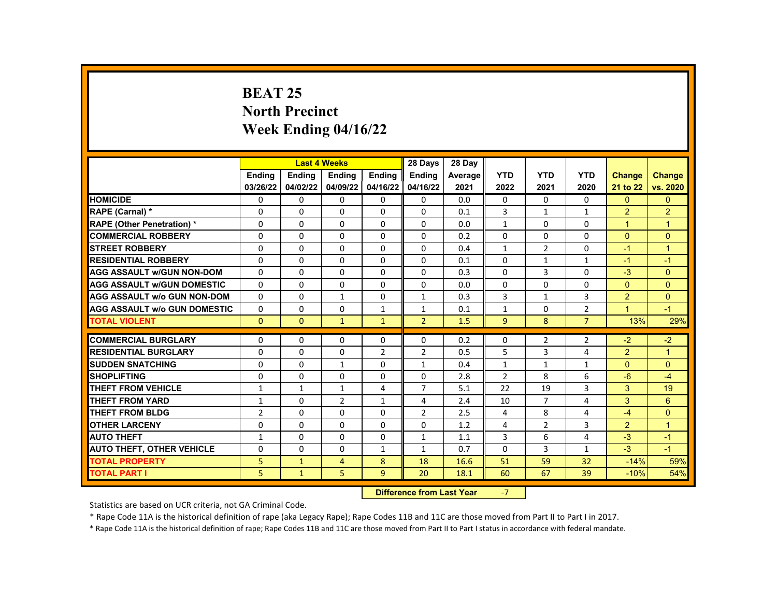# **BEAT 25 North Precinct Week Ending 04/16/22**

|                                     |                |                           | <b>Last 4 Weeks</b> |                | 28 Days        | 28 Day  |                |                |                |                      |                      |
|-------------------------------------|----------------|---------------------------|---------------------|----------------|----------------|---------|----------------|----------------|----------------|----------------------|----------------------|
|                                     | <b>Endina</b>  | <b>Endina</b>             | <b>Endina</b>       | <b>Endina</b>  | <b>Endina</b>  | Average | <b>YTD</b>     | <b>YTD</b>     | <b>YTD</b>     | <b>Change</b>        | <b>Change</b>        |
|                                     | 03/26/22       | 04/02/22                  | 04/09/22            | 04/16/22       | 04/16/22       | 2021    | 2022           | 2021           | 2020           | 21 to 22             | vs. 2020             |
| <b>HOMICIDE</b>                     | 0              | $\Omega$                  | $\Omega$            | 0              | 0              | 0.0     | $\Omega$       | $\Omega$       | $\Omega$       | $\Omega$             | $\mathbf{0}$         |
| <b>RAPE (Carnal) *</b>              | 0              | $\Omega$                  | 0                   | $\Omega$       | 0              | 0.1     | 3              | $\mathbf{1}$   | $\mathbf{1}$   | $\overline{2}$       | $\overline{2}$       |
| <b>RAPE (Other Penetration) *</b>   | 0              | $\Omega$                  | $\Omega$            | $\Omega$       | $\Omega$       | 0.0     | $\mathbf{1}$   | $\Omega$       | $\Omega$       | $\overline{1}$       | $\blacktriangleleft$ |
| <b>COMMERCIAL ROBBERY</b>           | 0              | $\Omega$                  | $\Omega$            | $\Omega$       | $\Omega$       | 0.2     | $\Omega$       | $\Omega$       | $\Omega$       | $\Omega$             | $\Omega$             |
| <b>STREET ROBBERY</b>               | 0              | $\Omega$                  | $\Omega$            | $\Omega$       | $\Omega$       | 0.4     | $\mathbf{1}$   | $\overline{2}$ | $\Omega$       | $-1$                 | $\blacktriangleleft$ |
| <b>RESIDENTIAL ROBBERY</b>          | 0              | $\Omega$                  | $\Omega$            | $\Omega$       | $\Omega$       | 0.1     | $\Omega$       | $\mathbf{1}$   | $\mathbf{1}$   | $-1$                 | $-1$                 |
| <b>AGG ASSAULT w/GUN NON-DOM</b>    | $\Omega$       | $\Omega$                  | $\Omega$            | 0              | 0              | 0.3     | $\Omega$       | 3              | $\Omega$       | $-3$                 | $\overline{0}$       |
| <b>AGG ASSAULT W/GUN DOMESTIC</b>   | 0              | $\Omega$                  | $\Omega$            | $\Omega$       | $\Omega$       | 0.0     | $\Omega$       | $\Omega$       | $\Omega$       | $\Omega$             | $\Omega$             |
| <b>AGG ASSAULT w/o GUN NON-DOM</b>  | 0              | $\Omega$                  | $\mathbf{1}$        | $\Omega$       | $\mathbf{1}$   | 0.3     | 3              | $\mathbf{1}$   | 3              | 2                    | $\Omega$             |
| <b>AGG ASSAULT W/o GUN DOMESTIC</b> | $\Omega$       | $\Omega$                  | $\Omega$            | $\mathbf{1}$   | $\mathbf{1}$   | 0.1     | $\mathbf{1}$   | $\mathbf{0}$   | $\overline{2}$ | $\blacktriangleleft$ | $-1$                 |
| <b>TOTAL VIOLENT</b>                | $\Omega$       | $\Omega$                  | $\mathbf{1}$        | $\mathbf{1}$   | $\overline{2}$ | 1.5     | $\overline{9}$ | 8              | $\overline{7}$ | 13%                  | 29%                  |
|                                     |                |                           |                     |                |                |         |                |                |                |                      |                      |
| <b>COMMERCIAL BURGLARY</b>          | 0              | $\Omega$                  | $\Omega$            | 0              | 0              | 0.2     | $\Omega$       | $\overline{2}$ | $\overline{2}$ | $-2$                 | $-2$                 |
| <b>RESIDENTIAL BURGLARY</b>         | 0              | 0                         | 0                   | $\overline{2}$ | 2              | 0.5     | 5              | 3              | 4              | $\overline{2}$       | $\overline{1}$       |
| <b>SUDDEN SNATCHING</b>             | $\Omega$       | $\Omega$                  | $\mathbf{1}$        | $\Omega$       | $\mathbf{1}$   | 0.4     | $\mathbf{1}$   | $\mathbf{1}$   | $\mathbf{1}$   | $\Omega$             | $\Omega$             |
| <b>SHOPLIFTING</b>                  | 0              | $\Omega$                  | $\Omega$            | 0              | $\Omega$       | 2.8     | $\overline{2}$ | 8              | 6              | $-6$                 | $-4$                 |
| <b>THEFT FROM VEHICLE</b>           | $\mathbf{1}$   | $\mathbf{1}$              | $\mathbf{1}$        | 4              | $\overline{7}$ | 5.1     | 22             | 19             | 3              | 3                    | 19                   |
| <b>THEFT FROM YARD</b>              | $\mathbf{1}$   | $\Omega$                  | $\overline{2}$      | $\mathbf{1}$   | 4              | 2.4     | 10             | $\overline{7}$ | 4              | $\mathbf{3}$         | 6                    |
| <b>THEFT FROM BLDG</b>              | $\overline{2}$ | $\Omega$                  | $\Omega$            | $\Omega$       | $\overline{2}$ | 2.5     | 4              | 8              | 4              | $-4$                 | $\mathbf{0}$         |
| <b>OTHER LARCENY</b>                | 0              | $\Omega$                  | $\Omega$            | $\Omega$       | 0              | 1.2     | 4              | $\overline{2}$ | 3              | 2                    | $\overline{1}$       |
| <b>AUTO THEFT</b>                   | $\mathbf{1}$   | $\Omega$                  | $\Omega$            | $\Omega$       | $\mathbf{1}$   | 1.1     | 3              | 6              | 4              | $-3$                 | $-1$                 |
| <b>AUTO THEFT, OTHER VEHICLE</b>    | 0              | $\Omega$                  | $\Omega$            | $\mathbf{1}$   | $\mathbf{1}$   | 0.7     | $\Omega$       | 3              | $\mathbf{1}$   | $-3$                 | $-1$                 |
| <b>TOTAL PROPERTY</b>               | 5              | $\mathbf{1}$              | 4                   | 8              | 18             | 16.6    | 51             | 59             | 32             | $-14%$               | 59%                  |
| <b>TOTAL PART I</b>                 | 5              | $\mathbf{1}$              | 5                   | $\overline{9}$ | 20             | 18.1    | 60             | 67             | 39             | $-10%$               | 54%                  |
|                                     |                | Difference from Loot Voor |                     | $\overline{ }$ |                |         |                |                |                |                      |                      |

**Difference from Last Year** 

Statistics are based on UCR criteria, not GA Criminal Code.

\* Rape Code 11A is the historical definition of rape (aka Legacy Rape); Rape Codes 11B and 11C are those moved from Part II to Part I in 2017.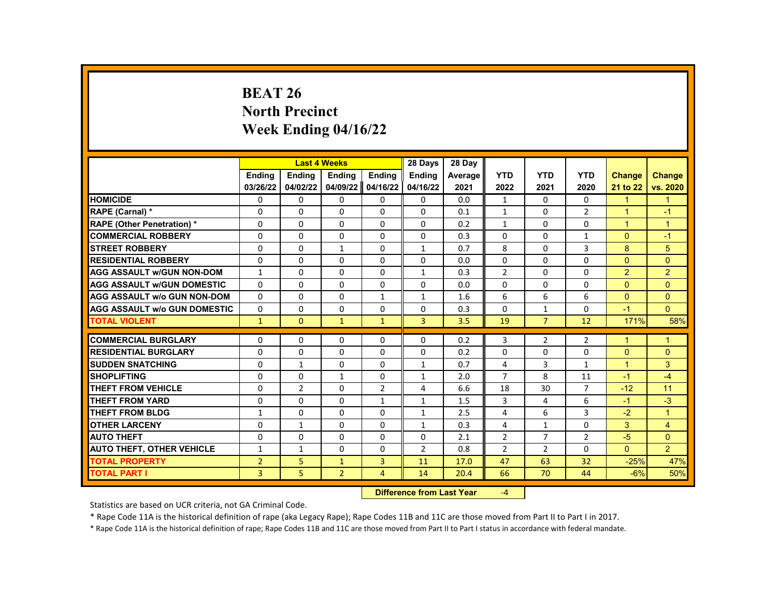# **BEAT 26 North Precinct Week Ending 04/16/22**

|                                     |                |                | <b>Last 4 Weeks</b> |                | 28 Days        | 28 Day  |                |                |                |               |                |
|-------------------------------------|----------------|----------------|---------------------|----------------|----------------|---------|----------------|----------------|----------------|---------------|----------------|
|                                     | Ending         | <b>Ending</b>  | <b>Ending</b>       | Ending         | <b>Ending</b>  | Average | <b>YTD</b>     | <b>YTD</b>     | <b>YTD</b>     | <b>Change</b> | <b>Change</b>  |
|                                     | 03/26/22       | 04/02/22       | 04/09/22            | 04/16/22       | 04/16/22       | 2021    | 2022           | 2021           | 2020           | 21 to 22      | vs. 2020       |
| <b>HOMICIDE</b>                     | 0              | 0              | 0                   | 0              | 0              | 0.0     | $\mathbf{1}$   | $\Omega$       | 0              | $\mathbf{1}$  | $\mathbf{1}$   |
| RAPE (Carnal) *                     | 0              | $\Omega$       | $\Omega$            | $\Omega$       | $\Omega$       | 0.1     | $\mathbf{1}$   | $\Omega$       | $\overline{2}$ | $\mathbf{1}$  | $-1$           |
| <b>RAPE (Other Penetration)*</b>    | $\Omega$       | $\Omega$       | $\Omega$            | $\Omega$       | $\Omega$       | 0.2     | $\mathbf{1}$   | $\Omega$       | $\Omega$       | $\mathbf{1}$  | $\mathbf{1}$   |
| <b>COMMERCIAL ROBBERY</b>           | $\Omega$       | 0              | $\Omega$            | 0              | $\Omega$       | 0.3     | $\Omega$       | 0              | 1              | $\Omega$      | $-1$           |
| <b>STREET ROBBERY</b>               | 0              | $\Omega$       | $\mathbf{1}$        | $\Omega$       | $\mathbf{1}$   | 0.7     | 8              | $\Omega$       | 3              | 8             | 5              |
| <b>RESIDENTIAL ROBBERY</b>          | $\Omega$       | $\Omega$       | $\Omega$            | $\Omega$       | $\Omega$       | 0.0     | $\Omega$       | $\Omega$       | $\Omega$       | $\Omega$      | $\Omega$       |
| <b>AGG ASSAULT w/GUN NON-DOM</b>    | $\mathbf{1}$   | $\Omega$       | $\Omega$            | $\Omega$       | $\mathbf{1}$   | 0.3     | $\overline{2}$ | $\Omega$       | $\Omega$       | 2             | $\overline{2}$ |
| <b>AGG ASSAULT w/GUN DOMESTIC</b>   | 0              | 0              | 0                   | 0              | 0              | 0.0     | 0              | 0              | 0              | $\Omega$      | $\mathbf{0}$   |
| <b>AGG ASSAULT w/o GUN NON-DOM</b>  | $\Omega$       | $\Omega$       | $\Omega$            | $\mathbf{1}$   | 1              | 1.6     | 6              | 6              | 6              | $\Omega$      | $\mathbf{0}$   |
| <b>AGG ASSAULT w/o GUN DOMESTIC</b> | $\Omega$       | 0              | $\Omega$            | 0              | 0              | 0.3     | $\Omega$       | $\mathbf{1}$   | $\Omega$       | $-1$          | $\Omega$       |
| <b>TOTAL VIOLENT</b>                | $\mathbf{1}$   | $\mathbf{0}$   | $\mathbf{1}$        | $\mathbf{1}$   | 3              | 3.5     | 19             | $\overline{7}$ | 12             | 171%          | 58%            |
|                                     |                |                |                     |                |                |         |                |                |                |               |                |
| <b>COMMERCIAL BURGLARY</b>          | 0              | 0              | 0                   | 0              | 0              | 0.2     | 3              | $\overline{2}$ | $\overline{2}$ | $\mathbf{1}$  | $\mathbf 1$    |
| <b>RESIDENTIAL BURGLARY</b>         | $\Omega$       | $\Omega$       | $\Omega$            | $\Omega$       | $\Omega$       | 0.2     | $\Omega$       | $\Omega$       | $\Omega$       | $\Omega$      | $\mathbf{0}$   |
| <b>SUDDEN SNATCHING</b>             | $\Omega$       | $\mathbf{1}$   | $\Omega$            | $\Omega$       | $\mathbf{1}$   | 0.7     | 4              | 3              | $\mathbf{1}$   | $\mathbf{1}$  | 3              |
| <b>SHOPLIFTING</b>                  | 0              | 0              | $\mathbf{1}$        | 0              | $\mathbf{1}$   | 2.0     | $\overline{7}$ | 8              | 11             | $-1$          | $-4$           |
| <b>THEFT FROM VEHICLE</b>           | $\Omega$       | $\overline{2}$ | $\Omega$            | $\overline{2}$ | $\overline{4}$ | 6.6     | 18             | 30             | $\overline{7}$ | $-12$         | 11             |
| <b>THEFT FROM YARD</b>              | $\Omega$       | $\Omega$       | $\Omega$            | $\mathbf{1}$   | $\mathbf{1}$   | 1.5     | 3              | 4              | 6              | $-1$          | $-3$           |
| <b>THEFT FROM BLDG</b>              | 1              | 0              | 0                   | 0              | 1              | 2.5     | 4              | 6              | 3              | $-2$          | $\mathbf{1}$   |
| <b>OTHER LARCENY</b>                | $\Omega$       | $\mathbf{1}$   | $\Omega$            | $\Omega$       | $\mathbf{1}$   | 0.3     | 4              | $\mathbf{1}$   | $\Omega$       | 3             | $\overline{4}$ |
| <b>AUTO THEFT</b>                   | $\Omega$       | $\Omega$       | $\Omega$            | $\Omega$       | $\Omega$       | 2.1     | $\overline{2}$ | $\overline{7}$ | $\overline{2}$ | $-5$          | $\Omega$       |
| <b>AUTO THEFT, OTHER VEHICLE</b>    | $\mathbf{1}$   | 1              | 0                   | 0              | $\overline{2}$ | 0.8     | $\overline{2}$ | $\overline{2}$ | 0              | $\Omega$      | $\overline{2}$ |
| <b>TOTAL PROPERTY</b>               | $\overline{2}$ | 5              | $\mathbf{1}$        | 3              | 11             | 17.0    | 47             | 63             | 32             | $-25%$        | 47%            |
| <b>TOTAL PART I</b>                 | 3              | 5              | $\overline{2}$      | $\overline{4}$ | 14             | 20.4    | 66             | 70             | 44             | $-6%$         | 50%            |
|                                     |                |                |                     | <b>INSECUL</b> |                |         |                |                |                |               |                |

**Difference from Last Year** -4

Statistics are based on UCR criteria, not GA Criminal Code.

\* Rape Code 11A is the historical definition of rape (aka Legacy Rape); Rape Codes 11B and 11C are those moved from Part II to Part I in 2017.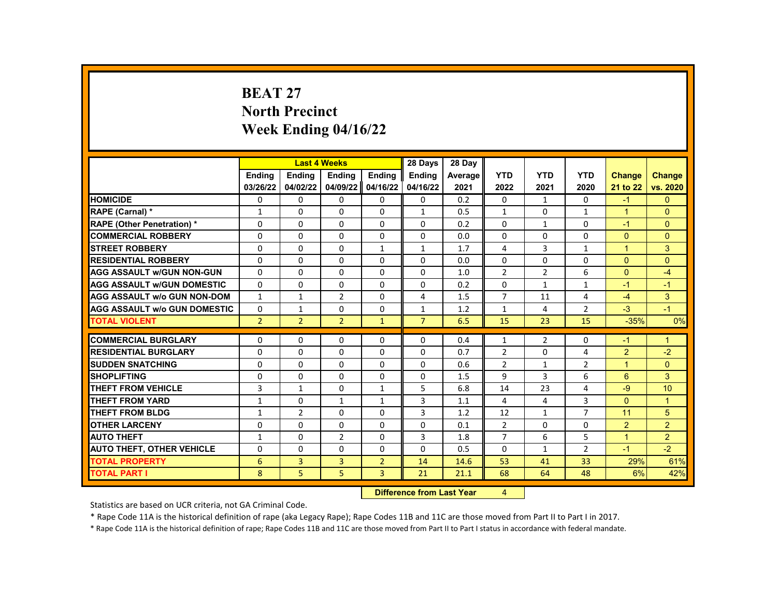# **BEAT 27 North Precinct Week Ending 04/16/22**

|                                     |                | <b>Last 4 Weeks</b> |                |                | 28 Days                      | 28 Day  |                |                |                |                |                 |
|-------------------------------------|----------------|---------------------|----------------|----------------|------------------------------|---------|----------------|----------------|----------------|----------------|-----------------|
|                                     | <b>Endina</b>  | <b>Ending</b>       | Ending         | Ending         | <b>Ending</b>                | Average | <b>YTD</b>     | <b>YTD</b>     | <b>YTD</b>     | <b>Change</b>  | <b>Change</b>   |
|                                     | 03/26/22       | 04/02/22            | 04/09/22       | 04/16/22       | 04/16/22                     | 2021    | 2022           | 2021           | 2020           | 21 to 22       | vs. 2020        |
| <b>HOMICIDE</b>                     | 0              | 0                   | 0              | $\mathbf{0}$   | 0                            | 0.2     | $\mathbf{0}$   | $\mathbf{1}$   | 0              | $-1$           | $\mathbf{0}$    |
| RAPE (Carnal) *                     | $\mathbf{1}$   | $\Omega$            | 0              | 0              | $\mathbf{1}$                 | 0.5     | $\mathbf{1}$   | $\Omega$       | $\mathbf{1}$   | $\mathbf{1}$   | $\Omega$        |
| <b>RAPE (Other Penetration) *</b>   | 0              | $\Omega$            | $\Omega$       | $\Omega$       | $\Omega$                     | 0.2     | $\Omega$       | $\mathbf{1}$   | $\Omega$       | $-1$           | $\Omega$        |
| <b>COMMERCIAL ROBBERY</b>           | 0              | 0                   | 0              | 0              | 0                            | 0.0     | $\Omega$       | 0              | 0              | $\Omega$       | $\mathbf{0}$    |
| <b>STREET ROBBERY</b>               | 0              | $\Omega$            | 0              | $\mathbf{1}$   | $\mathbf{1}$                 | 1.7     | 4              | $\overline{3}$ | $\mathbf{1}$   | $\mathbf{1}$   | 3               |
| <b>RESIDENTIAL ROBBERY</b>          | $\Omega$       | $\Omega$            | $\Omega$       | $\Omega$       | $\Omega$                     | 0.0     | $\Omega$       | $\Omega$       | $\Omega$       | $\Omega$       | $\Omega$        |
| <b>AGG ASSAULT w/GUN NON-GUN</b>    | $\Omega$       | $\Omega$            | 0              | 0              | $\Omega$                     | 1.0     | $\overline{2}$ | $\overline{2}$ | 6              | $\Omega$       | $-4$            |
| <b>AGG ASSAULT w/GUN DOMESTIC</b>   | 0              | 0                   | 0              | 0              | 0                            | 0.2     | 0              | $\mathbf{1}$   | 1              | $-1$           | $-1$            |
| <b>AGG ASSAULT w/o GUN NON-DOM</b>  | $\mathbf{1}$   | $\mathbf{1}$        | $\overline{2}$ | $\Omega$       | $\overline{4}$               | 1.5     | $\overline{7}$ | 11             | 4              | $-4$           | 3               |
| <b>AGG ASSAULT w/o GUN DOMESTIC</b> | $\Omega$       | 1                   | 0              | 0              | $\mathbf 1$                  | 1.2     | $\mathbf{1}$   | 4              | $\overline{2}$ | $-3$           | $-1$            |
| <b>TOTAL VIOLENT</b>                | $\overline{2}$ | $\overline{2}$      | $\overline{2}$ | $\mathbf{1}$   | $\overline{7}$               | 6.5     | 15             | 23             | 15             | $-35%$         | 0%              |
|                                     |                |                     |                |                |                              |         |                |                |                |                |                 |
| <b>COMMERCIAL BURGLARY</b>          | 0              | $\Omega$            | 0              | 0              | 0                            | 0.4     | $\mathbf{1}$   | $\overline{2}$ | 0              | $-1$           | 1               |
| <b>RESIDENTIAL BURGLARY</b>         | $\Omega$       | $\Omega$            | $\Omega$       | $\Omega$       | $\Omega$                     | 0.7     | $\overline{2}$ | $\Omega$       | 4              | $\overline{2}$ | $-2$            |
| <b>SUDDEN SNATCHING</b>             | 0              | $\Omega$            | $\Omega$       | 0              | $\Omega$                     | 0.6     | $\overline{2}$ | $\mathbf{1}$   | $\overline{2}$ | $\mathbf{1}$   | $\Omega$        |
| <b>SHOPLIFTING</b>                  | 0              | $\Omega$            | 0              | 0              | 0                            | 1.5     | 9              | 3              | 6              | 6              | 3               |
| <b>THEFT FROM VEHICLE</b>           | 3              | $\mathbf{1}$        | $\Omega$       | 1              | 5                            | 6.8     | 14             | 23             | 4              | $-9$           | 10 <sup>1</sup> |
| <b>THEFT FROM YARD</b>              | $\mathbf{1}$   | $\Omega$            | $\mathbf{1}$   | $\mathbf{1}$   | $\overline{3}$               | 1.1     | 4              | 4              | 3              | $\Omega$       | $\overline{1}$  |
| <b>THEFT FROM BLDG</b>              | $\mathbf{1}$   | $\overline{2}$      | $\Omega$       | 0              | 3                            | 1.2     | 12             | $\mathbf{1}$   | 7              | 11             | 5               |
| <b>OTHER LARCENY</b>                | $\Omega$       | $\Omega$            | $\Omega$       | $\Omega$       | $\Omega$                     | 0.1     | $\overline{2}$ | $\Omega$       | $\Omega$       | 2              | $\overline{2}$  |
| <b>AUTO THEFT</b>                   | $\mathbf{1}$   | $\Omega$            | $\overline{2}$ | $\Omega$       | $\overline{3}$               | 1.8     | $\overline{7}$ | 6              | 5              | $\mathbf{1}$   | 2               |
| <b>AUTO THEFT, OTHER VEHICLE</b>    | 0              | 0                   | $\Omega$       | 0              | $\Omega$                     | 0.5     | $\mathbf{0}$   | $\mathbf{1}$   | $\overline{2}$ | $-1$           | $-2$            |
| <b>TOTAL PROPERTY</b>               | 6              | $\overline{3}$      | 3              | $\overline{2}$ | 14                           | 14.6    | 53             | 41             | 33             | 29%            | 61%             |
| <b>TOTAL PART I</b>                 | 8              | 5                   | 5              | 3              | 21                           | 21.1    | 68             | 64             | 48             | 6%             | 42%             |
|                                     |                |                     |                | <b>INSECUL</b> | a a dheanna 1 an a 17 Main 1 |         |                |                |                |                |                 |

**Difference from Last Year** 4

Statistics are based on UCR criteria, not GA Criminal Code.

\* Rape Code 11A is the historical definition of rape (aka Legacy Rape); Rape Codes 11B and 11C are those moved from Part II to Part I in 2017.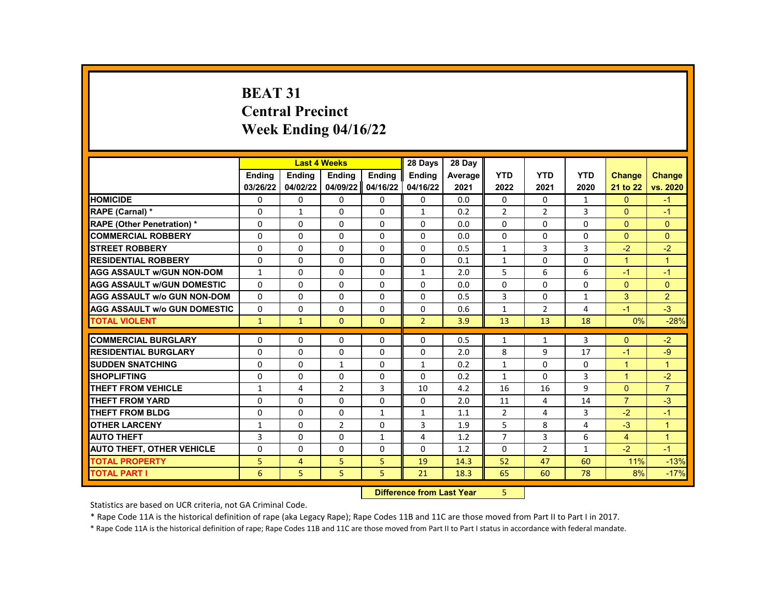# **BEAT 31 Central Precinct Week Ending 04/16/22**

|                                     |               | <b>Last 4 Weeks</b> |                |                | 28 Days                  | 28 Day  |                |                |              |                |                |
|-------------------------------------|---------------|---------------------|----------------|----------------|--------------------------|---------|----------------|----------------|--------------|----------------|----------------|
|                                     | <b>Endina</b> | <b>Endina</b>       | <b>Ending</b>  | <b>Ending</b>  | Ending                   | Average | <b>YTD</b>     | <b>YTD</b>     | <b>YTD</b>   | <b>Change</b>  | <b>Change</b>  |
|                                     | 03/26/22      | 04/02/22            | 04/09/22       | 04/16/22       | 04/16/22                 | 2021    | 2022           | 2021           | 2020         | 21 to 22       | vs. 2020       |
| <b>HOMICIDE</b>                     | 0             | $\mathbf{0}$        | $\Omega$       | $\mathbf{0}$   | 0                        | 0.0     | 0              | 0              | $\mathbf{1}$ | $\mathbf{0}$   | $-1$           |
| RAPE (Carnal) *                     | $\Omega$      | $\mathbf{1}$        | $\Omega$       | $\Omega$       | $\mathbf{1}$             | 0.2     | $\overline{2}$ | $\overline{2}$ | 3            | $\mathbf{0}$   | $-1$           |
| <b>RAPE (Other Penetration) *</b>   | $\Omega$      | $\Omega$            | $\Omega$       | $\Omega$       | $\Omega$                 | 0.0     | $\Omega$       | $\Omega$       | $\Omega$     | $\Omega$       | $\Omega$       |
| <b>COMMERCIAL ROBBERY</b>           | 0             | 0                   | 0              | 0              | 0                        | 0.0     | 0              | 0              | 0            | $\Omega$       | $\mathbf{0}$   |
| <b>STREET ROBBERY</b>               | $\Omega$      | 0                   | $\Omega$       | $\Omega$       | $\Omega$                 | 0.5     | $\mathbf{1}$   | 3              | 3            | $-2$           | $-2$           |
| <b>RESIDENTIAL ROBBERY</b>          | $\Omega$      | $\Omega$            | $\Omega$       | $\Omega$       | $\Omega$                 | 0.1     | $\mathbf{1}$   | $\Omega$       | $\Omega$     | $\mathbf{1}$   | $\overline{1}$ |
| <b>AGG ASSAULT w/GUN NON-DOM</b>    | $\mathbf{1}$  | $\Omega$            | $\Omega$       | $\Omega$       | $\mathbf{1}$             | 2.0     | 5              | 6              | 6            | $-1$           | $-1$           |
| <b>AGG ASSAULT w/GUN DOMESTIC</b>   | $\Omega$      | $\Omega$            | $\Omega$       | $\Omega$       | 0                        | 0.0     | 0              | $\Omega$       | $\Omega$     | $\Omega$       | $\Omega$       |
| <b>AGG ASSAULT w/o GUN NON-DOM</b>  | $\Omega$      | $\Omega$            | $\Omega$       | $\Omega$       | 0                        | 0.5     | 3              | $\Omega$       | $\mathbf{1}$ | 3              | 2              |
| <b>AGG ASSAULT w/o GUN DOMESTIC</b> | 0             | 0                   | 0              | 0              | 0                        | 0.6     | $\mathbf{1}$   | $\overline{2}$ | 4            | $-1$           | $-3$           |
| <b>TOTAL VIOLENT</b>                | $\mathbf{1}$  | $\mathbf{1}$        | $\Omega$       | $\mathbf{0}$   | $\overline{2}$           | 3.9     | 13             | 13             | 18           | 0%             | $-28%$         |
|                                     |               |                     |                |                |                          |         |                |                |              |                |                |
| <b>COMMERCIAL BURGLARY</b>          | 0             | 0                   | 0              | $\Omega$       | 0                        | 0.5     | 1              | $\mathbf{1}$   | 3            | $\Omega$       | $-2$           |
| <b>RESIDENTIAL BURGLARY</b>         | 0             | 0                   | 0              | 0              | 0                        | 2.0     | 8              | 9              | 17           | $-1$           | $-9$           |
| <b>SUDDEN SNATCHING</b>             | $\Omega$      | $\Omega$            | $\mathbf{1}$   | $\Omega$       | $\mathbf{1}$             | 0.2     | $\mathbf{1}$   | $\Omega$       | $\Omega$     | $\mathbf{1}$   | $\mathbf{1}$   |
| <b>SHOPLIFTING</b>                  | $\Omega$      | 0                   | $\Omega$       | 0              | 0                        | 0.2     | $\mathbf{1}$   | $\Omega$       | 3            | $\mathbf{1}$   | $-2$           |
| <b>THEFT FROM VEHICLE</b>           | $\mathbf{1}$  | 4                   | $\overline{2}$ | 3              | 10                       | 4.2     | 16             | 16             | 9            | $\Omega$       | $\overline{7}$ |
| <b>THEFT FROM YARD</b>              | $\Omega$      | $\Omega$            | $\Omega$       | $\Omega$       | $\Omega$                 | 2.0     | 11             | 4              | 14           | $\overline{7}$ | $-3$           |
| <b>THEFT FROM BLDG</b>              | $\Omega$      | $\Omega$            | $\Omega$       | $\mathbf{1}$   | $\mathbf{1}$             | 1.1     | $\overline{2}$ | 4              | 3            | $-2$           | $-1$           |
| <b>OTHER LARCENY</b>                | $\mathbf{1}$  | $\Omega$            | $\overline{2}$ | $\Omega$       | 3                        | 1.9     | 5              | 8              | 4            | $-3$           | $\mathbf{1}$   |
| <b>AUTO THEFT</b>                   | 3             | $\Omega$            | $\Omega$       | $\mathbf{1}$   | 4                        | 1.2     | $\overline{7}$ | 3              | 6            | 4              | $\overline{1}$ |
| <b>AUTO THEFT, OTHER VEHICLE</b>    | $\Omega$      | 0                   | $\Omega$       | 0              | 0                        | 1.2     | 0              | $\overline{2}$ | 1            | $-2$           | $-1$           |
| <b>TOTAL PROPERTY</b>               | 5             | 4                   | 5              | 5              | 19                       | 14.3    | 52             | 47             | 60           | 11%            | $-13%$         |
| <b>TOTAL PART I</b>                 | 6             | 5                   | 5              | 5              | 21                       | 18.3    | 65             | 60             | 78           | 8%             | $-17%$         |
|                                     |               |                     |                | <b>INSECUL</b> | a a dheanna 1 anns 17ann |         | $\mathbf{r}$   |                |              |                |                |

**Difference from Last Year** 5

Statistics are based on UCR criteria, not GA Criminal Code.

\* Rape Code 11A is the historical definition of rape (aka Legacy Rape); Rape Codes 11B and 11C are those moved from Part II to Part I in 2017.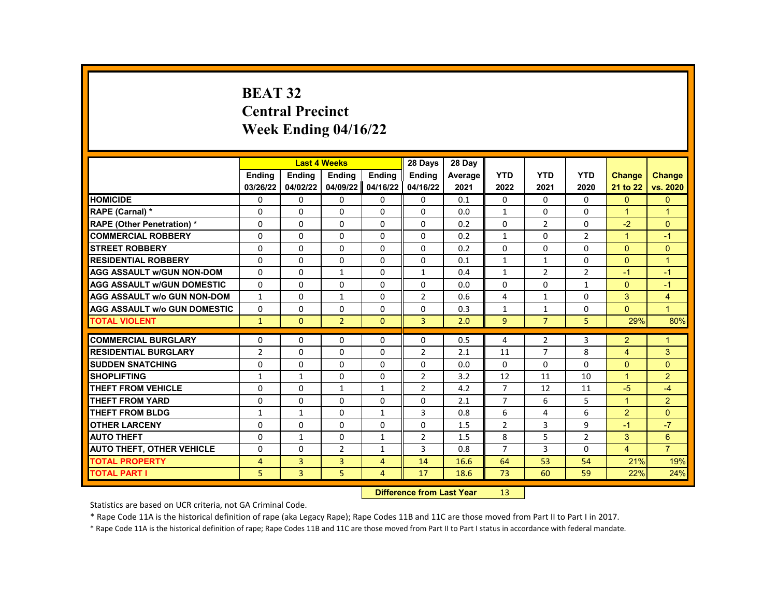# **BEAT 32 Central Precinct Week Ending 04/16/22**

|                                     |                |               | <b>Last 4 Weeks</b> |                | 28 Days                   | 28 Day  |                |                |                |                      |                |
|-------------------------------------|----------------|---------------|---------------------|----------------|---------------------------|---------|----------------|----------------|----------------|----------------------|----------------|
|                                     | <b>Endina</b>  | <b>Ending</b> | Ending              | Ending         | <b>Ending</b>             | Average | <b>YTD</b>     | <b>YTD</b>     | <b>YTD</b>     | <b>Change</b>        | <b>Change</b>  |
|                                     | 03/26/22       | 04/02/22      | 04/09/22            | 04/16/22       | 04/16/22                  | 2021    | 2022           | 2021           | 2020           | 21 to 22             | vs. 2020       |
| <b>HOMICIDE</b>                     | 0              | 0             | 0                   | 0              | 0                         | 0.1     | 0              | $\Omega$       | 0              | $\mathbf{0}$         | $\mathbf{0}$   |
| RAPE (Carnal) *                     | $\Omega$       | $\Omega$      | $\Omega$            | $\Omega$       | $\Omega$                  | 0.0     | $\mathbf{1}$   | $\Omega$       | $\Omega$       | $\mathbf{1}$         | $\mathbf{1}$   |
| RAPE (Other Penetration) *          | 0              | $\Omega$      | $\Omega$            | $\Omega$       | $\Omega$                  | 0.2     | $\Omega$       | $\overline{2}$ | $\Omega$       | $-2$                 | $\Omega$       |
| <b>COMMERCIAL ROBBERY</b>           | $\Omega$       | $\Omega$      | $\Omega$            | $\Omega$       | $\Omega$                  | 0.2     | $\mathbf{1}$   | $\Omega$       | $\overline{2}$ | $\mathbf{1}$         | $-1$           |
| <b>STREET ROBBERY</b>               | $\Omega$       | $\Omega$      | $\Omega$            | $\Omega$       | $\Omega$                  | 0.2     | $\Omega$       | $\Omega$       | $\Omega$       | $\Omega$             | $\Omega$       |
| <b>RESIDENTIAL ROBBERY</b>          | $\Omega$       | $\Omega$      | $\Omega$            | $\Omega$       | $\Omega$                  | 0.1     | $\mathbf{1}$   | $\mathbf{1}$   | $\Omega$       | $\Omega$             | $\overline{1}$ |
| <b>AGG ASSAULT w/GUN NON-DOM</b>    | $\Omega$       | 0             | $\mathbf{1}$        | 0              | 1                         | 0.4     | $\mathbf{1}$   | $\overline{2}$ | 2              | $-1$                 | $-1$           |
| <b>AGG ASSAULT w/GUN DOMESTIC</b>   | 0              | 0             | 0                   | 0              | 0                         | 0.0     | $\Omega$       | $\Omega$       | 1              | $\Omega$             | $-1$           |
| <b>AGG ASSAULT w/o GUN NON-DOM</b>  | $\mathbf{1}$   | $\Omega$      | $\mathbf{1}$        | $\Omega$       | $\overline{2}$            | 0.6     | 4              | $\mathbf{1}$   | $\Omega$       | 3                    | $\overline{4}$ |
| <b>AGG ASSAULT w/o GUN DOMESTIC</b> | $\Omega$       | 0             | $\Omega$            | 0              | 0                         | 0.3     | $\mathbf{1}$   | $\mathbf{1}$   | 0              | $\Omega$             | $\mathbf{1}$   |
| <b>TOTAL VIOLENT</b>                | $\mathbf{1}$   | $\mathbf{0}$  | $\overline{2}$      | $\mathbf{0}$   | 3                         | 2.0     | 9              | $\overline{7}$ | 5              | 29%                  | 80%            |
|                                     |                |               |                     |                |                           |         |                |                |                |                      |                |
| <b>COMMERCIAL BURGLARY</b>          | 0              | 0             | 0                   | 0              | 0                         | 0.5     | 4              | 2              | 3              | $\overline{2}$       | 1              |
| <b>RESIDENTIAL BURGLARY</b>         | $\overline{2}$ | $\Omega$      | $\Omega$            | $\Omega$       | $\overline{2}$            | 2.1     | 11             | $\overline{7}$ | 8              | $\overline{4}$       | 3              |
| <b>SUDDEN SNATCHING</b>             | $\Omega$       | 0             | $\Omega$            | 0              | $\Omega$                  | 0.0     | $\Omega$       | $\Omega$       | $\Omega$       | $\Omega$             | $\Omega$       |
| <b>SHOPLIFTING</b>                  | 1              | $\mathbf{1}$  | $\Omega$            | $\Omega$       | $\overline{2}$            | 3.2     | 12             | 11             | 10             | $\blacktriangleleft$ | $\overline{2}$ |
| <b>THEFT FROM VEHICLE</b>           | $\Omega$       | $\Omega$      | $\mathbf{1}$        | $\mathbf{1}$   | $\overline{2}$            | 4.2     | $\overline{7}$ | 12             | 11             | $-5$                 | $-4$           |
| <b>THEFT FROM YARD</b>              | $\Omega$       | $\Omega$      | $\Omega$            | $\Omega$       | $\Omega$                  | 2.1     | $\overline{7}$ | 6              | 5              | $\mathbf{1}$         | 2              |
| <b>THEFT FROM BLDG</b>              | $\mathbf{1}$   | $\mathbf{1}$  | $\Omega$            | 1              | 3                         | 0.8     | 6              | 4              | 6              | $\overline{2}$       | $\Omega$       |
| <b>OTHER LARCENY</b>                | $\Omega$       | $\Omega$      | $\Omega$            | $\Omega$       | $\Omega$                  | 1.5     | $\overline{2}$ | 3              | 9              | $-1$                 | $-7$           |
| <b>AUTO THEFT</b>                   | 0              | $\mathbf{1}$  | 0                   | $\mathbf{1}$   | 2                         | 1.5     | 8              | 5              | $\overline{2}$ | 3                    | 6              |
| <b>AUTO THEFT, OTHER VEHICLE</b>    | 0              | $\Omega$      | $\overline{2}$      | $\mathbf{1}$   | 3                         | 0.8     | $\overline{7}$ | 3              | 0              | 4                    | $\overline{7}$ |
| <b>TOTAL PROPERTY</b>               | 4              | 3             | 3                   | $\overline{4}$ | 14                        | 16.6    | 64             | 53             | 54             | 21%                  | 19%            |
| <b>TOTAL PART I</b>                 | 5              | 3             | 5                   | $\overline{4}$ | 17                        | 18.6    | 73             | 60             | 59             | 22%                  | 24%            |
|                                     |                |               |                     |                | Difference from Loot Voor |         | 12             |                |                |                      |                |

**Difference from Last Year** 13

Statistics are based on UCR criteria, not GA Criminal Code.

\* Rape Code 11A is the historical definition of rape (aka Legacy Rape); Rape Codes 11B and 11C are those moved from Part II to Part I in 2017.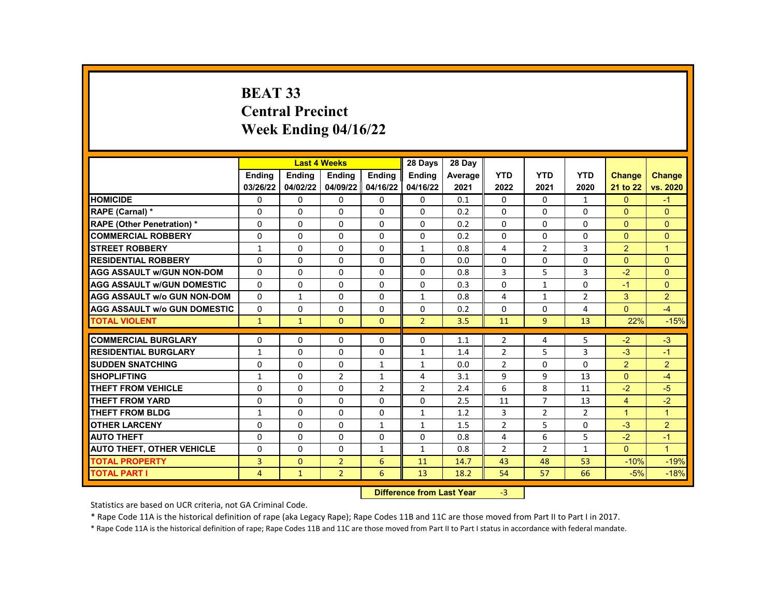# **BEAT 33 Central Precinct Week Ending 04/16/22**

|                                     |              | <b>Last 4 Weeks</b> |                   |                  | 28 Days                   | 28 Day         |                |                |                |                      |                      |
|-------------------------------------|--------------|---------------------|-------------------|------------------|---------------------------|----------------|----------------|----------------|----------------|----------------------|----------------------|
|                                     | Ending       | <b>Ending</b>       | Ending            | Ending           | <b>Ending</b>             | <b>Average</b> | <b>YTD</b>     | <b>YTD</b>     | <b>YTD</b>     | <b>Change</b>        | <b>Change</b>        |
|                                     | 03/26/22     | 04/02/22            | 04/09/22 04/16/22 |                  | 04/16/22                  | 2021           | 2022           | 2021           | 2020           | 21 to 22             | vs. 2020             |
| <b>HOMICIDE</b>                     | 0            | $\mathbf{0}$        | 0                 | 0                | $\mathbf{0}$              | 0.1            | 0              | $\Omega$       | $\mathbf{1}$   | $\Omega$             | $-1$                 |
| RAPE (Carnal) *                     | $\Omega$     | $\Omega$            | 0                 | $\Omega$         | $\Omega$                  | 0.2            | $\Omega$       | $\Omega$       | $\Omega$       | $\mathbf{0}$         | $\Omega$             |
| <b>RAPE (Other Penetration) *</b>   | $\Omega$     | $\Omega$            | $\Omega$          | $\Omega$         | $\Omega$                  | 0.2            | $\Omega$       | $\Omega$       | $\Omega$       | $\Omega$             | $\Omega$             |
| <b>COMMERCIAL ROBBERY</b>           | 0            | 0                   | 0                 | $\mathbf{0}$     | 0                         | 0.2            | 0              | 0              | 0              | $\overline{0}$       | $\mathbf{0}$         |
| <b>STREET ROBBERY</b>               | $\mathbf{1}$ | $\Omega$            | 0                 | $\Omega$         | $\mathbf{1}$              | 0.8            | 4              | $\overline{2}$ | 3              | 2                    | $\overline{1}$       |
| <b>RESIDENTIAL ROBBERY</b>          | $\Omega$     | $\Omega$            | $\Omega$          | $\Omega$         | $\Omega$                  | 0.0            | $\Omega$       | $\Omega$       | $\Omega$       | $\Omega$             | $\Omega$             |
| <b>AGG ASSAULT w/GUN NON-DOM</b>    | $\Omega$     | $\Omega$            | $\Omega$          | $\mathbf{0}$     | $\Omega$                  | 0.8            | 3              | 5              | 3              | $-2$                 | $\Omega$             |
| <b>AGG ASSAULT w/GUN DOMESTIC</b>   | $\Omega$     | $\mathbf 0$         | 0                 | 0                | 0                         | 0.3            | $\Omega$       | $\mathbf{1}$   | $\Omega$       | $-1$                 | $\Omega$             |
| <b>AGG ASSAULT w/o GUN NON-DOM</b>  | $\Omega$     | $\mathbf{1}$        | $\mathbf{0}$      | $\Omega$         | $\mathbf{1}$              | 0.8            | 4              | $\mathbf{1}$   | $\overline{2}$ | 3                    | $\overline{2}$       |
| <b>AGG ASSAULT W/o GUN DOMESTIC</b> | $\Omega$     | 0                   | 0                 | 0                | $\Omega$                  | 0.2            | $\Omega$       | $\Omega$       | 4              | $\Omega$             | $-4$                 |
| <b>TOTAL VIOLENT</b>                | $\mathbf{1}$ | $\mathbf{1}$        | $\Omega$          | $\Omega$         | $\overline{2}$            | 3.5            | 11             | 9              | 13             | 22%                  | $-15%$               |
|                                     |              |                     |                   |                  |                           |                |                |                |                |                      |                      |
| <b>COMMERCIAL BURGLARY</b>          | 0            | 0                   | $\Omega$          | $\mathbf{0}$     | 0                         | 1.1            | $\overline{2}$ | 4              | 5              | $-2$                 | $-3$                 |
| <b>RESIDENTIAL BURGLARY</b>         | $\mathbf{1}$ | 0                   | $\Omega$          | $\Omega$         | $\mathbf{1}$              | 1.4            | $\overline{2}$ | 5              | 3              | $-3$                 | $-1$                 |
| <b>SUDDEN SNATCHING</b>             | $\Omega$     | $\Omega$            | $\Omega$          | $\mathbf{1}$     | $\mathbf{1}$              | 0.0            | $\overline{2}$ | $\Omega$       | $\Omega$       | $\overline{2}$       | 2                    |
| <b>SHOPLIFTING</b>                  | $\mathbf{1}$ | 0                   | $\overline{2}$    | $\mathbf{1}$     | 4                         | 3.1            | 9              | 9              | 13             | $\Omega$             | $-4$                 |
| <b>THEFT FROM VEHICLE</b>           | 0            | 0                   | 0                 | $\overline{2}$   | $\overline{2}$            | 2.4            | 6              | 8              | 11             | $-2$                 | $-5$                 |
| <b>THEFT FROM YARD</b>              | $\Omega$     | $\Omega$            | $\Omega$          | $\Omega$         | $\Omega$                  | 2.5            | 11             | $\overline{7}$ | 13             | $\overline{4}$       | $-2$                 |
| <b>THEFT FROM BLDG</b>              | $\mathbf{1}$ | $\Omega$            | $\Omega$          | $\mathbf{0}$     | $\mathbf{1}$              | 1.2            | 3              | $\overline{2}$ | 2              | $\blacktriangleleft$ | $\blacktriangleleft$ |
| <b>OTHER LARCENY</b>                | $\Omega$     | $\Omega$            | $\Omega$          | $\mathbf{1}$     | $\mathbf{1}$              | 1.5            | $\overline{2}$ | 5              | $\Omega$       | $-3$                 | 2                    |
| <b>AUTO THEFT</b>                   | $\Omega$     | $\Omega$            | $\Omega$          | $\Omega$         | $\Omega$                  | 0.8            | 4              | 6              | 5              | $-2$                 | $-1$                 |
| <b>AUTO THEFT, OTHER VEHICLE</b>    | $\Omega$     | $\Omega$            | 0                 | $\mathbf{1}$     | $\mathbf{1}$              | 0.8            | $\overline{2}$ | $\overline{2}$ | 1              | $\Omega$             | $\blacktriangleleft$ |
| <b>TOTAL PROPERTY</b>               | 3            | $\mathbf{0}$        | $\overline{2}$    | 6                | 11                        | 14.7           | 43             | 48             | 53             | $-10%$               | $-19%$               |
| <b>TOTAL PART I</b>                 | 4            | $\mathbf{1}$        | $\overline{2}$    | 6                | 13                        | 18.2           | 54             | 57             | 66             | $-5%$                | $-18%$               |
|                                     |              |                     |                   | <b>INSECTION</b> | a a dheanna 1 anns 17an a |                | $\sim$         |                |                |                      |                      |

**Difference from Last Year** -3

Statistics are based on UCR criteria, not GA Criminal Code.

\* Rape Code 11A is the historical definition of rape (aka Legacy Rape); Rape Codes 11B and 11C are those moved from Part II to Part I in 2017.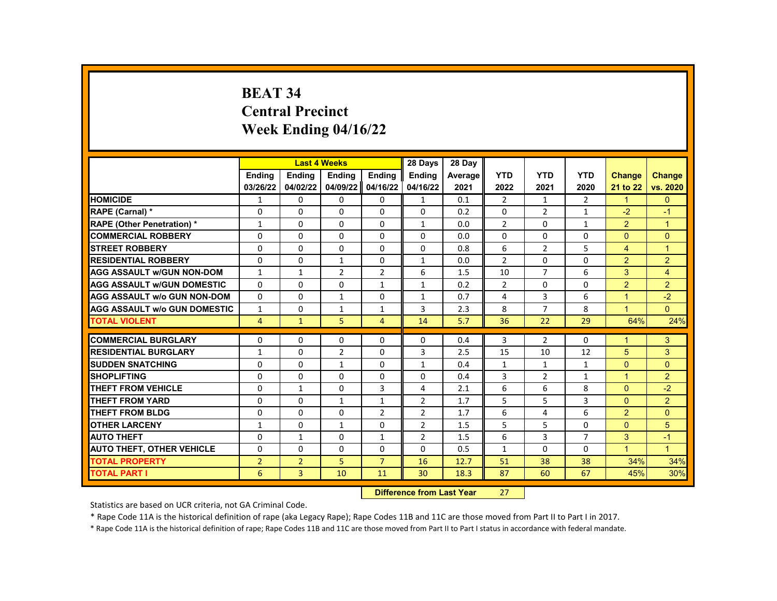# **BEAT 34 Central Precinct Week Ending 04/16/22**

|                                     |                | <b>Last 4 Weeks</b> |                |                | 28 Days                      | 28 Day  |                |                |                |                |                      |
|-------------------------------------|----------------|---------------------|----------------|----------------|------------------------------|---------|----------------|----------------|----------------|----------------|----------------------|
|                                     | Ending         | <b>Ending</b>       | Ending         | Ending         | <b>Ending</b>                | Average | <b>YTD</b>     | <b>YTD</b>     | <b>YTD</b>     | <b>Change</b>  | <b>Change</b>        |
|                                     | 03/26/22       | 04/02/22            | 04/09/22       | 04/16/22       | 04/16/22                     | 2021    | 2022           | 2021           | 2020           | 21 to 22       | vs. 2020             |
| <b>HOMICIDE</b>                     | 1              | 0                   | 0              | $\mathbf{0}$   | $\mathbf{1}$                 | 0.1     | $\overline{2}$ | $\mathbf{1}$   | $\overline{2}$ | $\mathbf{1}$   | $\mathbf{0}$         |
| RAPE (Carnal) *                     | 0              | $\Omega$            | 0              | 0              | $\Omega$                     | 0.2     | 0              | $\overline{2}$ | $\mathbf{1}$   | $-2$           | $-1$                 |
| <b>RAPE (Other Penetration) *</b>   | 1              | $\Omega$            | $\Omega$       | $\Omega$       | $\mathbf{1}$                 | 0.0     | $\overline{2}$ | $\Omega$       | $\mathbf{1}$   | $\overline{2}$ | $\overline{1}$       |
| <b>COMMERCIAL ROBBERY</b>           | 0              | 0                   | 0              | 0              | 0                            | 0.0     | $\Omega$       | $\mathbf{0}$   | $\Omega$       | $\Omega$       | $\mathbf{0}$         |
| <b>STREET ROBBERY</b>               | 0              | $\Omega$            | 0              | $\Omega$       | $\Omega$                     | 0.8     | 6              | $\overline{2}$ | 5              | 4              | $\mathbf{1}$         |
| <b>RESIDENTIAL ROBBERY</b>          | $\Omega$       | $\Omega$            | $\mathbf{1}$   | $\Omega$       | $\mathbf{1}$                 | 0.0     | $\mathfrak{p}$ | $\Omega$       | $\Omega$       | $\overline{2}$ | 2                    |
| <b>AGG ASSAULT w/GUN NON-DOM</b>    | $\mathbf{1}$   | $\mathbf{1}$        | $\overline{2}$ | $\overline{2}$ | 6                            | 1.5     | 10             | $\overline{7}$ | 6              | 3              | $\overline{4}$       |
| <b>AGG ASSAULT w/GUN DOMESTIC</b>   | 0              | 0                   | 0              | $\mathbf{1}$   | $\mathbf{1}$                 | 0.2     | $\overline{2}$ | $\Omega$       | 0              | $\overline{2}$ | $\overline{2}$       |
| <b>AGG ASSAULT w/o GUN NON-DOM</b>  | $\Omega$       | $\Omega$            | $\mathbf{1}$   | $\Omega$       | $\mathbf{1}$                 | 0.7     | 4              | 3              | 6              | $\overline{1}$ | $-2$                 |
| <b>AGG ASSAULT w/o GUN DOMESTIC</b> | 1              | 0                   | $\mathbf{1}$   | 1              | 3                            | 2.3     | 8              | $\overline{7}$ | 8              | $\mathbf{1}$   | $\Omega$             |
| <b>TOTAL VIOLENT</b>                | $\overline{4}$ | $\mathbf{1}$        | 5              | 4              | 14                           | 5.7     | 36             | 22             | 29             | 64%            | 24%                  |
|                                     |                |                     |                |                |                              |         |                |                |                |                |                      |
| <b>COMMERCIAL BURGLARY</b>          | 0              | $\Omega$            | 0              | 0              | $\Omega$                     | 0.4     | 3              | $\overline{2}$ | $\Omega$       | 1              | 3                    |
| <b>RESIDENTIAL BURGLARY</b>         | $\mathbf{1}$   | $\Omega$            | $\overline{2}$ | $\Omega$       | 3                            | 2.5     | 15             | 10             | 12             | 5              | $\overline{3}$       |
| <b>SUDDEN SNATCHING</b>             | 0              | $\Omega$            | $\mathbf{1}$   | 0              | $\mathbf{1}$                 | 0.4     | $\mathbf{1}$   | $\mathbf{1}$   | $\mathbf{1}$   | $\Omega$       | $\Omega$             |
| <b>SHOPLIFTING</b>                  | 0              | $\Omega$            | 0              | 0              | 0                            | 0.4     | 3              | $\overline{2}$ | $\mathbf{1}$   | 1              | $\overline{2}$       |
| <b>THEFT FROM VEHICLE</b>           | 0              | $\mathbf{1}$        | $\Omega$       | 3              | 4                            | 2.1     | 6              | 6              | 8              | $\Omega$       | $-2$                 |
| <b>THEFT FROM YARD</b>              | $\Omega$       | $\Omega$            | $\mathbf{1}$   | $\mathbf{1}$   | $\overline{2}$               | 1.7     | 5              | 5              | 3              | $\Omega$       | 2                    |
| <b>THEFT FROM BLDG</b>              | 0              | 0                   | $\Omega$       | $\overline{2}$ | $\overline{2}$               | 1.7     | 6              | 4              | 6              | $\overline{2}$ | $\Omega$             |
| <b>OTHER LARCENY</b>                | $\mathbf{1}$   | $\Omega$            | $\mathbf{1}$   | $\Omega$       | $\overline{2}$               | 1.5     | 5              | 5              | $\Omega$       | $\Omega$       | 5                    |
| <b>AUTO THEFT</b>                   | 0              | $\mathbf{1}$        | 0              | $\mathbf{1}$   | $\overline{2}$               | 1.5     | 6              | 3              | $\overline{7}$ | 3              | $-1$                 |
| <b>AUTO THEFT, OTHER VEHICLE</b>    | 0              | 0                   | 0              | 0              | 0                            | 0.5     | $\mathbf{1}$   | 0              | 0              | $\mathbf{1}$   | $\blacktriangleleft$ |
| <b>TOTAL PROPERTY</b>               | $\overline{2}$ | $\overline{2}$      | 5              | $\overline{7}$ | 16                           | 12.7    | 51             | 38             | 38             | 34%            | 34%                  |
| <b>TOTAL PART I</b>                 | 6              | $\overline{3}$      | 10             | 11             | 30                           | 18.3    | 87             | 60             | 67             | 45%            | 30%                  |
|                                     |                |                     |                | <b>INSECUL</b> | a a dheanna 1 an a 17 Main 1 |         | $\sim$         |                |                |                |                      |

**Difference from Last Year** 27

Statistics are based on UCR criteria, not GA Criminal Code.

\* Rape Code 11A is the historical definition of rape (aka Legacy Rape); Rape Codes 11B and 11C are those moved from Part II to Part I in 2017.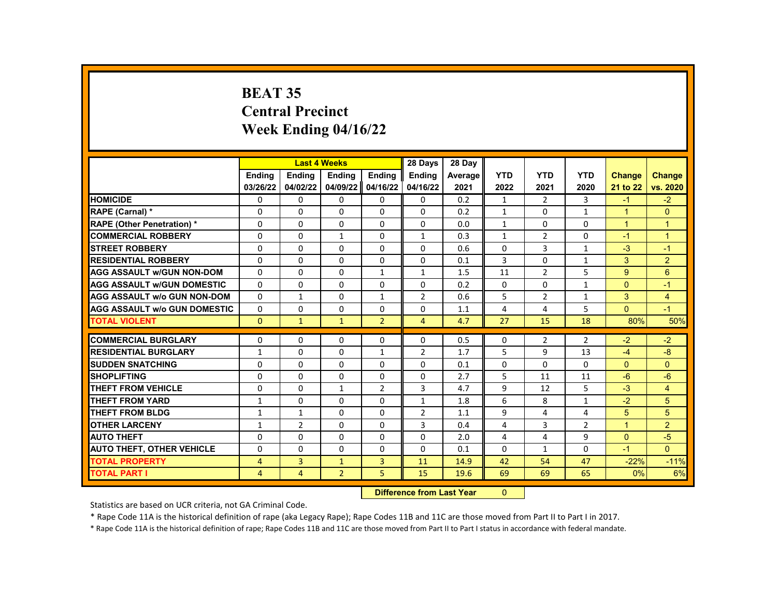# **BEAT 35 Central Precinct Week Ending 04/16/22**

|                                     |              | <b>Last 4 Weeks</b> |                |                | 28 Days                 | 28 Day  |              |                |                |               |                |
|-------------------------------------|--------------|---------------------|----------------|----------------|-------------------------|---------|--------------|----------------|----------------|---------------|----------------|
|                                     | Ending       | <b>Ending</b>       | Ending         | Ending         | <b>Ending</b>           | Average | <b>YTD</b>   | <b>YTD</b>     | <b>YTD</b>     | <b>Change</b> | <b>Change</b>  |
|                                     | 03/26/22     | 04/02/22            | 04/09/22       | 04/16/22       | 04/16/22                | 2021    | 2022         | 2021           | 2020           | 21 to 22      | vs. 2020       |
| <b>HOMICIDE</b>                     | 0            | 0                   | 0              | $\Omega$       | $\mathbf{0}$            | 0.2     | $\mathbf{1}$ | $\mathbf{2}$   | 3              | $-1$          | $-2$           |
| RAPE (Carnal) *                     | 0            | $\Omega$            | 0              | 0              | 0                       | 0.2     | $\mathbf{1}$ | $\Omega$       | $\mathbf{1}$   | $\mathbf{1}$  | $\Omega$       |
| <b>RAPE (Other Penetration) *</b>   | $\Omega$     | $\Omega$            | $\Omega$       | $\Omega$       | $\Omega$                | 0.0     | $\mathbf{1}$ | $\mathbf{0}$   | $\Omega$       | $\mathbf{1}$  | $\mathbf{1}$   |
| <b>COMMERCIAL ROBBERY</b>           | 0            | 0                   | $\mathbf{1}$   | 0              | $\mathbf{1}$            | 0.3     | $\mathbf{1}$ | $\overline{2}$ | 0              | $-1$          | $\mathbf{1}$   |
| <b>STREET ROBBERY</b>               | 0            | $\Omega$            | 0              | $\Omega$       | $\Omega$                | 0.6     | $\Omega$     | $\overline{3}$ | $\mathbf{1}$   | $-3$          | $-1$           |
| <b>RESIDENTIAL ROBBERY</b>          | $\Omega$     | $\Omega$            | $\Omega$       | $\Omega$       | $\Omega$                | 0.1     | 3            | $\Omega$       | $\mathbf{1}$   | 3             | 2              |
| <b>AGG ASSAULT w/GUN NON-DOM</b>    | $\Omega$     | $\Omega$            | 0              | $\mathbf{1}$   | $\mathbf{1}$            | 1.5     | 11           | $\overline{2}$ | 5              | 9             | 6              |
| <b>AGG ASSAULT w/GUN DOMESTIC</b>   | 0            | 0                   | 0              | 0              | 0                       | 0.2     | $\Omega$     | 0              | $\mathbf{1}$   | $\Omega$      | $-1$           |
| <b>AGG ASSAULT w/o GUN NON-DOM</b>  | $\Omega$     | $\mathbf{1}$        | $\Omega$       | $\mathbf{1}$   | $\overline{2}$          | 0.6     | 5            | $\overline{2}$ | $\mathbf{1}$   | 3             | $\overline{4}$ |
| <b>AGG ASSAULT w/o GUN DOMESTIC</b> | $\Omega$     | 0                   | 0              | 0              | $\Omega$                | 1.1     | 4            | 4              | 5              | $\Omega$      | $-1$           |
| <b>TOTAL VIOLENT</b>                | $\Omega$     | $\mathbf{1}$        | $\mathbf{1}$   | $\overline{2}$ | $\overline{4}$          | 4.7     | 27           | 15             | 18             | 80%           | 50%            |
|                                     |              |                     |                |                |                         |         |              |                |                |               |                |
| <b>COMMERCIAL BURGLARY</b>          | 0            | $\Omega$            | 0              | 0              | 0                       | 0.5     | $\mathbf{0}$ | $\overline{2}$ | $\overline{2}$ | $-2$          | $-2$           |
| <b>RESIDENTIAL BURGLARY</b>         | $\mathbf{1}$ | $\Omega$            | $\Omega$       | $\mathbf{1}$   | $\overline{2}$          | 1.7     | 5            | 9              | 13             | $-4$          | $-8$           |
| <b>SUDDEN SNATCHING</b>             | 0            | $\Omega$            | $\Omega$       | 0              | $\Omega$                | 0.1     | 0            | $\Omega$       | $\Omega$       | $\Omega$      | $\Omega$       |
| <b>SHOPLIFTING</b>                  | 0            | $\Omega$            | 0              | 0              | 0                       | 2.7     | 5            | 11             | 11             | $-6$          | $-6$           |
| <b>THEFT FROM VEHICLE</b>           | 0            | 0                   | $\mathbf{1}$   | $\overline{2}$ | 3                       | 4.7     | 9            | 12             | 5              | $-3$          | $\overline{4}$ |
| <b>THEFT FROM YARD</b>              | $\mathbf{1}$ | $\Omega$            | $\Omega$       | $\Omega$       | $\mathbf{1}$            | 1.8     | 6            | 8              | $\mathbf{1}$   | $-2$          | 5              |
| <b>THEFT FROM BLDG</b>              | $\mathbf{1}$ | $\mathbf{1}$        | $\Omega$       | 0              | $\overline{2}$          | 1.1     | 9            | 4              | 4              | 5             | 5              |
| <b>OTHER LARCENY</b>                | $\mathbf{1}$ | $\overline{2}$      | $\Omega$       | $\Omega$       | 3                       | 0.4     | 4            | 3              | $\overline{2}$ | $\mathbf{1}$  | 2              |
| <b>AUTO THEFT</b>                   | 0            | $\Omega$            | 0              | $\Omega$       | $\Omega$                | 2.0     | 4            | $\overline{4}$ | 9              | $\Omega$      | $-5$           |
| <b>AUTO THEFT, OTHER VEHICLE</b>    | 0            | 0                   | $\Omega$       | 0              | 0                       | 0.1     | $\Omega$     | $\mathbf{1}$   | $\Omega$       | $-1$          | $\Omega$       |
| <b>TOTAL PROPERTY</b>               | 4            | 3                   | $\mathbf{1}$   | 3              | 11                      | 14.9    | 42           | 54             | 47             | $-22%$        | $-11%$         |
| <b>TOTAL PART I</b>                 | 4            | $\overline{4}$      | $\overline{2}$ | 5              | 15                      | 19.6    | 69           | 69             | 65             | $0\%$         | 6%             |
|                                     |              |                     |                | <b>INSECUL</b> | a a dheana 1 an Aibhean |         | $\sim$       |                |                |               |                |

**Difference from Last Year** 0

Statistics are based on UCR criteria, not GA Criminal Code.

\* Rape Code 11A is the historical definition of rape (aka Legacy Rape); Rape Codes 11B and 11C are those moved from Part II to Part I in 2017.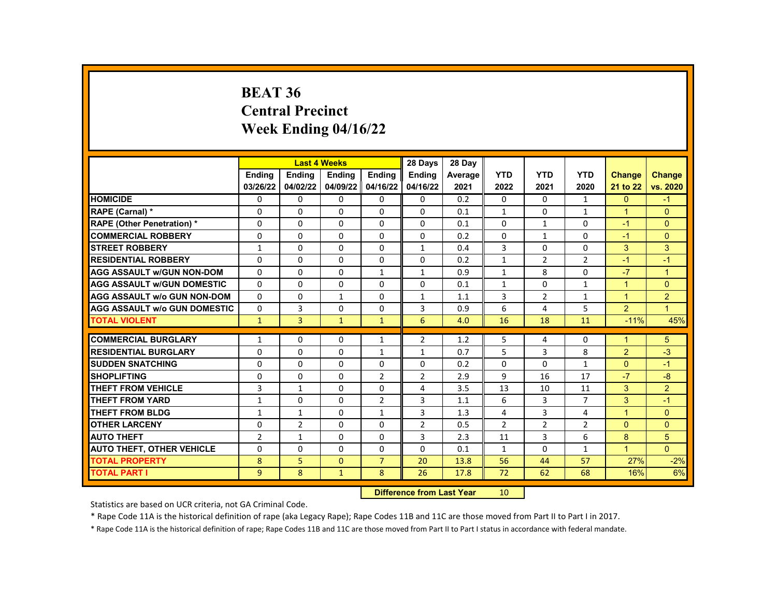#### **BEAT 36 Central Precinct Week Ending 04/16/22**

|                                     |                | <b>Last 4 Weeks</b> |               |                | 28 Days        | 28 Day  |                |                |                |               |                |
|-------------------------------------|----------------|---------------------|---------------|----------------|----------------|---------|----------------|----------------|----------------|---------------|----------------|
|                                     | <b>Endina</b>  | <b>Endina</b>       | <b>Endina</b> | <b>Endina</b>  | <b>Endina</b>  | Average | <b>YTD</b>     | <b>YTD</b>     | <b>YTD</b>     | <b>Change</b> | <b>Change</b>  |
|                                     | 03/26/22       | 04/02/22            | 04/09/22      | 04/16/22       | 04/16/22       | 2021    | 2022           | 2021           | 2020           | 21 to 22      | vs. 2020       |
| <b>HOMICIDE</b>                     | 0              | 0                   | 0             | 0              | 0              | 0.2     | 0              | 0              | $\mathbf{1}$   | $\mathbf{0}$  | $-1$           |
| RAPE (Carnal) *                     | $\Omega$       | $\Omega$            | $\Omega$      | $\Omega$       | 0              | 0.1     | $\mathbf{1}$   | 0              | $\mathbf{1}$   | $\mathbf{1}$  | $\Omega$       |
| <b>RAPE (Other Penetration) *</b>   | $\Omega$       | $\Omega$            | $\Omega$      | $\Omega$       | 0              | 0.1     | $\Omega$       | $\mathbf{1}$   | $\Omega$       | $-1$          | $\Omega$       |
| <b>COMMERCIAL ROBBERY</b>           | $\Omega$       | $\mathbf{0}$        | $\Omega$      | 0              | 0              | 0.2     | $\Omega$       | $\mathbf{1}$   | 0              | $-1$          | $\mathbf{0}$   |
| <b>STREET ROBBERY</b>               | $\mathbf{1}$   | $\Omega$            | $\Omega$      | $\Omega$       | $\mathbf{1}$   | 0.4     | 3              | $\Omega$       | $\Omega$       | 3             | 3              |
| <b>RESIDENTIAL ROBBERY</b>          | $\Omega$       | $\Omega$            | $\Omega$      | $\Omega$       | $\Omega$       | 0.2     | $\mathbf{1}$   | $\overline{2}$ | $\overline{2}$ | $-1$          | $-1$           |
| <b>AGG ASSAULT w/GUN NON-DOM</b>    | $\Omega$       | $\Omega$            | $\Omega$      | $\mathbf{1}$   | $\mathbf{1}$   | 0.9     | $\mathbf{1}$   | 8              | $\Omega$       | $-7$          | $\overline{1}$ |
| <b>AGG ASSAULT W/GUN DOMESTIC</b>   | $\Omega$       | $\Omega$            | $\Omega$      | 0              | $\Omega$       | 0.1     | $\mathbf{1}$   | 0              | $\mathbf{1}$   | $\mathbf{1}$  | $\Omega$       |
| <b>AGG ASSAULT w/o GUN NON-DOM</b>  | $\Omega$       | $\Omega$            | $\mathbf{1}$  | $\Omega$       | 1              | 1.1     | 3              | $\overline{2}$ | $\mathbf{1}$   | $\mathbf{1}$  | $\overline{2}$ |
| <b>AGG ASSAULT w/o GUN DOMESTIC</b> | $\Omega$       | 3                   | $\Omega$      | 0              | 3              | 0.9     | 6              | 4              | 5              | 2             | $\overline{1}$ |
| <b>TOTAL VIOLENT</b>                | $\mathbf{1}$   | 3                   | $\mathbf{1}$  | $\mathbf{1}$   | 6              | 4.0     | 16             | 18             | 11             | $-11%$        | 45%            |
|                                     |                |                     |               |                |                |         |                |                |                |               |                |
| <b>COMMERCIAL BURGLARY</b>          | $\mathbf{1}$   | 0                   | $\Omega$      | 1              | $\overline{2}$ | 1.2     | 5              | 4              | $\Omega$       | $\mathbf{1}$  | 5              |
| <b>RESIDENTIAL BURGLARY</b>         | 0              | 0                   | 0             | 1              | $\mathbf{1}$   | 0.7     | 5              | 3              | 8              | 2             | $-3$           |
| <b>SUDDEN SNATCHING</b>             | $\Omega$       | $\Omega$            | $\Omega$      | $\Omega$       | 0              | 0.2     | $\Omega$       | $\Omega$       | $\mathbf{1}$   | $\Omega$      | $-1$           |
| <b>SHOPLIFTING</b>                  | $\Omega$       | $\Omega$            | $\Omega$      | $\overline{2}$ | $\overline{2}$ | 2.9     | 9              | 16             | 17             | $-7$          | $-8$           |
| <b>THEFT FROM VEHICLE</b>           | 3              | $\mathbf{1}$        | $\Omega$      | $\Omega$       | 4              | 3.5     | 13             | 10             | 11             | 3             | $\overline{2}$ |
| <b>THEFT FROM YARD</b>              | $\mathbf{1}$   | $\mathbf{0}$        | $\Omega$      | $\overline{2}$ | 3              | 1.1     | 6              | 3              | 7              | 3             | $-1$           |
| <b>THEFT FROM BLDG</b>              | $\mathbf{1}$   | $\mathbf{1}$        | $\Omega$      | $\mathbf{1}$   | 3              | 1.3     | 4              | 3              | 4              | $\mathbf{1}$  | $\Omega$       |
| <b>OTHER LARCENY</b>                | $\Omega$       | $\overline{2}$      | $\Omega$      | $\Omega$       | $\overline{2}$ | 0.5     | $\overline{2}$ | $\overline{2}$ | $\overline{2}$ | $\Omega$      | $\Omega$       |
| <b>AUTO THEFT</b>                   | $\overline{2}$ | $\mathbf{1}$        | $\Omega$      | $\Omega$       | 3              | 2.3     | 11             | 3              | 6              | 8             | 5              |
| <b>AUTO THEFT, OTHER VEHICLE</b>    | $\Omega$       | $\Omega$            | $\Omega$      | 0              | $\Omega$       | 0.1     | $\mathbf{1}$   | $\Omega$       | $\mathbf{1}$   | $\mathbf{1}$  | $\Omega$       |
| <b>TOTAL PROPERTY</b>               | 8              | 5                   | $\Omega$      | $\overline{7}$ | 20             | 13.8    | 56             | 44             | 57             | 27%           | $-2%$          |
| <b>TOTAL PART I</b>                 | 9              | 8                   | $\mathbf{1}$  | 8              | 26             | 17.8    | 72             | 62             | 68             | 16%           | 6%             |
|                                     |                |                     |               |                |                |         |                |                |                |               |                |

**Difference from Last Year** 10

Statistics are based on UCR criteria, not GA Criminal Code.

\* Rape Code 11A is the historical definition of rape (aka Legacy Rape); Rape Codes 11B and 11C are those moved from Part II to Part I in 2017.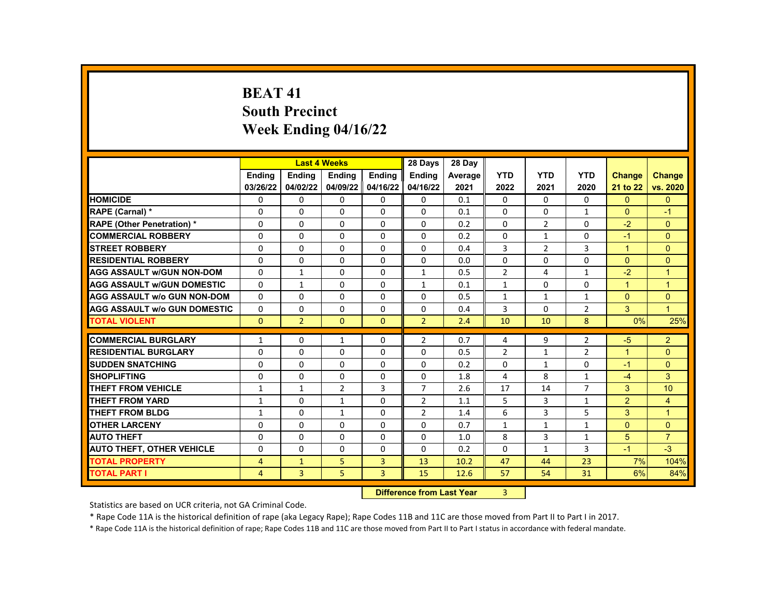# **BEAT 41 South Precinct Week Ending 04/16/22**

|                                     |                           |                | <b>Last 4 Weeks</b> |                | 28 Days        | 28 Dav  |                |                |                |                      |                      |
|-------------------------------------|---------------------------|----------------|---------------------|----------------|----------------|---------|----------------|----------------|----------------|----------------------|----------------------|
|                                     | Ending                    | <b>Ending</b>  | Ending              | Ending         | <b>Ending</b>  | Average | <b>YTD</b>     | <b>YTD</b>     | <b>YTD</b>     | <b>Change</b>        | <b>Change</b>        |
|                                     | 03/26/22                  | 04/02/22       | 04/09/22            | 04/16/22       | 04/16/22       | 2021    | 2022           | 2021           | 2020           | 21 to 22             | vs. 2020             |
| <b>HOMICIDE</b>                     | 0                         | $\mathbf 0$    | $\mathbf 0$         | 0              | 0              | 0.1     | $\Omega$       | $\mathbf{0}$   | 0              | $\mathbf{0}$         | $\mathbf{0}$         |
| RAPE (Carnal) *                     | $\Omega$                  | $\Omega$       | $\Omega$            | $\Omega$       | $\Omega$       | 0.1     | $\Omega$       | $\Omega$       | $\mathbf{1}$   | $\Omega$             | $-1$                 |
| <b>RAPE (Other Penetration) *</b>   | $\Omega$                  | $\Omega$       | $\Omega$            | $\Omega$       | $\Omega$       | 0.2     | $\Omega$       | $\overline{2}$ | $\Omega$       | $-2$                 | $\Omega$             |
| <b>COMMERCIAL ROBBERY</b>           | $\Omega$                  | $\mathbf{0}$   | 0                   | $\Omega$       | $\Omega$       | 0.2     | $\Omega$       | $\mathbf{1}$   | $\Omega$       | $-1$                 | $\mathbf{0}$         |
| <b>STREET ROBBERY</b>               | $\Omega$                  | $\Omega$       | $\Omega$            | $\Omega$       | $\Omega$       | 0.4     | 3              | $\overline{2}$ | 3              | $\blacktriangleleft$ | $\Omega$             |
| <b>RESIDENTIAL ROBBERY</b>          | $\Omega$                  | $\Omega$       | $\Omega$            | $\Omega$       | $\Omega$       | 0.0     | $\Omega$       | $\Omega$       | $\Omega$       | $\Omega$             | $\Omega$             |
| <b>AGG ASSAULT W/GUN NON-DOM</b>    | $\Omega$                  | $\mathbf{1}$   | 0                   | $\Omega$       | $\mathbf{1}$   | 0.5     | $\overline{2}$ | 4              | $\mathbf{1}$   | $-2$                 | $\overline{1}$       |
| <b>AGG ASSAULT W/GUN DOMESTIC</b>   | $\Omega$                  | $\mathbf{1}$   | 0                   | $\Omega$       | 1              | 0.1     | $\mathbf{1}$   | $\Omega$       | $\Omega$       | $\mathbf{1}$         | $\overline{1}$       |
| <b>AGG ASSAULT W/o GUN NON-DOM</b>  | $\Omega$                  | $\Omega$       | $\Omega$            | $\Omega$       | $\Omega$       | 0.5     | $\mathbf{1}$   | $\mathbf{1}$   | $\mathbf{1}$   | $\Omega$             | $\Omega$             |
| <b>AGG ASSAULT W/o GUN DOMESTIC</b> | $\Omega$                  | $\mathbf{0}$   | 0                   | $\Omega$       | 0              | 0.4     | 3              | 0              | $\overline{2}$ | 3                    | 1                    |
| <b>TOTAL VIOLENT</b>                | $\mathbf{0}$              | $\overline{2}$ | $\mathbf{0}$        | $\mathbf{0}$   | $\overline{2}$ | 2.4     | 10             | 10             | 8              | 0%                   | 25%                  |
|                                     |                           |                |                     |                |                |         |                |                |                |                      |                      |
| <b>COMMERCIAL BURGLARY</b>          | $\mathbf{1}$              | 0              | $\mathbf{1}$        | $\Omega$       | $\overline{2}$ | 0.7     | 4              | 9              | $\overline{2}$ | $-5$                 | $\overline{2}$       |
| <b>RESIDENTIAL BURGLARY</b>         | 0                         | $\mathbf{0}$   | $\mathbf{0}$        | $\Omega$       | $\Omega$       | 0.5     | $\overline{2}$ | $\mathbf{1}$   | $\overline{2}$ | $\mathbf{1}$         | $\overline{0}$       |
| <b>SUDDEN SNATCHING</b>             | $\Omega$                  | $\Omega$       | $\Omega$            | $\Omega$       | $\Omega$       | 0.2     | $\Omega$       | $\mathbf{1}$   | $\Omega$       | $-1$                 | $\Omega$             |
| <b>SHOPLIFTING</b>                  | $\Omega$                  | $\mathbf{0}$   | 0                   | $\Omega$       | $\Omega$       | 1.8     | 4              | 8              | $\mathbf{1}$   | $-4$                 | 3                    |
| <b>THEFT FROM VEHICLE</b>           | $\mathbf{1}$              | $\mathbf{1}$   | $\overline{2}$      | 3              | $\overline{7}$ | 2.6     | 17             | 14             | $\overline{7}$ | 3                    | 10                   |
| <b>THEFT FROM YARD</b>              | $\mathbf{1}$              | $\Omega$       | $\mathbf{1}$        | $\Omega$       | $\overline{2}$ | 1.1     | 5              | $\overline{3}$ | $\mathbf{1}$   | $\overline{2}$       | $\overline{4}$       |
| THEFT FROM BLDG                     | $\mathbf{1}$              | $\Omega$       | $\mathbf{1}$        | $\Omega$       | $\overline{2}$ | 1.4     | 6              | 3              | 5              | 3                    | $\blacktriangleleft$ |
| <b>OTHER LARCENY</b>                | $\Omega$                  | $\mathbf{0}$   | $\mathbf{0}$        | $\Omega$       | $\Omega$       | 0.7     | $\mathbf{1}$   | $\mathbf{1}$   | $\mathbf{1}$   | $\Omega$             | $\mathbf{0}$         |
| <b>AUTO THEFT</b>                   | 0                         | $\mathbf{0}$   | $\Omega$            | $\Omega$       | $\Omega$       | 1.0     | 8              | $\overline{3}$ | $\mathbf{1}$   | 5                    | $\overline{7}$       |
| <b>AUTO THEFT, OTHER VEHICLE</b>    | $\Omega$                  | $\mathbf{0}$   | $\Omega$            | $\Omega$       | $\Omega$       | 0.2     | $\Omega$       | $\mathbf{1}$   | 3              | $-1$                 | $-3$                 |
| <b>TOTAL PROPERTY</b>               | 4                         | $\mathbf{1}$   | 5                   | $\overline{3}$ | 13             | 10.2    | 47             | 44             | 23             | 7%                   | 104%                 |
| <b>TOTAL PART I</b>                 | $\overline{4}$            | 3              | 5                   | $\overline{3}$ | 15             | 12.6    | 57             | 54             | 31             | 6%                   | 84%                  |
|                                     | Difference from Loot Voor |                |                     |                |                |         | $\mathcal{D}$  |                |                |                      |                      |

**Difference from Last Year** 

Statistics are based on UCR criteria, not GA Criminal Code.

\* Rape Code 11A is the historical definition of rape (aka Legacy Rape); Rape Codes 11B and 11C are those moved from Part II to Part I in 2017.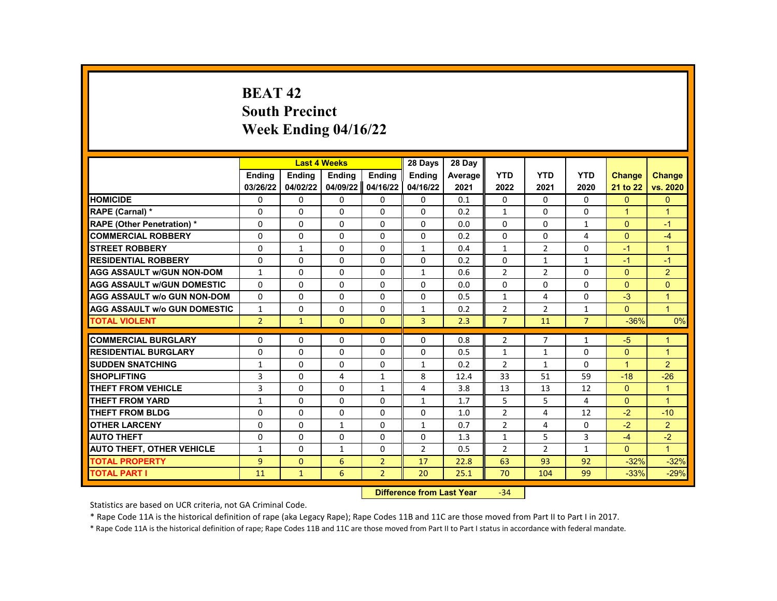# **BEAT 42 South Precinct Week Ending 04/16/22**

|                                     |                |               | <b>Last 4 Weeks</b> |                    | 28 Days        | 28 Day  |                |                |                |               |                |
|-------------------------------------|----------------|---------------|---------------------|--------------------|----------------|---------|----------------|----------------|----------------|---------------|----------------|
|                                     | <b>Endina</b>  | <b>Ending</b> | <b>Ending</b>       | Ending             | Ending         | Average | <b>YTD</b>     | <b>YTD</b>     | <b>YTD</b>     | <b>Change</b> | <b>Change</b>  |
|                                     | 03/26/22       | 04/02/22      | 04/09/22            | 04/16/22           | 04/16/22       | 2021    | 2022           | 2021           | 2020           | 21 to 22      | vs. 2020       |
| <b>HOMICIDE</b>                     | 0              | 0             | 0                   | 0                  | 0              | 0.1     | 0              | 0              | 0              | $\mathbf{0}$  | $\mathbf{0}$   |
| RAPE (Carnal) *                     | $\Omega$       | $\Omega$      | $\Omega$            | $\Omega$           | $\Omega$       | 0.2     | $\mathbf{1}$   | $\Omega$       | $\Omega$       | $\mathbf{1}$  | $\overline{1}$ |
| RAPE (Other Penetration) *          | $\Omega$       | $\Omega$      | $\Omega$            | $\Omega$           | $\Omega$       | 0.0     | $\Omega$       | $\Omega$       | $\mathbf{1}$   | $\Omega$      | $-1$           |
| <b>COMMERCIAL ROBBERY</b>           | $\Omega$       | $\Omega$      | $\Omega$            | 0                  | $\Omega$       | 0.2     | $\Omega$       | $\Omega$       | 4              | $\Omega$      | $-4$           |
| <b>STREET ROBBERY</b>               | 0              | $\mathbf{1}$  | 0                   | 0                  | $\mathbf{1}$   | 0.4     | $\mathbf{1}$   | $\overline{2}$ | $\Omega$       | $-1$          | $\mathbf{1}$   |
| <b>RESIDENTIAL ROBBERY</b>          | $\Omega$       | $\Omega$      | $\Omega$            | $\Omega$           | $\Omega$       | 0.2     | $\Omega$       | $\mathbf{1}$   | $\mathbf{1}$   | $-1$          | $-1$           |
| <b>AGG ASSAULT w/GUN NON-DOM</b>    | 1              | 0             | 0                   | 0                  | 1              | 0.6     | $\overline{2}$ | $\overline{2}$ | 0              | $\mathbf{0}$  | $\overline{2}$ |
| <b>AGG ASSAULT w/GUN DOMESTIC</b>   | $\Omega$       | 0             | $\Omega$            | 0                  | $\Omega$       | 0.0     | $\Omega$       | 0              | $\Omega$       | $\Omega$      | $\mathbf{0}$   |
| <b>AGG ASSAULT w/o GUN NON-DOM</b>  | $\Omega$       | $\Omega$      | $\Omega$            | $\Omega$           | $\Omega$       | 0.5     | $\mathbf{1}$   | 4              | $\Omega$       | $-3$          | $\mathbf{1}$   |
| <b>AGG ASSAULT w/o GUN DOMESTIC</b> | $\mathbf{1}$   | 0             | $\Omega$            | 0                  | 1              | 0.2     | $\overline{2}$ | $\overline{2}$ | $\mathbf{1}$   | $\Omega$      | $\overline{1}$ |
| <b>TOTAL VIOLENT</b>                | $\overline{2}$ | $\mathbf{1}$  | $\Omega$            | $\Omega$           | 3              | 2.3     | $\overline{7}$ | 11             | $\overline{7}$ | $-36%$        | 0%             |
|                                     |                |               |                     |                    |                |         |                |                |                |               |                |
| <b>COMMERCIAL BURGLARY</b>          | 0              | 0             | 0                   | 0                  | 0              | 0.8     | $\overline{2}$ | $\overline{7}$ | 1              | $-5$          | $\mathbf 1$    |
| <b>RESIDENTIAL BURGLARY</b>         | $\Omega$       | $\Omega$      | $\Omega$            | $\Omega$           | $\Omega$       | 0.5     | $\mathbf{1}$   | $\mathbf{1}$   | $\Omega$       | $\Omega$      | $\mathbf{1}$   |
| <b>SUDDEN SNATCHING</b>             | $\mathbf{1}$   | $\Omega$      | $\Omega$            | $\Omega$           | $\mathbf{1}$   | 0.2     | $\overline{2}$ | $\mathbf{1}$   | $\Omega$       | $\mathbf{1}$  | $\overline{2}$ |
| <b>SHOPLIFTING</b>                  | 3              | $\Omega$      | 4                   | 1                  | 8              | 12.4    | 33             | 51             | 59             | $-18$         | $-26$          |
| <b>THEFT FROM VEHICLE</b>           | 3              | $\Omega$      | $\Omega$            | $\mathbf{1}$       | $\overline{4}$ | 3.8     | 13             | 13             | 12             | $\Omega$      | $\mathbf{1}$   |
| <b>THEFT FROM YARD</b>              | $\mathbf{1}$   | $\Omega$      | $\Omega$            | $\Omega$           | $\mathbf{1}$   | 1.7     | 5              | 5              | 4              | $\Omega$      | $\mathbf{1}$   |
| <b>THEFT FROM BLDG</b>              | $\Omega$       | $\Omega$      | $\Omega$            | $\Omega$           | $\Omega$       | 1.0     | $\overline{2}$ | 4              | 12             | $-2$          | $-10$          |
| <b>OTHER LARCENY</b>                | 0              | 0             | $\mathbf{1}$        | 0                  | $\mathbf{1}$   | 0.7     | $\overline{2}$ | 4              | 0              | $-2$          | 2              |
| <b>AUTO THEFT</b>                   | $\Omega$       | $\Omega$      | $\Omega$            | $\Omega$           | $\Omega$       | 1.3     | $\mathbf{1}$   | 5              | 3              | $-4$          | $-2$           |
| <b>AUTO THEFT, OTHER VEHICLE</b>    | 1              | 0             | $\mathbf{1}$        | 0                  | $\overline{2}$ | 0.5     | $\overline{2}$ | $\overline{2}$ | $\mathbf{1}$   | $\Omega$      | $\mathbf{1}$   |
| <b>TOTAL PROPERTY</b>               | 9              | $\mathbf{0}$  | 6                   | $\overline{2}$     | 17             | 22.8    | 63             | 93             | 92             | $-32%$        | $-32%$         |
| <b>TOTAL PART I</b>                 | 11             | $\mathbf{1}$  | 6                   | $\overline{2}$     | 20             | 25.1    | 70             | 104            | 99             | $-33%$        | $-29%$         |
|                                     |                |               |                     | <b>CARLO CARDS</b> |                |         | $\sim$ $\sim$  |                |                |               |                |

**Difference from Last Year** -34

Statistics are based on UCR criteria, not GA Criminal Code.

\* Rape Code 11A is the historical definition of rape (aka Legacy Rape); Rape Codes 11B and 11C are those moved from Part II to Part I in 2017.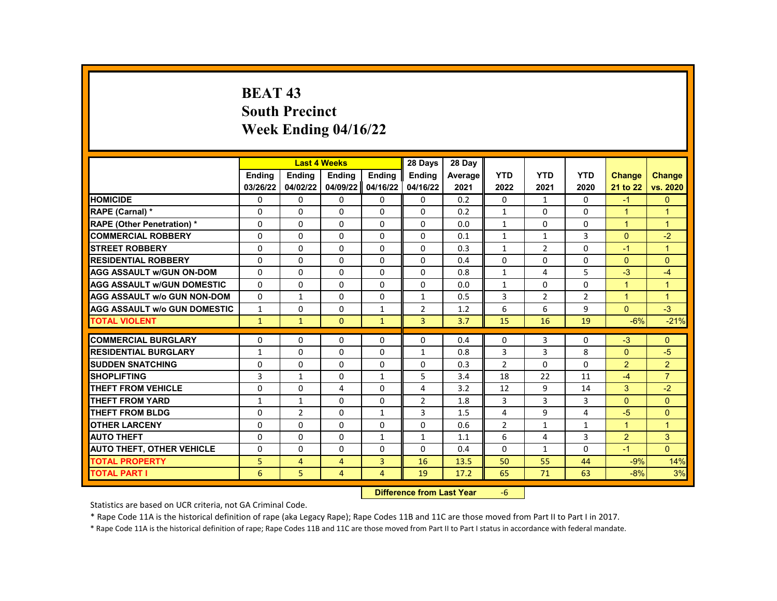# **BEAT 43 South Precinct Week Ending 04/16/22**

|                                     |              | <b>Last 4 Weeks</b> |          |                | 28 Days                   | 28 Day  |                |                |                |                |                      |
|-------------------------------------|--------------|---------------------|----------|----------------|---------------------------|---------|----------------|----------------|----------------|----------------|----------------------|
|                                     | Ending       | <b>Ending</b>       | Ending   | Ending         | <b>Ending</b>             | Average | <b>YTD</b>     | <b>YTD</b>     | <b>YTD</b>     | <b>Change</b>  | <b>Change</b>        |
|                                     | 03/26/22     | 04/02/22            | 04/09/22 | 04/16/22       | 04/16/22                  | 2021    | 2022           | 2021           | 2020           | 21 to 22       | vs. 2020             |
| <b>HOMICIDE</b>                     | 0            | 0                   | 0        | $\Omega$       | $\mathbf{0}$              | 0.2     | $\mathbf{0}$   | $\mathbf{1}$   | 0              | $-1$           | $\mathbf{0}$         |
| RAPE (Carnal) *                     | 0            | $\Omega$            | 0        | 0              | 0                         | 0.2     | $\mathbf{1}$   | $\Omega$       | $\Omega$       | $\mathbf{1}$   | $\mathbf{1}$         |
| <b>RAPE (Other Penetration) *</b>   | 0            | $\Omega$            | $\Omega$ | $\Omega$       | $\Omega$                  | 0.0     | $\mathbf{1}$   | $\mathbf{0}$   | $\Omega$       | $\mathbf{1}$   | $\mathbf{1}$         |
| <b>COMMERCIAL ROBBERY</b>           | 0            | 0                   | 0        | 0              | 0                         | 0.1     | $\mathbf{1}$   | $\mathbf{1}$   | 3              | $\Omega$       | $-2$                 |
| <b>STREET ROBBERY</b>               | 0            | $\Omega$            | 0        | $\Omega$       | $\Omega$                  | 0.3     | $\mathbf{1}$   | $\overline{2}$ | $\Omega$       | $-1$           | $\mathbf{1}$         |
| <b>RESIDENTIAL ROBBERY</b>          | $\Omega$     | $\Omega$            | $\Omega$ | $\Omega$       | $\Omega$                  | 0.4     | $\Omega$       | $\Omega$       | $\Omega$       | $\Omega$       | $\Omega$             |
| <b>AGG ASSAULT W/GUN ON-DOM</b>     | $\Omega$     | $\Omega$            | 0        | 0              | $\Omega$                  | 0.8     | $\mathbf{1}$   | 4              | 5              | $-3$           | $-4$                 |
| <b>AGG ASSAULT w/GUN DOMESTIC</b>   | 0            | 0                   | 0        | 0              | 0                         | 0.0     | $\mathbf{1}$   | 0              | 0              | $\mathbf{1}$   | $\blacktriangleleft$ |
| <b>AGG ASSAULT w/o GUN NON-DOM</b>  | $\Omega$     | $\mathbf{1}$        | $\Omega$ | $\Omega$       | $\mathbf{1}$              | 0.5     | 3              | $\overline{2}$ | $\overline{2}$ | $\mathbf{1}$   | $\overline{1}$       |
| <b>AGG ASSAULT w/o GUN DOMESTIC</b> | 1            | 0                   | 0        | 1              | $\overline{2}$            | 1.2     | 6              | 6              | 9              | $\Omega$       | $-3$                 |
| <b>TOTAL VIOLENT</b>                | $\mathbf{1}$ | $\mathbf{1}$        | $\Omega$ | $\mathbf{1}$   | 3                         | 3.7     | 15             | 16             | 19             | $-6%$          | $-21%$               |
|                                     |              |                     |          |                |                           |         |                |                |                |                |                      |
| <b>COMMERCIAL BURGLARY</b>          | 0            | $\Omega$            | 0        | 0              | 0                         | 0.4     | $\mathbf{0}$   | 3              | 0              | $-3$           | $\mathbf{0}$         |
| <b>RESIDENTIAL BURGLARY</b>         | $\mathbf{1}$ | 0                   | $\Omega$ | $\Omega$       | $\mathbf{1}$              | 0.8     | 3              | 3              | 8              | $\Omega$       | $-5$                 |
| <b>SUDDEN SNATCHING</b>             | 0            | $\Omega$            | $\Omega$ | 0              | $\Omega$                  | 0.3     | $\overline{2}$ | $\Omega$       | $\Omega$       | $\overline{2}$ | 2                    |
| <b>SHOPLIFTING</b>                  | 3            | $\mathbf{1}$        | 0        | $\mathbf{1}$   | 5                         | 3.4     | 18             | 22             | 11             | $-4$           | $\overline{7}$       |
| <b>THEFT FROM VEHICLE</b>           | 0            | 0                   | 4        | 0              | 4                         | 3.2     | 12             | 9              | 14             | 3              | $-2$                 |
| <b>THEFT FROM YARD</b>              | $\mathbf{1}$ | $\mathbf{1}$        | $\Omega$ | $\Omega$       | $\overline{2}$            | 1.8     | 3              | 3              | 3              | $\Omega$       | $\Omega$             |
| <b>THEFT FROM BLDG</b>              | 0            | $\overline{2}$      | $\Omega$ | $\mathbf{1}$   | 3                         | 1.5     | 4              | 9              | 4              | $-5$           | $\Omega$             |
| <b>OTHER LARCENY</b>                | $\Omega$     | $\Omega$            | $\Omega$ | $\Omega$       | $\Omega$                  | 0.6     | $\overline{2}$ | $\mathbf{1}$   | $\mathbf{1}$   | $\mathbf{1}$   | $\mathbf{1}$         |
| <b>AUTO THEFT</b>                   | 0            | $\Omega$            | 0        | $\mathbf{1}$   | $\mathbf{1}$              | 1.1     | 6              | $\overline{4}$ | 3              | $\overline{2}$ | 3                    |
| <b>AUTO THEFT, OTHER VEHICLE</b>    | 0            | 0                   | $\Omega$ | 0              | 0                         | 0.4     | $\mathbf{0}$   | $\mathbf{1}$   | $\Omega$       | $-1$           | $\Omega$             |
| <b>TOTAL PROPERTY</b>               | 5            | 4                   | 4        | 3              | 16                        | 13.5    | 50             | 55             | 44             | $-9%$          | 14%                  |
| <b>TOTAL PART I</b>                 | 6            | 5                   | 4        | $\overline{4}$ | 19                        | 17.2    | 65             | 71             | 63             | $-8%$          | 3%                   |
|                                     |              |                     |          | <b>INSECUL</b> | a a dheanna 1 anns a Mara |         |                |                |                |                |                      |

**Difference from Last Year** -6

Statistics are based on UCR criteria, not GA Criminal Code.

\* Rape Code 11A is the historical definition of rape (aka Legacy Rape); Rape Codes 11B and 11C are those moved from Part II to Part I in 2017.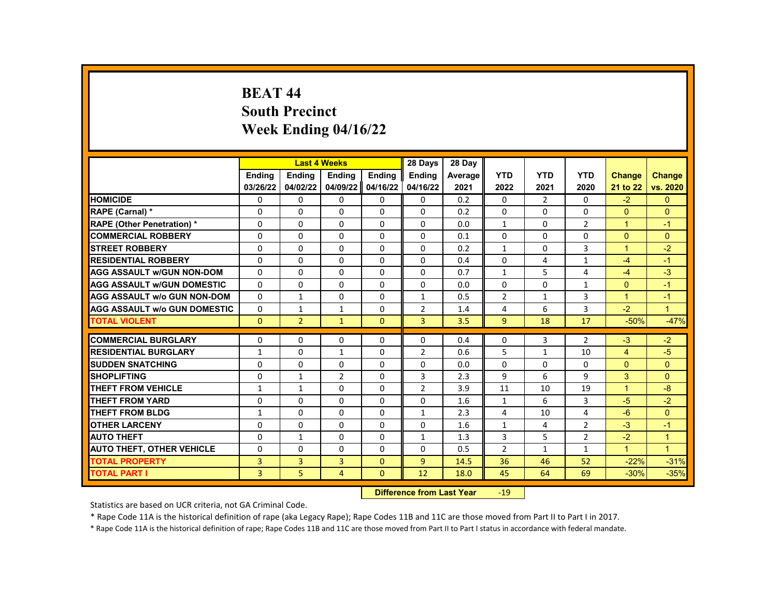# **BEAT 44 South Precinct Week Ending 04/16/22**

|                                     |                |                | <b>Last 4 Weeks</b> |               | 28 Days        | 28 Day  |                |              |                |               |                      |
|-------------------------------------|----------------|----------------|---------------------|---------------|----------------|---------|----------------|--------------|----------------|---------------|----------------------|
|                                     | <b>Endina</b>  | <b>Endina</b>  | <b>Endina</b>       | <b>Endina</b> | <b>Endina</b>  | Average | <b>YTD</b>     | <b>YTD</b>   | <b>YTD</b>     | <b>Change</b> | <b>Change</b>        |
|                                     | 03/26/22       | 04/02/22       | 04/09/22            | 04/16/22      | 04/16/22       | 2021    | 2022           | 2021         | 2020           | 21 to 22      | vs. 2020             |
| <b>HOMICIDE</b>                     | 0              | 0              | $\mathbf{0}$        | 0             | 0              | 0.2     | 0              | $\mathbf{2}$ | 0              | $-2$          | $\mathbf{0}$         |
| RAPE (Carnal) *                     | $\Omega$       | $\Omega$       | $\Omega$            | $\Omega$      | 0              | 0.2     | $\Omega$       | $\Omega$     | $\Omega$       | $\Omega$      | $\Omega$             |
| <b>RAPE (Other Penetration) *</b>   | $\Omega$       | $\Omega$       | $\Omega$            | $\Omega$      | $\Omega$       | 0.0     | $\mathbf{1}$   | $\Omega$     | $\overline{2}$ | $\mathbf{1}$  | $-1$                 |
| <b>COMMERCIAL ROBBERY</b>           | 0              | 0              | 0                   | 0             | 0              | 0.1     | 0              | 0            | 0              | $\Omega$      | $\mathbf{0}$         |
| <b>STREET ROBBERY</b>               | 0              | 0              | 0                   | 0             | 0              | 0.2     | $\mathbf{1}$   | 0            | 3              | $\mathbf{1}$  | $-2$                 |
| <b>RESIDENTIAL ROBBERY</b>          | $\Omega$       | $\Omega$       | $\Omega$            | $\Omega$      | $\Omega$       | 0.4     | $\Omega$       | 4            | $\mathbf{1}$   | $-4$          | $-1$                 |
| <b>AGG ASSAULT w/GUN NON-DOM</b>    | $\Omega$       | 0              | $\Omega$            | 0             | 0              | 0.7     | $\mathbf{1}$   | 5            | 4              | $-4$          | $-3$                 |
| <b>AGG ASSAULT w/GUN DOMESTIC</b>   | $\Omega$       | 0              | 0                   | 0             | 0              | 0.0     | 0              | 0            | $\mathbf{1}$   | $\Omega$      | $-1$                 |
| <b>AGG ASSAULT w/o GUN NON-DOM</b>  | $\Omega$       | $\mathbf{1}$   | $\Omega$            | $\mathbf 0$   | $\mathbf{1}$   | 0.5     | $\overline{2}$ | 1            | 3              | $\mathbf{1}$  | $-1$                 |
| <b>AGG ASSAULT w/o GUN DOMESTIC</b> | $\Omega$       | $\mathbf{1}$   | $\mathbf{1}$        | $\Omega$      | $\overline{2}$ | 1.4     | 4              | 6            | 3              | $-2$          | $\mathbf{1}$         |
| <b>TOTAL VIOLENT</b>                | $\Omega$       | $\overline{2}$ | $\mathbf{1}$        | $\Omega$      | $\overline{3}$ | 3.5     | 9              | 18           | 17             | $-50%$        | $-47%$               |
|                                     |                |                |                     |               |                |         |                |              |                |               |                      |
| <b>COMMERCIAL BURGLARY</b>          | 0              | $\Omega$       | $\Omega$            | 0             | 0              | 0.4     | $\Omega$       | 3            | 2              | $-3$          | $-2$                 |
| <b>RESIDENTIAL BURGLARY</b>         | $\mathbf{1}$   | $\Omega$       | $\mathbf{1}$        | $\Omega$      | $\overline{2}$ | 0.6     | 5              | $\mathbf{1}$ | 10             | 4             | $-5$                 |
| <b>SUDDEN SNATCHING</b>             | $\Omega$       | $\Omega$       | $\Omega$            | $\Omega$      | $\Omega$       | 0.0     | $\Omega$       | $\Omega$     | $\Omega$       | $\Omega$      | $\Omega$             |
| <b>SHOPLIFTING</b>                  | $\Omega$       | $\mathbf{1}$   | $\overline{2}$      | $\Omega$      | 3              | 2.3     | 9              | 6            | 9              | 3             | $\Omega$             |
| <b>THEFT FROM VEHICLE</b>           | $\mathbf{1}$   | $\mathbf{1}$   | $\Omega$            | $\Omega$      | $\overline{2}$ | 3.9     | 11             | 10           | 19             | $\mathbf{1}$  | $-8$                 |
| <b>THEFT FROM YARD</b>              | $\Omega$       | $\Omega$       | $\Omega$            | $\Omega$      | $\Omega$       | 1.6     | $\mathbf{1}$   | 6            | 3              | $-5$          | $-2$                 |
| <b>THEFT FROM BLDG</b>              | $\mathbf{1}$   | $\Omega$       | $\Omega$            | $\Omega$      | $\mathbf{1}$   | 2.3     | 4              | 10           | $\overline{a}$ | $-6$          | $\Omega$             |
| <b>OTHER LARCENY</b>                | $\Omega$       | $\Omega$       | $\Omega$            | $\Omega$      | 0              | 1.6     | $\mathbf{1}$   | 4            | $\overline{2}$ | $-3$          | $-1$                 |
| <b>AUTO THEFT</b>                   | $\Omega$       | $\mathbf{1}$   | $\Omega$            | $\Omega$      | $\mathbf{1}$   | 1.3     | 3              | 5            | $\overline{2}$ | $-2$          | $\mathbf{1}$         |
| <b>AUTO THEFT, OTHER VEHICLE</b>    | $\Omega$       | $\Omega$       | $\Omega$            | $\Omega$      | $\Omega$       | 0.5     | $\overline{2}$ | $\mathbf{1}$ | $\mathbf{1}$   | $\mathbf{1}$  | $\blacktriangleleft$ |
| <b>TOTAL PROPERTY</b>               | 3              | 3              | 3                   | $\Omega$      | 9              | 14.5    | 36             | 46           | 52             | $-22%$        | $-31%$               |
| <b>TOTAL PART I</b>                 | $\overline{3}$ | 5              | $\overline{4}$      | $\mathbf{0}$  | 12             | 18.0    | 45             | 64           | 69             | $-30%$        | $-35%$               |
|                                     |                |                |                     |               |                |         |                |              |                |               |                      |

**Difference from Last Year -19** 

Statistics are based on UCR criteria, not GA Criminal Code.

\* Rape Code 11A is the historical definition of rape (aka Legacy Rape); Rape Codes 11B and 11C are those moved from Part II to Part I in 2017.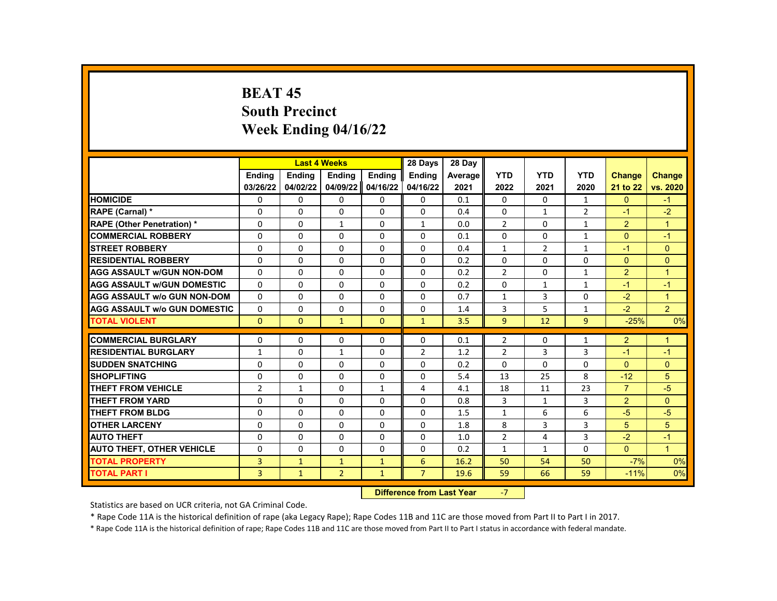# **BEAT 45 South Precinct Week Ending 04/16/22**

|                                     |                |               | <b>Last 4 Weeks</b> |               | 28 Days        | 28 Day  |                |                |                |                |                |
|-------------------------------------|----------------|---------------|---------------------|---------------|----------------|---------|----------------|----------------|----------------|----------------|----------------|
|                                     | <b>Endina</b>  | <b>Endina</b> | <b>Endina</b>       | <b>Endina</b> | <b>Endina</b>  | Average | <b>YTD</b>     | <b>YTD</b>     | <b>YTD</b>     | <b>Change</b>  | <b>Change</b>  |
|                                     | 03/26/22       | 04/02/22      | 04/09/22            | 04/16/22      | 04/16/22       | 2021    | 2022           | 2021           | 2020           | 21 to 22       | vs. 2020       |
| <b>HOMICIDE</b>                     | 0              | 0             | $\mathbf{0}$        | $\mathbf{0}$  | 0              | 0.1     | $\mathbf{0}$   | $\Omega$       | $\mathbf{1}$   | $\mathbf{0}$   | $-1$           |
| RAPE (Carnal) *                     | 0              | $\Omega$      | $\Omega$            | $\Omega$      | $\Omega$       | 0.4     | $\Omega$       | $\mathbf{1}$   | $\overline{2}$ | $-1$           | $-2$           |
| <b>RAPE (Other Penetration) *</b>   | $\Omega$       | $\Omega$      | $\mathbf{1}$        | $\Omega$      | $\mathbf{1}$   | 0.0     | $\mathfrak{p}$ | $\Omega$       | $\mathbf{1}$   | 2              | $\overline{1}$ |
| <b>COMMERCIAL ROBBERY</b>           | 0              | $\mathbf{0}$  | 0                   | $\mathbf{0}$  | 0              | 0.1     | 0              | $\mathbf{0}$   | $\mathbf{1}$   | $\Omega$       | $-1$           |
| <b>STREET ROBBERY</b>               | $\Omega$       | $\Omega$      | $\Omega$            | $\Omega$      | $\Omega$       | 0.4     | $\mathbf{1}$   | $\overline{2}$ | $\mathbf{1}$   | $-1$           | $\Omega$       |
| <b>RESIDENTIAL ROBBERY</b>          | $\Omega$       | $\Omega$      | $\Omega$            | $\Omega$      | $\Omega$       | 0.2     | $\Omega$       | $\Omega$       | $\Omega$       | $\Omega$       | $\Omega$       |
| <b>AGG ASSAULT W/GUN NON-DOM</b>    | $\Omega$       | 0             | 0                   | $\mathbf{0}$  | 0              | 0.2     | $\overline{2}$ | 0              | 1              | 2              | $\mathbf{1}$   |
| <b>AGG ASSAULT W/GUN DOMESTIC</b>   | $\Omega$       | $\Omega$      | $\Omega$            | $\Omega$      | $\Omega$       | 0.2     | $\Omega$       | $\mathbf{1}$   | $\mathbf{1}$   | $-1$           | $-1$           |
| <b>AGG ASSAULT w/o GUN NON-DOM</b>  | $\Omega$       | $\Omega$      | $\Omega$            | $\Omega$      | $\Omega$       | 0.7     | $\mathbf{1}$   | 3              | $\Omega$       | $-2$           | $\mathbf{1}$   |
| <b>AGG ASSAULT W/o GUN DOMESTIC</b> | 0              | 0             | 0                   | 0             | 0              | 1.4     | 3              | 5              | 1              | $-2$           | $\overline{2}$ |
| <b>TOTAL VIOLENT</b>                | $\mathbf{0}$   | $\mathbf{0}$  | $\mathbf{1}$        | $\Omega$      | $\mathbf{1}$   | 3.5     | 9              | 12             | 9              | $-25%$         | 0%             |
| <b>COMMERCIAL BURGLARY</b>          | 0              | 0             | $\Omega$            | 0             | $\Omega$       | 0.1     | $\overline{2}$ | 0              | 1              | $\overline{2}$ | 1              |
| <b>RESIDENTIAL BURGLARY</b>         | $\mathbf{1}$   | $\Omega$      | $\mathbf{1}$        | $\mathbf{0}$  | $\overline{2}$ | 1.2     | $\overline{2}$ | 3              | 3              | $-1$           | $-1$           |
| <b>SUDDEN SNATCHING</b>             | $\Omega$       | $\Omega$      | $\Omega$            | $\Omega$      | $\Omega$       | 0.2     | $\Omega$       | $\Omega$       | $\Omega$       | $\Omega$       | $\Omega$       |
| <b>SHOPLIFTING</b>                  | 0              | 0             | $\Omega$            | 0             | 0              | 5.4     | 13             | 25             | 8              | $-12$          | 5              |
| <b>THEFT FROM VEHICLE</b>           | $\overline{2}$ | $\mathbf{1}$  | 0                   | $\mathbf{1}$  | 4              | 4.1     | 18             | 11             | 23             | $\overline{7}$ | $-5$           |
| <b>THEFT FROM YARD</b>              | $\Omega$       | $\Omega$      | $\Omega$            | $\Omega$      | $\Omega$       | 0.8     | 3              | $\mathbf{1}$   | 3              | 2              | $\Omega$       |
| <b>THEFT FROM BLDG</b>              | $\Omega$       | $\Omega$      | $\Omega$            | $\Omega$      | $\Omega$       | 1.5     | $\mathbf{1}$   | 6              | 6              | $-5$           | $-5$           |
| <b>OTHER LARCENY</b>                | 0              | 0             | $\Omega$            | 0             | 0              | 1.8     | 8              | 3              | 3              | 5              | 5              |
| <b>AUTO THEFT</b>                   | $\Omega$       | 0             | $\Omega$            | $\Omega$      | $\Omega$       | 1.0     | $\overline{2}$ | 4              | 3              | $-2$           | $-1$           |
| <b>AUTO THEFT, OTHER VEHICLE</b>    | $\Omega$       | $\Omega$      | $\Omega$            | $\Omega$      | $\Omega$       | 0.2     | $\mathbf{1}$   | $\mathbf{1}$   | $\Omega$       | $\Omega$       | $\overline{1}$ |
| <b>TOTAL PROPERTY</b>               | 3              | $\mathbf{1}$  | $\mathbf{1}$        | $\mathbf{1}$  | 6              | 16.2    | 50             | 54             | 50             | $-7%$          | 0%             |
| <b>TOTAL PART I</b>                 | 3              | $\mathbf{1}$  | $\overline{2}$      | $\mathbf{1}$  | $\overline{7}$ | 19.6    | 59             | 66             | 59             | $-11%$         | 0%             |
|                                     |                |               |                     |               |                |         |                |                |                |                |                |

**Difference from Last Year** 

Statistics are based on UCR criteria, not GA Criminal Code.

\* Rape Code 11A is the historical definition of rape (aka Legacy Rape); Rape Codes 11B and 11C are those moved from Part II to Part I in 2017.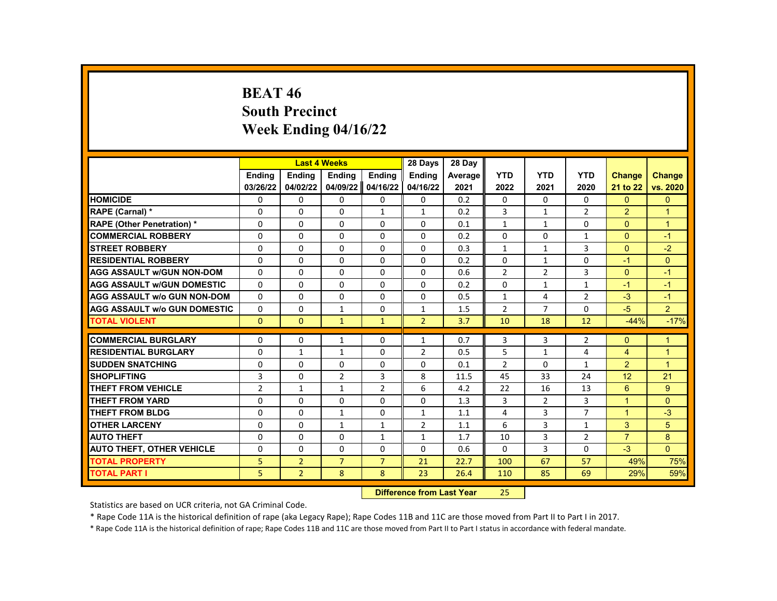# **BEAT 46 South Precinct Week Ending 04/16/22**

|                                     |                |                | <b>Last 4 Weeks</b> |                | 28 Days                          | 28 Day  |                |                |                |                |                |
|-------------------------------------|----------------|----------------|---------------------|----------------|----------------------------------|---------|----------------|----------------|----------------|----------------|----------------|
|                                     | <b>Endina</b>  | <b>Ending</b>  | <b>Ending</b>       | <b>Endina</b>  | <b>Endina</b>                    | Average | <b>YTD</b>     | <b>YTD</b>     | <b>YTD</b>     | <b>Change</b>  | Change         |
|                                     | 03/26/22       | 04/02/22       | 04/09/22            | 04/16/22       | 04/16/22                         | 2021    | 2022           | 2021           | 2020           | 21 to 22       | vs. 2020       |
| <b>HOMICIDE</b>                     | 0              | 0              | 0                   | 0              | 0                                | 0.2     | 0              | 0              | 0              | $\mathbf{0}$   | $\mathbf{0}$   |
| RAPE (Carnal) *                     | $\Omega$       | $\Omega$       | $\Omega$            | $\mathbf{1}$   | $\mathbf{1}$                     | 0.2     | 3              | $\mathbf{1}$   | $\overline{2}$ | $\overline{2}$ | $\mathbf{1}$   |
| <b>RAPE (Other Penetration) *</b>   | $\Omega$       | $\Omega$       | $\Omega$            | $\Omega$       | $\Omega$                         | 0.1     | $\mathbf{1}$   | $\mathbf{1}$   | $\Omega$       | $\Omega$       | $\mathbf{1}$   |
| <b>COMMERCIAL ROBBERY</b>           | 0              | 0              | 0                   | 0              | 0                                | 0.2     | $\Omega$       | 0              | $\mathbf{1}$   | $\Omega$       | $-1$           |
| <b>STREET ROBBERY</b>               | $\Omega$       | $\Omega$       | $\Omega$            | $\Omega$       | $\Omega$                         | 0.3     | $\mathbf{1}$   | $\mathbf{1}$   | 3              | $\Omega$       | $-2$           |
| <b>RESIDENTIAL ROBBERY</b>          | $\Omega$       | $\Omega$       | $\Omega$            | $\Omega$       | $\Omega$                         | 0.2     | $\Omega$       | $\mathbf{1}$   | $\Omega$       | $-1$           | $\Omega$       |
| <b>AGG ASSAULT w/GUN NON-DOM</b>    | $\Omega$       | $\Omega$       | $\Omega$            | $\Omega$       | $\Omega$                         | 0.6     | $\overline{2}$ | $\overline{2}$ | 3              | $\Omega$       | $-1$           |
| <b>AGG ASSAULT w/GUN DOMESTIC</b>   | $\Omega$       | $\Omega$       | $\Omega$            | $\Omega$       | $\Omega$                         | 0.2     | 0              | $\mathbf{1}$   | $\mathbf{1}$   | $-1$           | $-1$           |
| <b>AGG ASSAULT w/o GUN NON-DOM</b>  | $\Omega$       | 0              | $\Omega$            | $\Omega$       | $\Omega$                         | 0.5     | $\mathbf{1}$   | 4              | $\overline{2}$ | $-3$           | $-1$           |
| <b>AGG ASSAULT w/o GUN DOMESTIC</b> | $\Omega$       | 0              | $\mathbf{1}$        | $\Omega$       | 1                                | 1.5     | $\overline{2}$ | $\overline{7}$ | $\Omega$       | $-5$           | $\overline{2}$ |
| <b>TOTAL VIOLENT</b>                | $\Omega$       | $\Omega$       | $\mathbf{1}$        | $\mathbf{1}$   | $\overline{2}$                   | 3.7     | 10             | 18             | 12             | $-44%$         | $-17%$         |
| <b>COMMERCIAL BURGLARY</b>          | $\Omega$       | 0              | $\mathbf{1}$        | 0              | $\mathbf{1}$                     | 0.7     | 3              | 3              | 2              | $\Omega$       | $\mathbf{1}$   |
|                                     |                |                |                     |                |                                  |         |                |                |                |                |                |
| <b>RESIDENTIAL BURGLARY</b>         | 0              | 1              | $\mathbf{1}$        | 0              | $\overline{2}$                   | 0.5     | 5              | $\mathbf{1}$   | 4              | 4              | $\mathbf{1}$   |
| <b>SUDDEN SNATCHING</b>             | $\Omega$       | $\Omega$       | $\Omega$            | $\Omega$       | $\Omega$                         | 0.1     | $\overline{2}$ | $\Omega$       | $\mathbf{1}$   | $\overline{2}$ | $\overline{1}$ |
| <b>SHOPLIFTING</b>                  | 3              | $\Omega$       | $\overline{2}$      | 3              | 8                                | 11.5    | 45             | 33             | 24             | 12             | 21             |
| <b>THEFT FROM VEHICLE</b>           | $\overline{2}$ | 1              | $\mathbf{1}$        | $\overline{2}$ | 6                                | 4.2     | 22             | 16             | 13             | 6              | 9              |
| <b>THEFT FROM YARD</b>              | 0              | 0              | 0                   | 0              | 0                                | 1.3     | 3              | $\overline{2}$ | 3              | $\mathbf{1}$   | $\mathbf{0}$   |
| <b>THEFT FROM BLDG</b>              | $\Omega$       | $\Omega$       | $\mathbf{1}$        | $\Omega$       | $\mathbf{1}$                     | 1.1     | 4              | 3              | $\overline{7}$ | $\mathbf{1}$   | $-3$           |
| <b>OTHER LARCENY</b>                | 0              | $\Omega$       | $\mathbf{1}$        | $\mathbf{1}$   | $\overline{2}$                   | 1.1     | 6              | 3              | $\mathbf{1}$   | 3              | 5              |
| <b>AUTO THEFT</b>                   | $\Omega$       | $\Omega$       | $\Omega$            | $\mathbf{1}$   | $\mathbf{1}$                     | 1.7     | 10             | 3              | $\overline{2}$ | $\overline{7}$ | 8              |
| <b>AUTO THEFT, OTHER VEHICLE</b>    | $\Omega$       | $\Omega$       | $\Omega$            | $\Omega$       | $\Omega$                         | 0.6     | $\Omega$       | 3              | $\Omega$       | $-3$           | $\Omega$       |
| <b>TOTAL PROPERTY</b>               | 5              | $\overline{2}$ | $\overline{7}$      | $\overline{7}$ | 21                               | 22.7    | 100            | 67             | 57             | 49%            | 75%            |
| <b>TOTAL PART I</b>                 | 5              | $\overline{2}$ | 8                   | 8              | 23                               | 26.4    | 110            | 85             | 69             | 29%            | 59%            |
|                                     |                |                |                     |                | <b>Difference from Last Year</b> |         | 25             |                |                |                |                |

Statistics are based on UCR criteria, not GA Criminal Code.

\* Rape Code 11A is the historical definition of rape (aka Legacy Rape); Rape Codes 11B and 11C are those moved from Part II to Part I in 2017.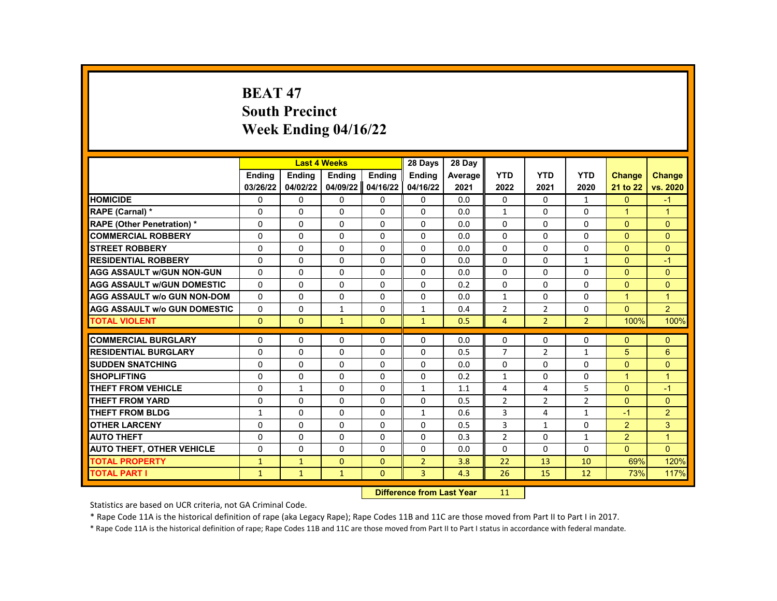# **BEAT 47 South Precinct Week Ending 04/16/22**

|                                     |               | <b>Last 4 Weeks</b> |               |               | 28 Days        | 28 Day  |                |                |                |                      |                |
|-------------------------------------|---------------|---------------------|---------------|---------------|----------------|---------|----------------|----------------|----------------|----------------------|----------------|
|                                     | <b>Endina</b> | <b>Ending</b>       | <b>Ending</b> | <b>Ending</b> | <b>Ending</b>  | Average | <b>YTD</b>     | <b>YTD</b>     | <b>YTD</b>     | <b>Change</b>        | <b>Change</b>  |
|                                     | 03/26/22      | 04/02/22            | 04/09/22      | 04/16/22      | 04/16/22       | 2021    | 2022           | 2021           | 2020           | 21 to 22             | vs. 2020       |
| <b>HOMICIDE</b>                     | 0             | 0                   | 0             | 0             | 0              | 0.0     | $\mathbf{0}$   | $\mathbf{0}$   | $\mathbf{1}$   | $\mathbf{0}$         | $-1$           |
| RAPE (Carnal) *                     | 0             | $\Omega$            | $\Omega$      | $\Omega$      | $\Omega$       | 0.0     | $\mathbf{1}$   | $\Omega$       | $\Omega$       | $\mathbf{1}$         | $\mathbf{1}$   |
| <b>RAPE (Other Penetration) *</b>   | $\Omega$      | $\Omega$            | $\Omega$      | $\Omega$      | $\Omega$       | 0.0     | $\Omega$       | $\Omega$       | $\Omega$       | $\Omega$             | $\Omega$       |
| <b>COMMERCIAL ROBBERY</b>           | $\Omega$      | 0                   | $\Omega$      | 0             | $\Omega$       | 0.0     | $\Omega$       | 0              | $\Omega$       | $\Omega$             | $\Omega$       |
| <b>STREET ROBBERY</b>               | $\Omega$      | $\Omega$            | $\Omega$      | $\Omega$      | $\Omega$       | 0.0     | $\Omega$       | $\Omega$       | $\Omega$       | $\Omega$             | $\Omega$       |
| <b>RESIDENTIAL ROBBERY</b>          | $\Omega$      | $\Omega$            | $\Omega$      | $\Omega$      | $\Omega$       | 0.0     | $\Omega$       | $\Omega$       | $\mathbf{1}$   | $\Omega$             | $-1$           |
| <b>AGG ASSAULT W/GUN NON-GUN</b>    | $\Omega$      | $\Omega$            | $\Omega$      | $\Omega$      | $\Omega$       | 0.0     | $\Omega$       | 0              | $\Omega$       | $\Omega$             | $\Omega$       |
| <b>AGG ASSAULT W/GUN DOMESTIC</b>   | $\Omega$      | $\Omega$            | 0             | $\Omega$      | $\Omega$       | 0.2     | $\Omega$       | $\Omega$       | $\Omega$       | $\Omega$             | $\Omega$       |
| <b>AGG ASSAULT w/o GUN NON-DOM</b>  | $\Omega$      | $\Omega$            | 0             | $\Omega$      | $\Omega$       | 0.0     | $\mathbf{1}$   | $\Omega$       | $\Omega$       | $\overline{1}$       | $\mathbf{1}$   |
| <b>AGG ASSAULT W/o GUN DOMESTIC</b> | 0             | 0                   | $\mathbf{1}$  | 0             | $\mathbf{1}$   | 0.4     | $\overline{2}$ | $\overline{2}$ | 0              | $\Omega$             | $\overline{2}$ |
| <b>TOTAL VIOLENT</b>                | $\mathbf{0}$  | $\mathbf{0}$        | $\mathbf{1}$  | $\Omega$      | $\mathbf{1}$   | 0.5     | $\overline{4}$ | $\overline{2}$ | $\overline{2}$ | 100%                 | 100%           |
| <b>COMMERCIAL BURGLARY</b>          | 0             | 0                   | 0             | 0             | 0              | 0.0     | 0              | 0              | 0              | $\mathbf{0}$         | $\mathbf{0}$   |
| <b>RESIDENTIAL BURGLARY</b>         | $\Omega$      | $\Omega$            | $\Omega$      | $\Omega$      | $\Omega$       | 0.5     | $\overline{7}$ | $\overline{2}$ | $\mathbf{1}$   | 5                    | 6              |
| <b>SUDDEN SNATCHING</b>             | $\Omega$      | $\Omega$            | $\Omega$      | $\Omega$      | $\Omega$       | 0.0     | $\Omega$       | $\Omega$       | $\Omega$       | $\Omega$             | $\Omega$       |
| <b>SHOPLIFTING</b>                  | 0             | 0                   | 0             | 0             | 0              | 0.2     | $\mathbf{1}$   | 0              | 0              | $\blacktriangleleft$ | $\mathbf{1}$   |
| <b>THEFT FROM VEHICLE</b>           | 0             | $\mathbf{1}$        | $\Omega$      | $\Omega$      | $\mathbf{1}$   | 1.1     | 4              | 4              | 5              | $\Omega$             | $-1$           |
| <b>THEFT FROM YARD</b>              | $\Omega$      | $\Omega$            | $\Omega$      | $\Omega$      | $\Omega$       | 0.5     | $\overline{2}$ | $\overline{2}$ | $\overline{2}$ | $\Omega$             | $\Omega$       |
| <b>THEFT FROM BLDG</b>              | $\mathbf{1}$  | $\Omega$            | 0             | $\Omega$      | $\mathbf{1}$   | 0.6     | 3              | 4              | $\mathbf{1}$   | $-1$                 | $\overline{2}$ |
| <b>OTHER LARCENY</b>                | 0             | 0                   | $\Omega$      | 0             | 0              | 0.5     | 3              | $\mathbf{1}$   | 0              | $\overline{2}$       | 3              |
| <b>AUTO THEFT</b>                   | 0             | $\Omega$            | $\Omega$      | $\Omega$      | $\Omega$       | 0.3     | $\overline{2}$ | $\Omega$       | $\mathbf{1}$   | 2                    | $\mathbf{1}$   |
| <b>AUTO THEFT, OTHER VEHICLE</b>    | $\Omega$      | $\Omega$            | $\Omega$      | $\Omega$      | $\Omega$       | 0.0     | $\Omega$       | $\Omega$       | $\Omega$       | $\Omega$             | $\Omega$       |
| <b>TOTAL PROPERTY</b>               | $\mathbf{1}$  | $\mathbf{1}$        | $\mathbf{0}$  | $\mathbf{0}$  | $\overline{2}$ | 3.8     | 22             | 13             | 10             | 69%                  | 120%           |
| <b>TOTAL PART I</b>                 | $\mathbf{1}$  | $\mathbf{1}$        | $\mathbf{1}$  | $\mathbf{0}$  | $\overline{3}$ | 4.3     | 26             | 15             | 12             | 73%                  | 117%           |
|                                     |               |                     |               |               |                |         |                |                |                |                      |                |

**Difference from Last Year** 11

Statistics are based on UCR criteria, not GA Criminal Code.

\* Rape Code 11A is the historical definition of rape (aka Legacy Rape); Rape Codes 11B and 11C are those moved from Part II to Part I in 2017.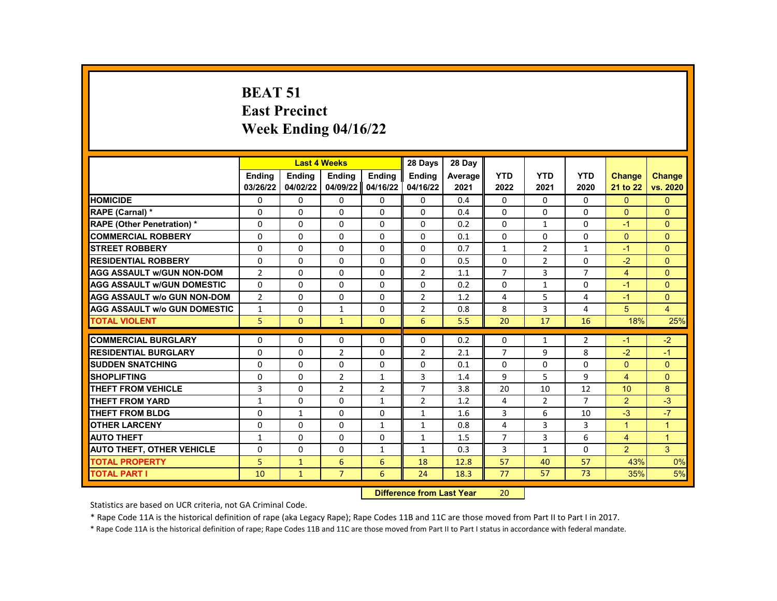#### **BEAT 51 East Precinct Week Ending 04/16/22**

|                                     |                |               | <b>Last 4 Weeks</b> |                | 28 Days        | 28 Day  |                |                |                |                |                |
|-------------------------------------|----------------|---------------|---------------------|----------------|----------------|---------|----------------|----------------|----------------|----------------|----------------|
|                                     | <b>Endina</b>  | <b>Endina</b> | <b>Endina</b>       | <b>Endina</b>  | <b>Endina</b>  | Average | <b>YTD</b>     | <b>YTD</b>     | <b>YTD</b>     | <b>Change</b>  | <b>Change</b>  |
|                                     | 03/26/22       | 04/02/22      | 04/09/22            | 04/16/22       | 04/16/22       | 2021    | 2022           | 2021           | 2020           | 21 to 22       | vs. 2020       |
| <b>HOMICIDE</b>                     | 0              | 0             | $\Omega$            | 0              | 0              | 0.4     | 0              | 0              | $\Omega$       | $\mathbf{0}$   | $\Omega$       |
| RAPE (Carnal) *                     | $\Omega$       | $\Omega$      | $\Omega$            | $\Omega$       | $\Omega$       | 0.4     | $\Omega$       | $\Omega$       | $\Omega$       | $\Omega$       | $\Omega$       |
| <b>RAPE (Other Penetration) *</b>   | $\Omega$       | $\Omega$      | $\Omega$            | $\Omega$       | $\Omega$       | 0.2     | $\Omega$       | $\mathbf{1}$   | $\Omega$       | $-1$           | $\Omega$       |
| <b>COMMERCIAL ROBBERY</b>           | 0              | 0             | 0                   | 0              | 0              | 0.1     | $\Omega$       | 0              | 0              | $\Omega$       | $\Omega$       |
| <b>STREET ROBBERY</b>               | 0              | $\Omega$      | $\Omega$            | $\Omega$       | 0              | 0.7     | $\mathbf{1}$   | $\overline{2}$ | $\mathbf{1}$   | $-1$           | $\Omega$       |
| <b>RESIDENTIAL ROBBERY</b>          | $\Omega$       | $\Omega$      | $\Omega$            | $\Omega$       | $\Omega$       | 0.5     | $\Omega$       | $\mathcal{P}$  | $\Omega$       | $-2$           | $\Omega$       |
| <b>AGG ASSAULT w/GUN NON-DOM</b>    | $\overline{2}$ | $\Omega$      | $\Omega$            | $\Omega$       | $\overline{2}$ | 1.1     | $\overline{7}$ | 3              | $\overline{7}$ | $\overline{4}$ | $\Omega$       |
| <b>AGG ASSAULT w/GUN DOMESTIC</b>   | $\Omega$       | $\Omega$      | $\Omega$            | $\Omega$       | 0              | 0.2     | 0              | $\mathbf{1}$   | $\mathbf 0$    | $-1$           | $\Omega$       |
| <b>AGG ASSAULT w/o GUN NON-DOM</b>  | $\overline{2}$ | $\Omega$      | $\Omega$            | $\Omega$       | $\overline{2}$ | 1.2     | 4              | 5              | 4              | $-1$           | $\Omega$       |
| <b>AGG ASSAULT w/o GUN DOMESTIC</b> | $\mathbf{1}$   | $\Omega$      | $\mathbf{1}$        | $\Omega$       | $\overline{2}$ | 0.8     | 8              | 3              | 4              | 5              | 4              |
| <b>TOTAL VIOLENT</b>                | 5 <sup>1</sup> | $\mathbf{0}$  | $\mathbf{1}$        | $\mathbf{0}$   | 6              | 5.5     | 20             | 17             | 16             | 18%            | 25%            |
|                                     |                |               |                     |                |                |         |                |                |                |                |                |
| <b>COMMERCIAL BURGLARY</b>          | 0              | 0             | 0                   | 0              | 0              | 0.2     | 0              | 1              | 2              | $-1$           | $-2$           |
| <b>RESIDENTIAL BURGLARY</b>         | $\Omega$       | 0             | $\overline{2}$      | 0              | $\overline{2}$ | 2.1     | $\overline{7}$ | 9              | 8              | $-2$           | $-1$           |
| <b>SUDDEN SNATCHING</b>             | $\Omega$       | $\Omega$      | $\Omega$            | $\Omega$       | 0              | 0.1     | $\Omega$       | $\Omega$       | $\Omega$       | $\Omega$       | $\Omega$       |
| <b>SHOPLIFTING</b>                  | $\Omega$       | $\Omega$      | $\overline{2}$      | $\mathbf{1}$   | 3              | 1.4     | 9              | 5              | 9              | 4              | $\Omega$       |
| <b>THEFT FROM VEHICLE</b>           | 3              | $\Omega$      | $\overline{2}$      | $\overline{2}$ | $\overline{7}$ | 3.8     | 20             | 10             | 12             | 10             | 8              |
| <b>THEFT FROM YARD</b>              | $\mathbf{1}$   | $\Omega$      | $\Omega$            | $\mathbf{1}$   | $\overline{2}$ | 1.2     | 4              | $\overline{2}$ | $\overline{7}$ | $\overline{2}$ | $-3$           |
| <b>THEFT FROM BLDG</b>              | $\Omega$       | $\mathbf{1}$  | $\Omega$            | $\Omega$       | $\mathbf{1}$   | 1.6     | 3              | 6              | 10             | $-3$           | $-7$           |
| <b>OTHER LARCENY</b>                | $\Omega$       | $\Omega$      | $\Omega$            | $\mathbf{1}$   | $\mathbf{1}$   | 0.8     | 4              | 3              | 3              | $\mathbf{1}$   | $\overline{1}$ |
| <b>AUTO THEFT</b>                   | $\mathbf{1}$   | $\Omega$      | $\Omega$            | $\Omega$       | $\mathbf{1}$   | 1.5     | $\overline{7}$ | 3              | 6              | $\overline{4}$ | $\overline{1}$ |
| <b>AUTO THEFT, OTHER VEHICLE</b>    | $\Omega$       | 0             | 0                   | $\mathbf{1}$   | $\mathbf{1}$   | 0.3     | 3              | $\mathbf{1}$   | $\Omega$       | $\overline{2}$ | 3              |
| <b>TOTAL PROPERTY</b>               | 5              | $\mathbf{1}$  | 6                   | 6              | 18             | 12.8    | 57             | 40             | 57             | 43%            | 0%             |
| <b>TOTAL PART I</b>                 | 10             | $\mathbf{1}$  | $\overline{7}$      | 6              | 24             | 18.3    | 77             | 57             | 73             | 35%            | 5%             |
|                                     |                |               |                     | <b>Section</b> |                |         |                |                |                |                |                |

**Difference from Last Year** 20

Statistics are based on UCR criteria, not GA Criminal Code.

\* Rape Code 11A is the historical definition of rape (aka Legacy Rape); Rape Codes 11B and 11C are those moved from Part II to Part I in 2017.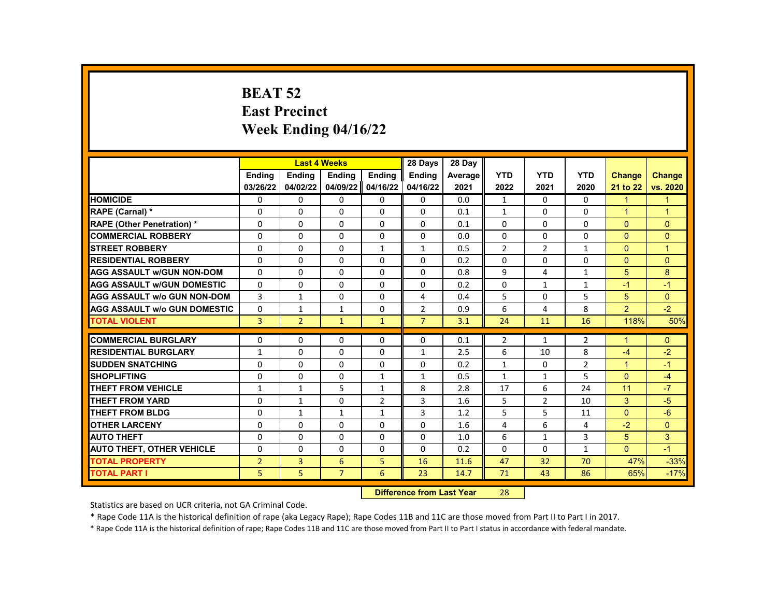# **BEAT 52 East Precinct Week Ending 04/16/22**

|                                     |                | <b>Last 4 Weeks</b> |                |                | 28 Days                   | 28 Day  |                |                |                |                |                |
|-------------------------------------|----------------|---------------------|----------------|----------------|---------------------------|---------|----------------|----------------|----------------|----------------|----------------|
|                                     | <b>Endina</b>  | <b>Ending</b>       | Ending         | Ending         | Ending                    | Average | <b>YTD</b>     | <b>YTD</b>     | <b>YTD</b>     | <b>Change</b>  | <b>Change</b>  |
|                                     | 03/26/22       | 04/02/22            | 04/09/22       | 04/16/22       | 04/16/22                  | 2021    | 2022           | 2021           | 2020           | 21 to 22       | vs. 2020       |
| <b>HOMICIDE</b>                     | 0              | 0                   | 0              | 0              | 0                         | 0.0     | $\mathbf{1}$   | $\Omega$       | 0              | $\mathbf{1}$   | 1              |
| RAPE (Carnal) *                     | 0              | 0                   | 0              | 0              | $\Omega$                  | 0.1     | $\mathbf{1}$   | $\Omega$       | $\Omega$       | $\mathbf{1}$   | $\mathbf{1}$   |
| <b>RAPE (Other Penetration) *</b>   | 0              | $\Omega$            | $\Omega$       | $\Omega$       | $\Omega$                  | 0.1     | $\Omega$       | $\Omega$       | $\Omega$       | $\Omega$       | $\Omega$       |
| <b>COMMERCIAL ROBBERY</b>           | 0              | $\Omega$            | $\Omega$       | $\Omega$       | $\Omega$                  | 0.0     | $\Omega$       | $\Omega$       | $\Omega$       | $\Omega$       | $\Omega$       |
| <b>STREET ROBBERY</b>               | 0              | $\Omega$            | 0              | $\mathbf{1}$   | $\mathbf{1}$              | 0.5     | $\overline{2}$ | $\overline{2}$ | $\mathbf{1}$   | $\Omega$       | $\overline{1}$ |
| <b>RESIDENTIAL ROBBERY</b>          | $\Omega$       | $\Omega$            | $\Omega$       | $\Omega$       | $\Omega$                  | 0.2     | $\Omega$       | $\Omega$       | $\Omega$       | $\Omega$       | $\Omega$       |
| <b>AGG ASSAULT w/GUN NON-DOM</b>    | 0              | $\Omega$            | 0              | 0              | 0                         | 0.8     | 9              | 4              | $\mathbf{1}$   | 5              | 8              |
| <b>AGG ASSAULT w/GUN DOMESTIC</b>   | 0              | 0                   | 0              | 0              | 0                         | 0.2     | 0              | $\mathbf{1}$   | $\mathbf{1}$   | $-1$           | $-1$           |
| <b>AGG ASSAULT w/o GUN NON-DOM</b>  | $\overline{3}$ | $\mathbf{1}$        | $\Omega$       | $\Omega$       | 4                         | 0.4     | 5              | $\Omega$       | 5              | 5              | $\Omega$       |
| <b>AGG ASSAULT w/o GUN DOMESTIC</b> | $\Omega$       | $\mathbf{1}$        | $\mathbf{1}$   | $\Omega$       | $\overline{2}$            | 0.9     | 6              | 4              | 8              | $\overline{2}$ | $-2$           |
| <b>TOTAL VIOLENT</b>                | 3              | $\overline{2}$      | $\mathbf{1}$   | $\mathbf{1}$   | $\overline{7}$            | 3.1     | 24             | 11             | 16             | 118%           | 50%            |
|                                     |                |                     |                |                |                           |         |                |                |                |                |                |
| <b>COMMERCIAL BURGLARY</b>          | 0              | 0                   | 0              | 0              | 0                         | 0.1     | $\overline{2}$ | 1              | $\overline{2}$ | 1              | $\Omega$       |
| <b>RESIDENTIAL BURGLARY</b>         | 1              | 0                   | $\Omega$       | 0              | $\mathbf{1}$              | 2.5     | 6              | 10             | 8              | $-4$           | $-2$           |
| <b>SUDDEN SNATCHING</b>             | 0              | 0                   | $\Omega$       | 0              | $\Omega$                  | 0.2     | $\mathbf{1}$   | $\Omega$       | $\overline{2}$ | $\mathbf{1}$   | $-1$           |
| <b>SHOPLIFTING</b>                  | 0              | $\Omega$            | 0              | $\mathbf{1}$   | $\mathbf{1}$              | 0.5     | $\mathbf{1}$   | $\mathbf{1}$   | 5              | $\Omega$       | $-4$           |
| <b>THEFT FROM VEHICLE</b>           | $\mathbf{1}$   | $\mathbf{1}$        | 5              | $\mathbf{1}$   | 8                         | 2.8     | 17             | 6              | 24             | 11             | $-7$           |
| <b>THEFT FROM YARD</b>              | 0              | $\mathbf{1}$        | $\Omega$       | $\overline{2}$ | $\overline{3}$            | 1.6     | 5              | $\overline{2}$ | 10             | 3              | $-5$           |
| <b>THEFT FROM BLDG</b>              | 0              | $\mathbf{1}$        | $\mathbf{1}$   | $\mathbf{1}$   | $\overline{3}$            | 1.2     | 5              | 5              | 11             | $\Omega$       | $-6$           |
| <b>OTHER LARCENY</b>                | $\Omega$       | $\Omega$            | $\Omega$       | $\Omega$       | $\Omega$                  | 1.6     | 4              | 6              | 4              | $-2$           | $\Omega$       |
| <b>AUTO THEFT</b>                   | 0              | 0                   | $\Omega$       | 0              | $\Omega$                  | 1.0     | 6              | $\mathbf{1}$   | 3              | 5              | 3              |
| <b>AUTO THEFT, OTHER VEHICLE</b>    | 0              | $\mathbf{0}$        | 0              | 0              | $\Omega$                  | 0.2     | $\Omega$       | $\mathbf{0}$   | $\mathbf{1}$   | $\Omega$       | $-1$           |
| <b>TOTAL PROPERTY</b>               | $\overline{2}$ | 3                   | 6              | 5              | 16                        | 11.6    | 47             | 32             | 70             | 47%            | $-33%$         |
| <b>TOTAL PART I</b>                 | 5              | 5                   | $\overline{7}$ | 6              | 23                        | 14.7    | 71             | 43             | 86             | 65%            | $-17%$         |
|                                     |                |                     |                |                | Difference from Loot Voor |         | 20             |                |                |                |                |

**Difference from Last Year** 28

Statistics are based on UCR criteria, not GA Criminal Code.

\* Rape Code 11A is the historical definition of rape (aka Legacy Rape); Rape Codes 11B and 11C are those moved from Part II to Part I in 2017.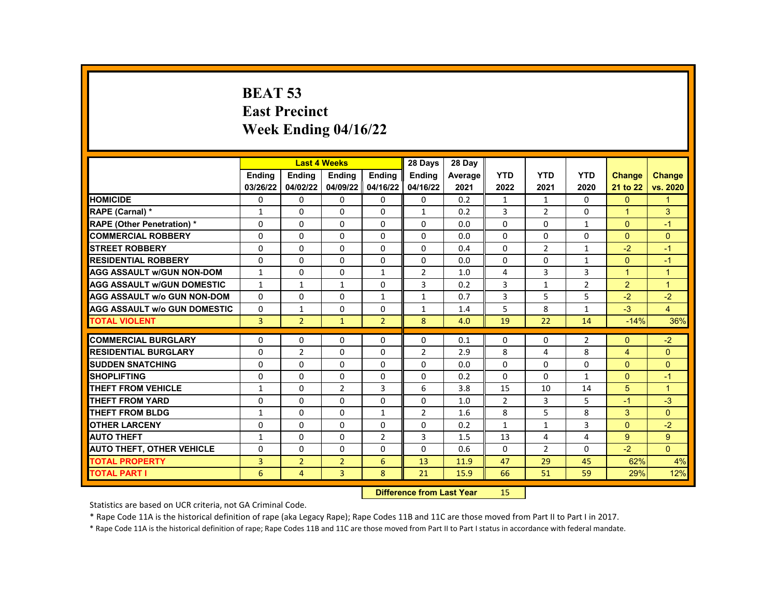# **BEAT 53 East Precinct Week Ending 04/16/22**

|                                     |                |                | <b>Last 4 Weeks</b> |                | 28 Days                   | 28 Day  |                |                |                |                      |                |
|-------------------------------------|----------------|----------------|---------------------|----------------|---------------------------|---------|----------------|----------------|----------------|----------------------|----------------|
|                                     | <b>Endina</b>  | <b>Endina</b>  | <b>Endina</b>       | <b>Endina</b>  | <b>Endina</b>             | Average | <b>YTD</b>     | <b>YTD</b>     | <b>YTD</b>     | <b>Change</b>        | <b>Change</b>  |
|                                     | 03/26/22       | 04/02/22       | 04/09/22            | 04/16/22       | 04/16/22                  | 2021    | 2022           | 2021           | 2020           | 21 to 22             | vs. 2020       |
| <b>HOMICIDE</b>                     | 0              | $\Omega$       | 0                   | $\Omega$       | $\mathbf{0}$              | 0.2     | $\mathbf{1}$   | $\mathbf{1}$   | $\Omega$       | $\mathbf{0}$         | $\mathbf{1}$   |
| RAPE (Carnal) *                     | 1              | $\Omega$       | $\Omega$            | $\Omega$       | $\mathbf{1}$              | 0.2     | 3              | $\overline{2}$ | $\Omega$       | 1                    | 3              |
| <b>RAPE (Other Penetration) *</b>   | $\Omega$       | $\Omega$       | $\Omega$            | $\Omega$       | $\Omega$                  | 0.0     | $\Omega$       | $\Omega$       | $\mathbf{1}$   | $\Omega$             | $-1$           |
| <b>COMMERCIAL ROBBERY</b>           | 0              | $\Omega$       | $\Omega$            | $\Omega$       | $\Omega$                  | 0.0     | $\Omega$       | $\Omega$       | $\Omega$       | $\mathbf{0}$         | $\mathbf{0}$   |
| <b>STREET ROBBERY</b>               | $\Omega$       | $\Omega$       | $\Omega$            | $\Omega$       | $\Omega$                  | 0.4     | $\Omega$       | 2              | $\mathbf{1}$   | $-2$                 | $-1$           |
| <b>RESIDENTIAL ROBBERY</b>          | $\Omega$       | $\Omega$       | $\Omega$            | $\Omega$       | $\Omega$                  | 0.0     | $\Omega$       | $\Omega$       | $\mathbf{1}$   | $\Omega$             | $-1$           |
| <b>AGG ASSAULT w/GUN NON-DOM</b>    | $\mathbf{1}$   | $\Omega$       | $\Omega$            | 1              | $\overline{2}$            | 1.0     | 4              | 3              | 3              | $\blacktriangleleft$ | $\overline{1}$ |
| <b>AGG ASSAULT W/GUN DOMESTIC</b>   | $\mathbf{1}$   | $\mathbf{1}$   | $\mathbf{1}$        | $\Omega$       | 3                         | 0.2     | 3              | $\mathbf{1}$   | $\overline{2}$ | 2                    | $\overline{1}$ |
| <b>AGG ASSAULT W/o GUN NON-DOM</b>  | $\Omega$       | $\Omega$       | $\Omega$            | $\mathbf{1}$   | $\mathbf{1}$              | 0.7     | $\overline{3}$ | 5              | 5              | $-2$                 | $-2$           |
| <b>AGG ASSAULT W/o GUN DOMESTIC</b> | $\Omega$       | $\mathbf{1}$   | $\Omega$            | $\Omega$       | $\mathbf{1}$              | 1.4     | 5              | 8              | $\mathbf{1}$   | $-3$                 | $\overline{4}$ |
| <b>TOTAL VIOLENT</b>                | $\overline{3}$ | $\overline{2}$ | $\mathbf{1}$        | $\overline{2}$ | 8                         | 4.0     | 19             | 22             | 14             | $-14%$               | 36%            |
| <b>COMMERCIAL BURGLARY</b>          |                |                |                     |                |                           |         |                |                |                |                      |                |
|                                     | 0              | 0              | $\Omega$            | $\Omega$       | $\Omega$                  | 0.1     | $\mathbf{0}$   | 0              | 2              | $\Omega$             | $-2$           |
| <b>RESIDENTIAL BURGLARY</b>         | $\Omega$       | $\overline{2}$ | $\Omega$            | $\mathbf{0}$   | $\overline{2}$            | 2.9     | 8              | 4              | 8              | $\overline{4}$       | $\mathbf{0}$   |
| <b>SUDDEN SNATCHING</b>             | $\Omega$       | $\Omega$       | $\Omega$            | $\Omega$       | $\Omega$                  | 0.0     | $\Omega$       | $\Omega$       | $\Omega$       | $\Omega$             | $\Omega$       |
| <b>SHOPLIFTING</b>                  | 0              | $\Omega$       | $\Omega$            | $\Omega$       | $\Omega$                  | 0.2     | $\Omega$       | $\Omega$       | $\mathbf{1}$   | $\Omega$             | $-1$           |
| <b>THEFT FROM VEHICLE</b>           | $\mathbf{1}$   | $\Omega$       | $\overline{2}$      | 3              | 6                         | 3.8     | 15             | 10             | 14             | 5                    | $\mathbf{1}$   |
| THEFT FROM YARD                     | $\Omega$       | $\Omega$       | $\Omega$            | $\mathbf{0}$   | $\Omega$                  | 1.0     | $\overline{2}$ | $\overline{3}$ | 5              | $-1$                 | $-3$           |
| THEFT FROM BLDG                     | $\mathbf{1}$   | $\Omega$       | $\Omega$            | $\mathbf{1}$   | $\overline{2}$            | 1.6     | 8              | 5              | 8              | 3                    | $\Omega$       |
| <b>OTHER LARCENY</b>                | $\Omega$       | $\Omega$       | $\Omega$            | $\Omega$       | $\Omega$                  | 0.2     | $\mathbf{1}$   | $\mathbf{1}$   | 3              | $\Omega$             | $-2$           |
| <b>AUTO THEFT</b>                   | $\mathbf{1}$   | $\Omega$       | $\Omega$            | $\overline{2}$ | 3                         | 1.5     | 13             | 4              | 4              | 9                    | 9              |
| <b>AUTO THEFT, OTHER VEHICLE</b>    | 0              | 0              | 0                   | $\Omega$       | $\Omega$                  | 0.6     | $\Omega$       | 2              | 0              | $-2$                 | $\Omega$       |
| <b>TOTAL PROPERTY</b>               | 3              | $\overline{2}$ | $\overline{2}$      | 6              | 13                        | 11.9    | 47             | 29             | 45             | 62%                  | 4%             |
| <b>TOTAL PART I</b>                 | 6              | 4              | $\overline{3}$      | 8              | 21                        | 15.9    | 66             | 51             | 59             | 29%                  | 12%            |
|                                     |                |                |                     |                | Difference from Last Vear |         | 1 E .          |                |                |                      |                |

**Difference from Last Year** 15

Statistics are based on UCR criteria, not GA Criminal Code.

\* Rape Code 11A is the historical definition of rape (aka Legacy Rape); Rape Codes 11B and 11C are those moved from Part II to Part I in 2017.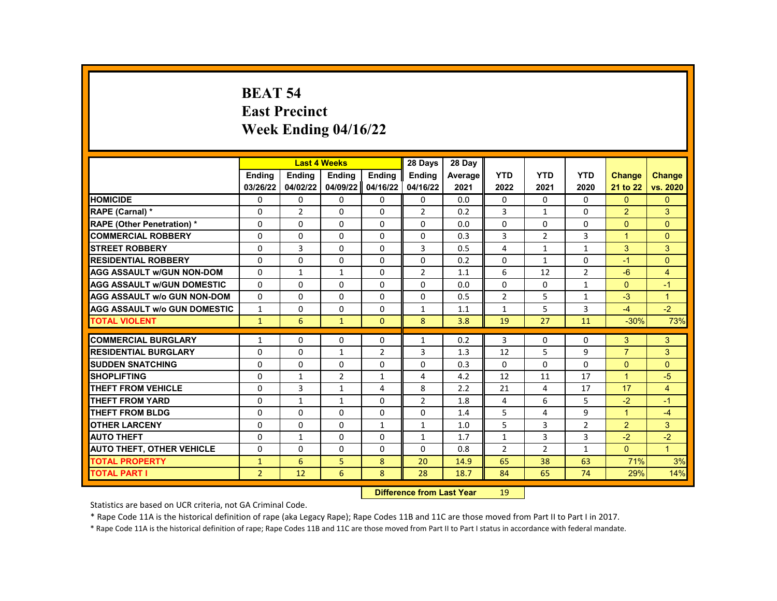# **BEAT 54 East Precinct Week Ending 04/16/22**

|                                     |                | <b>Last 4 Weeks</b> |                |                | 28 Days                  | 28 Day  |                |                |                |                |                      |
|-------------------------------------|----------------|---------------------|----------------|----------------|--------------------------|---------|----------------|----------------|----------------|----------------|----------------------|
|                                     | <b>Ending</b>  | <b>Ending</b>       | <b>Ending</b>  | <b>Ending</b>  | Ending                   | Average | <b>YTD</b>     | <b>YTD</b>     | <b>YTD</b>     | <b>Change</b>  | <b>Change</b>        |
|                                     | 03/26/22       | 04/02/22            | 04/09/22       | 04/16/22       | 04/16/22                 | 2021    | 2022           | 2021           | 2020           | 21 to 22       | vs. 2020             |
| <b>HOMICIDE</b>                     | 0              | 0                   | $\mathbf{0}$   | $\mathbf{0}$   | 0                        | 0.0     | $\mathbf{0}$   | $\mathbf{0}$   | 0              | $\Omega$       | $\Omega$             |
| RAPE (Carnal) *                     | $\Omega$       | $\overline{2}$      | 0              | 0              | $\overline{2}$           | 0.2     | 3              | $\mathbf{1}$   | $\Omega$       | 2              | 3                    |
| <b>RAPE (Other Penetration) *</b>   | $\Omega$       | $\Omega$            | $\Omega$       | $\Omega$       | $\Omega$                 | 0.0     | $\Omega$       | $\Omega$       | $\Omega$       | $\Omega$       | $\Omega$             |
| <b>COMMERCIAL ROBBERY</b>           | $\Omega$       | 0                   | 0              | 0              | 0                        | 0.3     | 3              | $\overline{2}$ | 3              | $\mathbf{1}$   | $\overline{0}$       |
| <b>STREET ROBBERY</b>               | $\Omega$       | 3                   | 0              | $\Omega$       | 3                        | 0.5     | $\overline{4}$ | $\mathbf{1}$   | $\mathbf{1}$   | 3              | 3                    |
| <b>RESIDENTIAL ROBBERY</b>          | $\Omega$       | $\Omega$            | $\Omega$       | $\Omega$       | $\Omega$                 | 0.2     | $\Omega$       | $\mathbf{1}$   | $\Omega$       | $-1$           | $\overline{0}$       |
| <b>AGG ASSAULT w/GUN NON-DOM</b>    | $\Omega$       | $\mathbf{1}$        | $\mathbf{1}$   | $\Omega$       | $\overline{2}$           | 1.1     | 6              | 12             | $\overline{2}$ | $-6$           | $\overline{4}$       |
| <b>AGG ASSAULT w/GUN DOMESTIC</b>   | $\Omega$       | $\Omega$            | 0              | $\Omega$       | $\Omega$                 | 0.0     | $\Omega$       | $\Omega$       | $\mathbf{1}$   | $\Omega$       | $-1$                 |
| <b>AGG ASSAULT w/o GUN NON-DOM</b>  | $\Omega$       | $\Omega$            | $\Omega$       | $\Omega$       | $\Omega$                 | 0.5     | $\overline{2}$ | 5              | $\mathbf{1}$   | $-3$           | $\mathbf{1}$         |
| <b>AGG ASSAULT w/o GUN DOMESTIC</b> | $\mathbf{1}$   | 0                   | 0              | 0              | $\mathbf{1}$             | 1.1     | 1              | 5              | 3              | $-4$           | $-2$                 |
| <b>TOTAL VIOLENT</b>                | $\mathbf{1}$   | 6                   | $\mathbf{1}$   | $\Omega$       | 8                        | 3.8     | 19             | 27             | 11             | $-30%$         | 73%                  |
| <b>COMMERCIAL BURGLARY</b>          | $\mathbf{1}$   | 0                   | 0              | $\Omega$       | $\mathbf{1}$             | 0.2     | 3              | $\Omega$       | 0              | 3              | 3                    |
| <b>RESIDENTIAL BURGLARY</b>         |                |                     |                |                | 3                        | 1.3     | 12             | 5              | 9              | $\overline{7}$ | 3                    |
| <b>SUDDEN SNATCHING</b>             | 0              | 0                   | $\mathbf{1}$   | $\overline{2}$ |                          |         |                |                |                |                |                      |
|                                     | $\Omega$       | $\Omega$            | $\Omega$       | $\Omega$       | $\Omega$                 | 0.3     | $\Omega$       | $\Omega$       | $\Omega$       | $\Omega$       | $\overline{0}$       |
| <b>SHOPLIFTING</b>                  | $\Omega$       | 1                   | $\overline{2}$ | 1              | 4                        | 4.2     | 12             | 11             | 17             | $\mathbf{1}$   | $-5$                 |
| <b>THEFT FROM VEHICLE</b>           | 0              | 3                   | $\mathbf{1}$   | 4              | 8                        | 2.2     | 21             | 4              | 17             | 17             | 4                    |
| <b>THEFT FROM YARD</b>              | $\Omega$       | $\mathbf{1}$        | $\mathbf{1}$   | $\Omega$       | $\overline{2}$           | 1.8     | $\overline{4}$ | 6              | 5              | $-2$           | $-1$                 |
| <b>THEFT FROM BLDG</b>              | $\Omega$       | $\Omega$            | 0              | $\Omega$       | $\Omega$                 | 1.4     | 5              | 4              | 9              | $\mathbf{1}$   | $-4$                 |
| <b>OTHER LARCENY</b>                | $\Omega$       | $\Omega$            | $\Omega$       | $\mathbf{1}$   | $\mathbf{1}$             | 1.0     | 5              | 3              | $\overline{2}$ | 2              | 3                    |
| <b>AUTO THEFT</b>                   | $\Omega$       | $\mathbf{1}$        | 0              | $\Omega$       | $\mathbf{1}$             | 1.7     | $\mathbf{1}$   | 3              | 3              | $-2$           | $-2$                 |
| <b>AUTO THEFT, OTHER VEHICLE</b>    | $\Omega$       | $\Omega$            | 0              | $\Omega$       | $\Omega$                 | 0.8     | $\overline{2}$ | $\overline{2}$ | $\mathbf{1}$   | $\Omega$       | $\blacktriangleleft$ |
| <b>TOTAL PROPERTY</b>               | $\mathbf{1}$   | 6                   | 5              | 8              | 20                       | 14.9    | 65             | 38             | 63             | 71%            | 3%                   |
| <b>TOTAL PART I</b>                 | $\overline{2}$ | 12                  | 6              | 8              | 28                       | 18.7    | 84             | 65             | 74             | 29%            | 14%                  |
|                                     |                |                     |                | <b>INSECUL</b> | a a dheanna 1 anns Manan |         | $\sqrt{2}$     |                |                |                |                      |

**Difference from Last Year** 19

Statistics are based on UCR criteria, not GA Criminal Code.

\* Rape Code 11A is the historical definition of rape (aka Legacy Rape); Rape Codes 11B and 11C are those moved from Part II to Part I in 2017.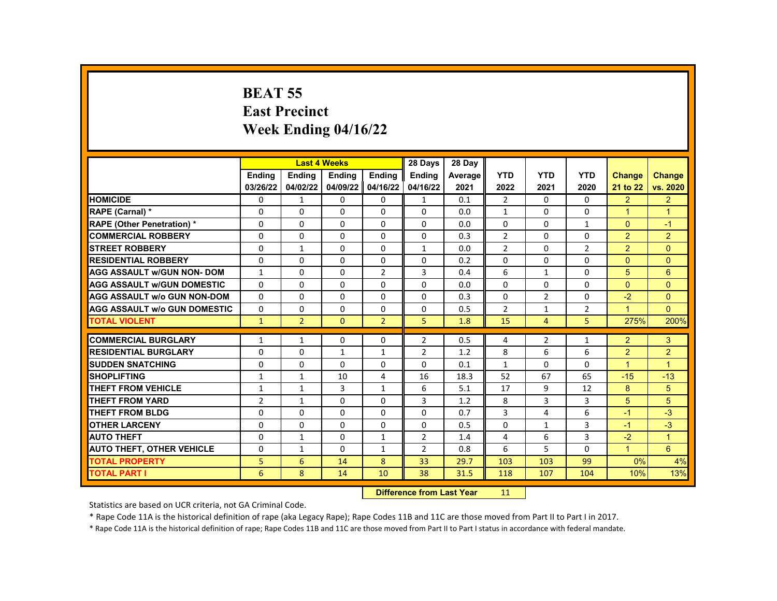# **BEAT 55 East Precinct Week Ending 04/16/22**

|                                     |                | <b>Last 4 Weeks</b> |              |                | 28 Days            | 28 Day  |                |                |                |                      |                      |
|-------------------------------------|----------------|---------------------|--------------|----------------|--------------------|---------|----------------|----------------|----------------|----------------------|----------------------|
|                                     | Ending         | Ending              | Ending       | Ending         | <b>Ending</b>      | Average | <b>YTD</b>     | <b>YTD</b>     | <b>YTD</b>     | <b>Change</b>        | <b>Change</b>        |
|                                     | 03/26/22       | 04/02/22            | 04/09/22     | 04/16/22       | 04/16/22           | 2021    | 2022           | 2021           | 2020           | 21 to 22             | vs. 2020             |
| <b>HOMICIDE</b>                     | 0              | $\mathbf{1}$        | 0            | 0              | $\mathbf{1}$       | 0.1     | $\overline{2}$ | 0              | 0              | $\overline{2}$       | $\overline{2}$       |
| RAPE (Carnal) *                     | $\Omega$       | $\Omega$            | $\Omega$     | $\Omega$       | $\Omega$           | 0.0     | $\mathbf{1}$   | $\Omega$       | $\Omega$       | $\blacktriangleleft$ | $\overline{1}$       |
| <b>RAPE (Other Penetration) *</b>   | $\Omega$       | $\Omega$            | $\Omega$     | $\Omega$       | $\Omega$           | 0.0     | $\Omega$       | $\Omega$       | $\mathbf{1}$   | $\Omega$             | $-1$                 |
| <b>COMMERCIAL ROBBERY</b>           | $\Omega$       | $\Omega$            | $\Omega$     | 0              | 0                  | 0.3     | $\overline{2}$ | 0              | $\Omega$       | $\overline{2}$       | $\overline{2}$       |
| <b>STREET ROBBERY</b>               | $\Omega$       | $\mathbf{1}$        | $\Omega$     | $\Omega$       | $\mathbf{1}$       | 0.0     | $\overline{2}$ | $\Omega$       | $\overline{2}$ | $\overline{2}$       | $\Omega$             |
| <b>RESIDENTIAL ROBBERY</b>          | $\Omega$       | $\Omega$            | $\Omega$     | $\Omega$       | $\Omega$           | 0.2     | $\Omega$       | $\Omega$       | $\Omega$       | $\Omega$             | $\Omega$             |
| <b>AGG ASSAULT w/GUN NON- DOM</b>   | $\mathbf{1}$   | $\Omega$            | $\Omega$     | $\overline{2}$ | 3                  | 0.4     | 6              | $\mathbf{1}$   | 0              | 5                    | 6                    |
| <b>AGG ASSAULT W/GUN DOMESTIC</b>   | $\Omega$       | $\Omega$            | 0            | $\Omega$       | $\Omega$           | 0.0     | $\Omega$       | $\Omega$       | $\Omega$       | $\Omega$             | $\Omega$             |
| <b>AGG ASSAULT w/o GUN NON-DOM</b>  | $\Omega$       | $\Omega$            | $\Omega$     | $\Omega$       | $\Omega$           | 0.3     | 0              | $\overline{2}$ | $\Omega$       | $-2$                 | $\mathbf{0}$         |
| <b>AGG ASSAULT W/o GUN DOMESTIC</b> | $\Omega$       | 0                   | $\Omega$     | 0              | 0                  | 0.5     | $\overline{2}$ | 1              | $\overline{2}$ | $\mathbf{1}$         | $\Omega$             |
| <b>TOTAL VIOLENT</b>                | $\mathbf{1}$   | $\overline{2}$      | $\Omega$     | $\overline{2}$ | 5                  | 1.8     | 15             | $\overline{4}$ | 5              | 275%                 | 200%                 |
|                                     |                |                     |              |                |                    |         |                |                |                |                      |                      |
| <b>COMMERCIAL BURGLARY</b>          | $\mathbf{1}$   | 1                   | 0            | 0              | $\overline{2}$     | 0.5     | 4              | $\overline{2}$ | $\mathbf{1}$   | $\overline{2}$       | 3                    |
| <b>RESIDENTIAL BURGLARY</b>         | $\Omega$       | $\Omega$            | $\mathbf{1}$ | $\mathbf{1}$   | $\overline{2}$     | 1.2     | 8              | 6              | 6              | $\overline{2}$       | $\overline{2}$       |
| <b>SUDDEN SNATCHING</b>             | $\Omega$       | $\Omega$            | $\Omega$     | $\Omega$       | $\Omega$           | 0.1     | $\mathbf{1}$   | $\Omega$       | $\Omega$       | $\blacktriangleleft$ | $\blacktriangleleft$ |
| <b>SHOPLIFTING</b>                  | $\mathbf{1}$   | $\mathbf{1}$        | 10           | 4              | 16                 | 18.3    | 52             | 67             | 65             | $-15$                | $-13$                |
| <b>THEFT FROM VEHICLE</b>           | $\mathbf{1}$   | $\mathbf{1}$        | 3            | $\mathbf{1}$   | 6                  | 5.1     | 17             | 9              | 12             | 8                    | 5 <sup>5</sup>       |
| <b>THEFT FROM YARD</b>              | $\overline{2}$ | $\mathbf{1}$        | $\Omega$     | $\Omega$       | 3                  | 1.2     | 8              | 3              | 3              | 5                    | 5                    |
| <b>THEFT FROM BLDG</b>              | $\Omega$       | 0                   | 0            | 0              | 0                  | 0.7     | $\overline{3}$ | 4              | 6              | -1                   | $-3$                 |
| <b>OTHER LARCENY</b>                | $\Omega$       | $\Omega$            | $\Omega$     | $\Omega$       | $\Omega$           | 0.5     | 0              | $\mathbf{1}$   | 3              | $-1$                 | $-3$                 |
| <b>AUTO THEFT</b>                   | $\Omega$       | $\mathbf{1}$        | $\Omega$     | $\mathbf{1}$   | $\overline{2}$     | 1.4     | 4              | 6              | 3              | $-2$                 | $\blacktriangleleft$ |
| <b>AUTO THEFT, OTHER VEHICLE</b>    | 0              | $\mathbf{1}$        | 0            | $\mathbf{1}$   | $\overline{2}$     | 0.8     | 6              | 5              | 0              | $\blacktriangleleft$ | $6^{\circ}$          |
| <b>TOTAL PROPERTY</b>               | 5              | 6                   | 14           | 8              | 33                 | 29.7    | 103            | 103            | 99             | 0%                   | 4%                   |
| <b>TOTAL PART I</b>                 | 6              | 8                   | 14           | 10             | 38                 | 31.5    | 118            | 107            | 104            | 10%                  | 13%                  |
|                                     |                |                     |              | <b>INSECUL</b> | an Bangai Lond Man |         |                |                |                |                      |                      |

**Difference from Last Year** 11

Statistics are based on UCR criteria, not GA Criminal Code.

\* Rape Code 11A is the historical definition of rape (aka Legacy Rape); Rape Codes 11B and 11C are those moved from Part II to Part I in 2017.